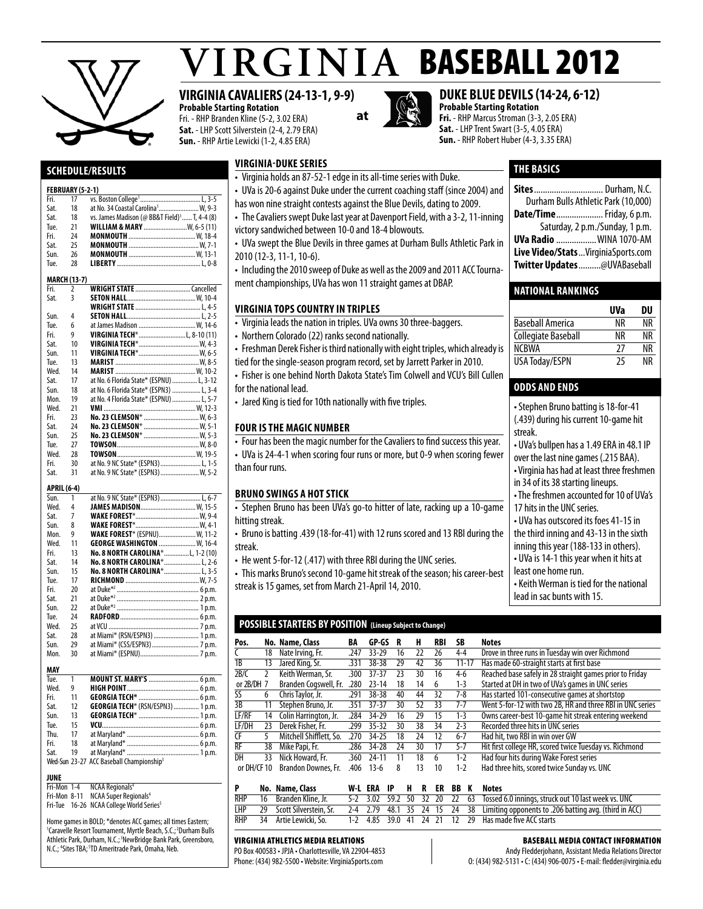

Sat. 18 at No. 34 Coastal Carolina<sup>1</sup><br>Sat. 18 vs. James Madison (@ BB&

Sat. 18 vs. James Madison (@ BB&T Field)<sup>1</sup>.<br>Tue. 21 **WILLIAM & MARY** ........................

Tue. 21 **William & Mary** ..........................W, 6-5 (11) Fri. 24 **Monmouth** ........................................W, 18-4 Sat. 25 **Monmouth** ..........................................W, 7-1

**Schedule/Results** 

**FEBRUARY (5-2-1)**<br>Fri 17 ys Fri. 17 vs. Boston College<sup>1</sup><br>Sat 18 at No. 34 Coastal C

# $VIRGINIA$  BASEBALL 2012

# **VIRGINIA CAVALIERS (24-13-1, 9-9)**

**Probable Starting Rotation** Fri. - RHP Branden Kline (5-2, 3.02 ERA) **Sat.** - LHP Scott Silverstein (2-4, 2.79 ERA) **Sun.** - RHP Artie Lewicki (1-2, 4.85 ERA)

 $L, 3-5$ 

.W. 9-3

..... T, 4-4 (8)<br>..W, 6-5 (11)



# **DUKE BLUE DEVILS (14-24, 6-12)**

**Probable Starting Rotation Fri.** - RHP Marcus Stroman (3-3, 2.05 ERA) **Sat.** - LHP Trent Swart (3-5, 4.05 ERA) **Sun.** - RHP Robert Huber (4-3, 3.35 ERA)

# **THE basics**

| Durham Bulls Athletic Park (10,000) |
|-------------------------------------|
| <b>Date/Time</b> Friday, 6 p.m.     |
| Saturday, 2 p.m./Sunday, 1 p.m.     |
| <b>UVa Radio  WINA 1070-AM</b>      |
| Live Video/StatsVirginiaSports.com  |
| Twitter Updates@UVABaseball         |
|                                     |

# **National Rankings**

|                         | UVa | DU |
|-------------------------|-----|----|
| <b>Baseball America</b> | ΝR  | ΝR |
| Collegiate Baseball     | ΝR  | ΝR |
| <b>NCRWA</b>            | 27  | ΝR |
| USA Today/ESPN          | 25  | ΝR |

# **odds and ends**

| • Stephen Bruno batting is 18-for-41       |
|--------------------------------------------|
| (.439) during his current 10-game hit      |
| streak.                                    |
| • UVa's bullpen has a 1.49 ERA in 48.1 IP  |
| over the last nine games (.215 BAA).       |
| • Virginia has had at least three freshmen |
| in 34 of its 38 starting lineups.          |
| • The freshmen accounted for 10 of UVa's   |
| 17 hits in the UNC series.                 |
| • UVa has outscored its foes 41-15 in      |
| the third inning and 43-13 in the sixth    |
| inning this year (188-133 in others).      |
| • UVa is 14-1 this year when it hits at    |
| least one home run.                        |
| • Keith Werman is tied for the national    |
| lead in sac bunts with 15.                 |

| Sun.               | 26                  |                                          |
|--------------------|---------------------|------------------------------------------|
| Tue.               | 28                  |                                          |
|                    | <b>MARCH (13-7)</b> |                                          |
| Fri.               | $\overline{2}$      |                                          |
| Sat.               | 3                   |                                          |
|                    |                     |                                          |
| Sun.               | 4                   |                                          |
| Tue.               | 6                   | at James Madison  W, 14-6                |
| Fri.               | g                   | VIRGINIA TECH*L, 8-10 (11)               |
| Sat.               | 10                  |                                          |
| Sun.               | 11                  |                                          |
| Tue.               | 13                  |                                          |
| Wed.               | 14                  |                                          |
| Sat.               | 17                  | at No. 6 Florida State* (ESPNU)  L, 3-12 |
| Sun.               | 18                  | at No. 6 Florida State* (ESPN3)  L, 3-4  |
| Mon.               | 19                  | at No. 4 Florida State* (ESPNU)  L, 5-7  |
| Wed.               | 21                  |                                          |
| Fri.               | 23                  |                                          |
| Sat.               | 24                  | No. 23 CLEMSON*  W, 5-1                  |
| Sun.               | 25                  | No. 23 CLEMSON*  W. 5-3                  |
| Tue.               | 27                  |                                          |
| Wed.               | 28                  |                                          |
| Fri.               | 30                  | at No. 9 NC State* (ESPN3)  L, 1-5       |
| Sat.               | 31                  | at No. 9 NC State* (ESPN3)  W. 5-2       |
| <b>APRIL (6-4)</b> |                     |                                          |
| Sun.               | 1                   | at No. 9 NC State* (ESPN3)  L, 6-7       |
| Wed.               | 4                   | JAMES MADISON W, 15-5                    |
| Sat.               | 7                   |                                          |
| Sun.               | 8                   |                                          |
| Mon.               | 9                   | <b>WAKE FOREST*</b> (ESPNU) W, 11-2      |
| Wed.               | 11                  | GEORGE WASHINGTON  W, 16-4               |
| Fri.               | 13                  | No. 8 NORTH CAROLINA*L, 1-2 (10)         |
| Sat.               | 14                  | No. 8 NORTH CAROLINA* L. 2-6             |
| Sun.               | 15                  | <b>No. 8 NORTH CAROLINA* L. 3-5</b>      |
| ه ۲۱۱              | 17                  | <b>DICHMOND</b> $W_7=5$                  |

Tue. 17 **Richmond** ............................................W, 7-5 Fri. 20 at Duke\*2 .................................................6 p.m. Sat. 21 at Duke\*2 .................................................2 p.m. Sun. 22 at Duke\*2 .................................................1 p.m. Tue. 24 **RADFORD**.<br>Wed. 25 at VCU ......... Wed. 25 at VCU ......................................................7 p.m. Sat. 28 at Miami\* (RSN/ESPN3) ........................... 1 p.m. Sun. 29 at Miami\* (CSS/ESPN3)............................7 p.m. at Miami\* (ESPNU). **MAY** Tue. 1 **MountSt. Mary's**..............................6 p.m.

| .    |      |                                                      |  |
|------|------|------------------------------------------------------|--|
| Wed. | -9   |                                                      |  |
| Fri. | 11   |                                                      |  |
| Sat. | 12   | GEORGIA TECH* (RSN/ESPN3)  1 p.m.                    |  |
| Sun. | 13   |                                                      |  |
| Tue. | 15   |                                                      |  |
| Thu. | 17   |                                                      |  |
| Fri. | - 18 |                                                      |  |
| Sat. | 19   |                                                      |  |
|      |      | Wed-Sun 23-27 ACC Baseball Championship <sup>3</sup> |  |
|      |      |                                                      |  |

# **JUNE**<br>Fri-Mon 1-4

**NCAA Regionals<sup>4</sup>** Fri-Mon 8-11 NCAA Super Regionals<sup>4</sup>

Fri-Tue 16-26 NCAA College World Series<sup>5</sup>

Home games in BOLD; \*denotes ACC games; all times Eastern; <sup>1</sup>Caravelle Resort Tournament, Myrtle Beach, S.C.;<sup>2</sup>Durham Bulls Athletic Park, Durham, N.C.; 3NewBridge Bank Park, Greensboro, N.C.; <sup>4</sup>Sites TBA; <sup>5</sup>TD Ameritrade Park, Omaha, Neb.

# **virginia-duke series**

- Virginia holds an 87-52-1 edge in its all-time series with Duke.
- UVa is 20-6 against Duke under the current coaching staff (since 2004) and
- has won nine straight contests against the Blue Devils, dating to 2009.
- The Cavaliers swept Duke last year at Davenport Field, with a 3-2, 11-inning
- victory sandwiched between 10-0 and 18-4 blowouts.

• UVa swept the Blue Devils in three games at Durham Bulls Athletic Park in 2010 (12-3, 11-1, 10-6).

• Including the 2010 sweep of Duke as well as the 2009 and 2011 ACC Tournant championships, UVa has won 11 straight games at DBAP.

# **virginia tops country in triples**

- irginia leads the nation in triples. UVa owns 30 three-baggers.
- orthern Colorado (22) ranks second nationally.

reshman Derek Fisher is third nationally with eight triples, which already is

- for the single-season program record, set by Jarrett Parker in 2010.
- sher is one behind North Dakota State's Tim Colwell and VCU's Bill Cullen the national lead.
- ared King is tied for 10th nationally with five triples.

### **Four is the Magic Number**

our has been the magic number for the Cavaliers to find success this year.

Va is 24-4-1 when scoring four runs or more, but 0-9 when scoring fewer n four runs.

### **bruno swings a hot stick**

tephen Bruno has been UVa's go-to hitter of late, racking up a 10-game ing streak.

• Bruno is batting .439 (18-for-41) with 12 runs scored and 13 RBI during the eak.

e went 5-for-12 (.417) with three RBI during the UNC series.

his marks Bruno's second 10-game hit streak of the season; his career-best streak is 15 games, set from March 21-April 14, 2010.

# **POSSIBLE STARTERS BY POSITION (Lineup Subject to Change)**

| Pos.        |    | No. Name, Class         | BA   | GP-GS     | R  | н  | RBI | SB        | <b>Notes</b>                                              |  |
|-------------|----|-------------------------|------|-----------|----|----|-----|-----------|-----------------------------------------------------------|--|
|             | 18 | Nate Irving, Fr.        | .247 | $33 - 29$ | 16 | 22 | 26  | $4 - 4$   | Drove in three runs in Tuesday win over Richmond          |  |
| 1B          | 13 | Jared King, Sr.         | .331 | 38-38     | 29 | 42 | 36  | $11 - 17$ | Has made 60-straight starts at first base                 |  |
| 2B/C        |    | Keith Werman, Sr.       | .300 | $37 - 37$ | 23 | 30 | 16  | $4-6$     | Reached base safely in 28 straight games prior to Friday  |  |
| or 2B/DH 7  |    | Branden Cogswell, Fr.   | 280  | $23 - 14$ | 18 | 14 | 6   | $1-3$     | Started at DH in two of UVa's games in UNC series         |  |
| SS          | 6  | Chris Taylor, Jr.       | .291 | 38-38     | 40 | 44 | 32  | $7-8$     | Has started 101-consecutive games at shortstop            |  |
| 3B          | 11 | Stephen Bruno, Jr.      | .351 | $37 - 37$ | 30 | 52 | 33  | $7 - 7$   | Went 5-for-12 with two 2B, HR and three RBI in UNC series |  |
| LF/RF       | 14 | Colin Harrington, Jr.   | .284 | 34-29     | 16 | 29 | 15  | $1 - 3$   | Owns career-best 10-game hit streak entering weekend      |  |
| LF/DH       | 23 | Derek Fisher, Fr.       | .299 | 35-32     | 30 | 38 | 34  | $2 - 3$   | Recorded three hits in UNC series                         |  |
| <b>CF</b>   |    | Mitchell Shifflett, So. | 270  | 34-25     | 18 | 24 | 12  | $6 - 7$   | Had hit, two RBI in win over GW                           |  |
| RF          | 38 | Mike Papi, Fr.          | .286 | 34-28     | 24 | 30 | 17  | $5 - 7$   | Hit first college HR, scored twice Tuesday vs. Richmond   |  |
| DH          | 33 | Nick Howard, Fr.        | .360 | 24-11     | 11 | 18 | 6   | $1 - 2$   | Had four hits during Wake Forest series                   |  |
| or DH/CF 10 |    | Brandon Downes, Fr.     | .406 | $13-6$    | 8  | 13 | 10  | $1 - 2$   | Had three hits, scored twice Sunday vs. UNC               |  |

|  | No. Name, Class           |  |  |  |  | W-L ERA IP H R ER BB K Notes                                                                                      |
|--|---------------------------|--|--|--|--|-------------------------------------------------------------------------------------------------------------------|
|  | RHP 16 Branden Kline, Jr. |  |  |  |  | 5-2 3.02 59.2 50 32 20 22 63 Tossed 6.0 innings, struck out 10 last week vs. UNC                                  |
|  |                           |  |  |  |  | LHP 29 Scott Silverstein, Sr. 2-4 2.79 48.1 35 24 15 24 38 Limiting opponents to .206 batting avg. (third in ACC) |
|  | RHP 34 Artie Lewicki, So. |  |  |  |  | 1-2 4.85 39.0 41 24 21 12 29 Has made five ACC starts                                                             |

#### Virginia Athletics Media Relations

PO Box 400583 • JPJA • Charlottesville, VA 22904-4853 Phone: (434) 982-5500 • Website: VirginiaSports.com

### Baseball Media Contact Information

Andy Fledderjohann, Assistant Media Relations Director O: (434) 982-5131 • C: (434) 906-0075 • E-mail: fledder@virginia.edu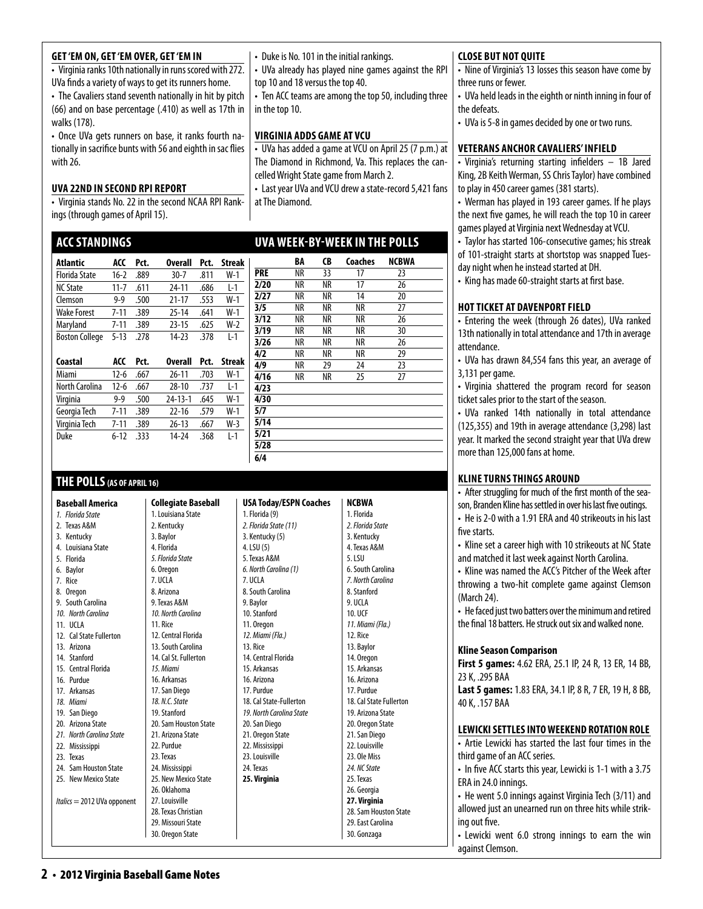# **Get 'Em On, Get 'Em Over, Get 'Em In**

• Virginia ranks 10th nationally in runs scored with 272. UVa finds a variety of ways to get its runners home.

• The Cavaliers stand seventh nationally in hit by pitch (66) and on base percentage (.410) as well as 17th in walks (178).

• Once UVa gets runners on base, it ranks fourth nationally in sacrifice bunts with 56 and eighth in sac flies with 26.

# **uva 22nd in second RPI report**

• Virginia stands No. 22 in the second NCAA RPI Rankings (through games of April 15).

# **ACCStandings**

| Atlantic              | ACC      | Pct. | <b>Overall</b> | Pct. | Streak |
|-----------------------|----------|------|----------------|------|--------|
| <b>Florida State</b>  | $16-2$   | .889 | $30 - 7$       | .811 | $W-1$  |
| <b>NC State</b>       | $11 - 7$ | .611 | 24-11          | .686 | L-1    |
| Clemson               | $9 - 9$  | .500 | 21-17          | .553 | $W-1$  |
| <b>Wake Forest</b>    | $7 - 11$ | .389 | $25 - 14$      | .641 | $W-1$  |
| Maryland              | $7 - 11$ | .389 | $23 - 15$      | .625 | $W-2$  |
| <b>Boston College</b> | $5 - 13$ | .278 | $14-23$        | .378 | $1-1$  |
| Coastal               | ACC      | Prt  | Overall        | Pct. | Streak |

| coastai        | ALL      | PCL. | overall       | PCL. | этгеак |
|----------------|----------|------|---------------|------|--------|
| Miami          | 12-6     | .667 | $26 - 11$     | .703 | W-1    |
| North Carolina | 12-6     | .667 | $28-10$       | .737 | l - 1  |
| Virginia       | $9 - 9$  | .500 | $74 - 13 - 1$ | .645 | $W-1$  |
| Georgia Tech   | 7-11     | .389 | $22-16$       | .579 | $W-1$  |
| Virginia Tech  | $7 - 11$ | .389 | $26-13$       | .667 | $W-3$  |
| Duke           | $6-12$   | .333 | 14-24         | .368 | l-1    |
|                |          |      |               |      |        |

# **THE POLLS(AS OF APRIL 16)**

**Baseball America**  *1. Florida State*  2. Texas A&M 3. Kentucky 4. Louisiana State 5. Florida 6. Baylor 7. Rice 8. Oregon 9. South Carolina *10. North Carolina*  11. UCLA 12 Cal State Fullerton 13. Arizona 14. Stanford 15. Central Florida 16. Purdue 17. Arkansas *18. Miami*  19. San Diego 20. Arizona State *21. North Carolina State*  22. Mississippi 23. Texas 24. Sam Houston State 25. New Mexico State *Italics* = 2012 UVa opponent **Collegiate Baseball**  2. Kentucky 3. Baylor 4. Florida 6. Oregon 7. UCLA 8. Arizona 11. Rice *15. Miami* 22. Purdue 23. Texas 28. Texas Christian 29. Missouri State

#### 1. Louisiana State *5. Florida State* 9. Texas A&M *10. North Carolina* 12. Central Florida 13. South Carolina 14. Cal St. Fullerton 16. Arkansas 17. San Diego *18. N.C. State* 19. Stanford 20. Sam Houston State 21. Arizona State 24. Mississippi 25. New Mexico State 26. Oklahoma 27. Louisville  $1.$  Flo *2. Florida State (11)*  3. Ken 4. LSI 5. Tex 6. No 7. UCLA  $8.501$ 9. Bay 10. St  $11.0$ *12. Miami (Fla.)*   $13. R$ 14. Ce  $15A$  $16. A$  $17. P1$  $18. C<sub>5</sub>$ *19. No*  $20.5$  $21.0$  $22. N$  $23.$  Lo 24. Te **25. Virginia**

| <b>USA Today/ESPN Coaches</b> |
|-------------------------------|
| 1. Florida (9)                |
| 2. Florida State (11)         |
| 3. Kentucky (5)               |
| 4. LSU (5)                    |
| 5. Texas A&M                  |
| 6. North Carolina (1)         |
| 7. UCLA                       |
| 8. South Carolina             |
| 9. Baylor                     |
| 10. Stanford                  |
| 11. Oregon                    |
| 12. Miami (Fla.)              |
| 13. Rice                      |
| 14. Central Florida           |
| 15. Arkansas                  |
| 16. Arizona                   |
| 17. Purdue                    |
| 18. Cal State-Fullerton       |
| 19. North Carolina State      |
| 20. San Diego                 |
| 21. Oregon State              |
| 22. Mississippi               |
| 23. Louisville                |
| 24. Texas                     |
| 25. Virginia                  |
|                               |
|                               |
|                               |

| The Diamond in Richmond, Va. This replaces the can-    |
|--------------------------------------------------------|
| celled Wright State game from March 2.                 |
| • Last year UVa and VCU drew a state-record 5,421 fans |
| at The Diamond.                                        |
|                                                        |
|                                                        |
| <b>UVA WEEK-BY-WEEK IN THE POLLS</b>                   |
|                                                        |
| Coaches NCBWA<br>0R<br>RA                              |

• Duke is No. 101 in the initial rankings.

top 10 and 18 versus the top 40.

**virginia adds game at vcu**

in the top 10.

• UVa already has played nine games against the RPI

• Ten ACC teams are among the top 50, including three

• UVa has added a game at VCU on April 25 (7 p.m.) at

|      | BА | CΡ | coacnes | NCRMA |  |
|------|----|----|---------|-------|--|
| PRE  | NR | 33 | 17      | 23    |  |
| 2/20 | NR | NR | 17      | 26    |  |
| 2/27 | NR | NR | 14      | 20    |  |
| 3/5  | NR | NR | NR      | 27    |  |
| 3/12 | NR | NR | NR      | 26    |  |
| 3/19 | NR | NR | NR      | 30    |  |
| 3/26 | NR | NR | NR      | 26    |  |
| 4/2  | NR | NR | NR      | 29    |  |
| 4/9  | NR | 29 | 24      | 23    |  |
| 4/16 | NR | NR | 25      | 27    |  |
| 4/23 |    |    |         |       |  |
| 4/30 |    |    |         |       |  |
| 5/7  |    |    |         |       |  |
| 5/14 |    |    |         |       |  |
| 5/21 |    |    |         |       |  |
| 5/28 |    |    |         |       |  |
| 6/4  |    |    |         |       |  |

**NCBWA** 1. Florida *2. Florida State* 3. Kentucky 4. Texas A&M 5. LSU 6. South Carolina *7. North Carolina*  8. Stanford 9. UCLA 10. UCF *11. Miami (Fla.)*  12. Rice 13. Baylor 14. Oregon 15. Arkansas 16. Arizona 17. Purdue 18. Cal State Fullerton 19. Arizona State 20. Oregon State 21. San Diego 22. Louisville 23. Ole Miss *24. NC State*  25. Texas 26. Georgia **27. Virginia**  28. Sam Houston State 29. East Carolina 30. Gonzaga

# **Close But Not Quite**

• Nine of Virginia's 13 losses this season have come by three runs or fewer.

• UVa held leads in the eighth or ninth inning in four of the defeats.

• UVa is 5-8 in games decided by one or two runs.

# **Veterans anchor cavaliers' infield**

- Virginia's returning starting infielders 1B Jared King, 2B Keith Werman, SS Chris Taylor) have combined to play in 450 career games (381 starts).
- Werman has played in 193 career games. If he plays the next five games, he will reach the top 10 in career games played at Virginia next Wednesday at VCU.
- Taylor has started 106-consecutive games; his streak of 101-straight starts at shortstop was snapped Tuesday night when he instead started at DH.
- King has made 60-straight starts at first base.

# **HOT TICKET AT DAVENPORT FIELD**

• Entering the week (through 26 dates), UVa ranked 13th nationally in total attendance and 17th in average attendance.

- UVa has drawn 84,554 fans this year, an average of 3,131 per game.
- Virginia shattered the program record for season ticket sales prior to the start of the season.

• UVa ranked 14th nationally in total attendance (125,355) and 19th in average attendance (3,298) last year. It marked the second straight year that UVa drew more than 125,000 fans at home.

# **Klineturns things around**

• After struggling for much of the first month of the season, Branden Kline has settled in over his last five outings.

- He is 2-0 with a 1.91 ERA and 40 strikeouts in his last five starts.
- Kline set a career high with 10 strikeouts at NC State and matched it last week against North Carolina.

• Kline was named the ACC's Pitcher of the Week after throwing a two-hit complete game against Clemson (March 24).

• He faced just two batters over the minimum and retired the final 18 batters. He struck out six and walked none.

# **Kline Season Comparison**

| <b>First 5 games:</b> 4.62 ERA, 25.1 IP, 24 R, 13 ER, 14 BB, |  |  |  |  |  |
|--------------------------------------------------------------|--|--|--|--|--|
| 23 K, .295 BAA                                               |  |  |  |  |  |

**Last 5 games:** 1.83 ERA, 34.1 IP, 8 R, 7 ER, 19 H, 8 BB, 40 K, .157 BAA

# **Lewicki Settles into Weekend Rotation Role**

• Artie Lewicki has started the last four times in the third game of an ACC series.

• In five ACC starts this year, Lewicki is 1-1 with a 3.75 ERA in 24.0 innings.

• He went 5.0 innings against Virginia Tech (3/11) and allowed just an unearned run on three hits while striking out five.

• Lewicki went 6.0 strong innings to earn the win against Clemson.

30. Oregon State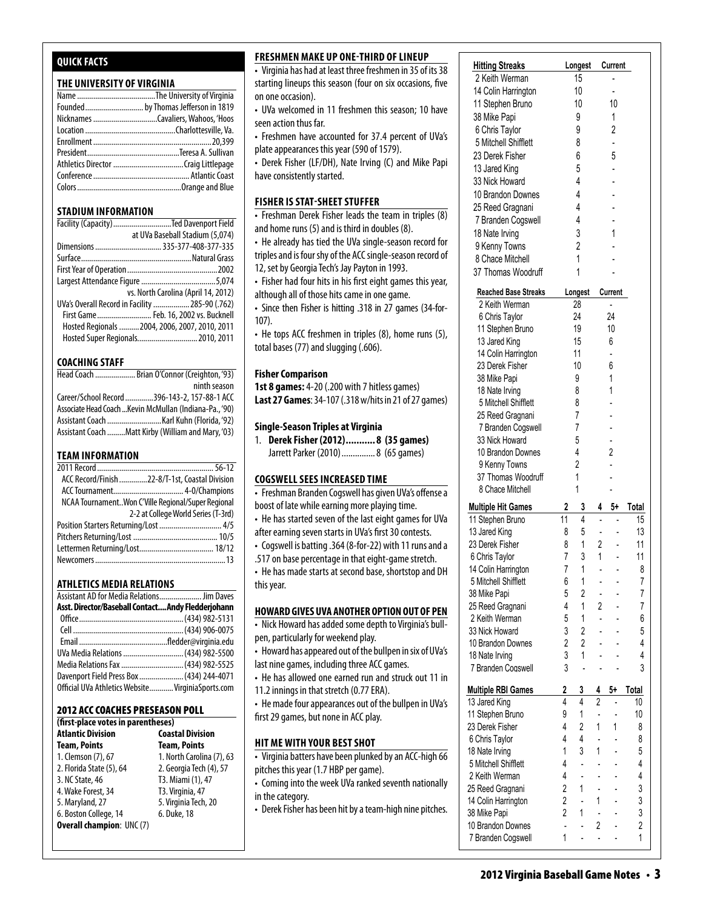# **Quick Facts**

# **THE UNIVERSITY OF VIRGINIA**

| Founded by Thomas Jefferson in 1819 |
|-------------------------------------|
|                                     |
|                                     |
|                                     |
|                                     |
|                                     |
|                                     |
|                                     |
|                                     |

### **STADIUM INFORMATION**

| Facility (Capacity) Ted Davenport Field         |
|-------------------------------------------------|
| at UVa Baseball Stadium (5,074)                 |
| Dimensions  335-377-408-377-335                 |
|                                                 |
|                                                 |
|                                                 |
| vs. North Carolina (April 14, 2012)             |
| UVa's Overall Record in Facility  285-90 (.762) |
| First Game Feb. 16, 2002 vs. Bucknell           |
| Hosted Regionals  2004, 2006, 2007, 2010, 2011  |
| Hosted Super Regionals 2010, 2011               |

#### **COACHING STAFF**

| Head Coach  Brian O'Connor (Creighton, '93)             |
|---------------------------------------------------------|
| ninth season                                            |
| Career/School Record 396-143-2, 157-88-1 ACC            |
| Associate Head Coach  Kevin McMullan (Indiana-Pa., '90) |
|                                                         |
| Assistant Coach Matt Kirby (William and Mary, '03)      |

#### **TEAM INFORMATION**

| ACC Record/Finish 22-8/T-1st, Coastal Division     |                                     |
|----------------------------------------------------|-------------------------------------|
|                                                    |                                     |
| NCAA TournamentWon C'Ville Regional/Super Regional |                                     |
|                                                    | 2-2 at College World Series (T-3rd) |
| Position Starters Returning/Lost  4/5              |                                     |
|                                                    |                                     |
|                                                    |                                     |
|                                                    |                                     |
|                                                    |                                     |

### **Athletics MEDIA RELATIONS**

| Assistant AD for Media Relations Jim Daves         |  |
|----------------------------------------------------|--|
| Asst. Director/Baseball Contact Andy Fledderjohann |  |
|                                                    |  |
|                                                    |  |
|                                                    |  |
| UVa Media Relations  (434) 982-5500                |  |
| Media Relations Fax  (434) 982-5525                |  |
| Davenport Field Press Box  (434) 244-4071          |  |
| Official UVa Athletics Website VirginiaSports.com  |  |

#### 2012 ACC Coaches Preseason Poll

| (first-place votes in parentheses) |                           |
|------------------------------------|---------------------------|
| <b>Atlantic Division</b>           | <b>Coastal Division</b>   |
| <b>Team, Points</b>                | <b>Team, Points</b>       |
| 1. Clemson (7), 67                 | 1. North Carolina (7), 63 |
| 2. Florida State (5), 64           | 2. Georgia Tech (4), 57   |
| 3. NC State, 46                    | T3. Miami (1), 47         |
| 4. Wake Forest, 34                 | T3. Virginia, 47          |
| 5. Maryland, 27                    | 5. Virginia Tech, 20      |
| 6. Boston College, 14              | 6. Duke, 18               |
| <b>Overall champion: UNC (7)</b>   |                           |

### **Freshmen make up one-third oflineup**

• Virginia has had at least three freshmen in 35 of its 38 starting lineups this season (four on six occasions, five  $\vert$ on one occasion). The stephen Bruno 11  $\vert$ 

- UVa welcomed in 11 freshmen this season; 10 have  $\vert$  $\mathsf{R}$  seen action thus far.
- Freshmen have accounted for 37.4 percent of UVa's | plate appearances this year (590 of 1579).  $\vert$

erek Fisher (LF/DH), Nate Irving (C) and Mike Papi have consistently started. 25 Reed Grade Grade Grade Grade Grade Grade Grade Grade Grade Grade Grade Grade Grade Grade Grade Grade Grade

# FISHER IS STAT-SHEET STUFFER**TH WERE SEE**

**EXECUTE IS STAT SHELT STOTE IN**<br>• Freshman Derek Fisher leads the team in triples (8) and home runs  $(5)$  and is third in doubles  $(8)$ .  $100$  Brandon Downes 2 2  $100$  Brandon Downes 2  $\vert$ 

• He already has tied the UVa single-season record for  $\vert$ triples and is four shy of the ACC single-season record of  $\quad$  | 12, set by Georgia Tech's Jay Payton in 1993.

• Fisher had four hits in his first eight games this year, although all of those hits came in one game.

• Since then Fisher is hitting .318 in 27 games (34-for-107).

• He tops ACC freshmen in triples (8), home runs (5), total bases (77) and slugging (.606).  $\mathcal{L}$   $\mathcal{L}$   $\mathcal{L}$   $\mathcal{L}$   $\mathcal{L}$   $\mathcal{L}$   $\mathcal{L}$   $\mathcal{L}$   $\mathcal{L}$   $\mathcal{L}$   $\mathcal{L}$   $\mathcal{L}$   $\mathcal{L}$   $\mathcal{L}$   $\mathcal{L}$   $\mathcal{L}$   $\mathcal{L}$   $\mathcal{L}$   $\mathcal{L}$   $\mathcal{L}$   $\mathcal{L}$   $\mathcal{L}$   $\mathcal{L}$   $\mathcal{L}$   $\mathcal{$ 

# **Fisher Comparison**

**1st 8 games:** 4-20 (.200 with 7 hitless games) **Last 27 Games**: 34-107 (.318 w/hits in 21 of 27 games)  $1123 + 20$  (.200 miller milless games)

#### Single-Season Triples at Virginia

1. Derek Fisher (2012)........... 8 (35 games) Jarrett Parker (2010) ............... 8 (65 games)

#### COGSWELL SEES INCREASED TIME

• Freshman Branden Cogswell has given UVa's offense a boost of late while earning more playing time.

• He has started seven of the last eight games for UVa

- after earning seven starts in UVa's first 30 contests.
- Cogswell is batting .364 (8-for-22) with 11 runs and a
- .517 on base percentage in that eight-game stretch.

• He has made starts at second base, shortstop and DH this year.

# **Howard Gives UVa Another Option Out of Pen**

• Nick Howard has added some depth to Virginia's bullpen, particularly for weekend play.

- Howard has appeared out of the bullpen in six of UVa's last nine games, including three ACC games.
- He has allowed one earned run and struck out 11 in
- 11.2 innings in that stretch (0.77 ERA).

• He made four appearances out of the bullpen in UVa's first 29 games, but none in ACC play.

#### **hit me with your best shot** 6 Chris Taylor 7 3 1 - 11

 $\overline{\cdot}$  Virginia batters have been plunked by an ACC-high 66 pitches this year (1.7 HBP per game).  $\sim$ 

- .<br>• Coming into the week UVa ranked seventh nationally in the category. 25 Reed Grade Graduate Communication (1988)
- Derek Fisher has been hit by a team-high nine pitches. 2 Keith Werman 5 1 - 6 33 not has been meby a team inghilance prenes.

| U VI LINLVI<br>hmen in 35 of its 38 | <b>Hitting Streaks</b>      |                | Longest        |                    | Current                  |              |
|-------------------------------------|-----------------------------|----------------|----------------|--------------------|--------------------------|--------------|
|                                     | 2 Keith Werman              | 15             |                |                    |                          |              |
| six occasions, five                 | 14 Colin Harrington         | 10             |                |                    |                          |              |
|                                     | 11 Stephen Bruno            |                | 10             |                    | 10                       |              |
| iis season; 10 have                 |                             |                | 9              |                    | 1                        |              |
|                                     | 38 Mike Papi                |                |                |                    |                          |              |
| .4 percent of UVa's                 | 6 Chris Taylor              |                | 9              |                    | 2                        |              |
| 1579).                              | 5 Mitchell Shifflett        |                | 8              |                    |                          |              |
| (C) and Mike Papi                   | 23 Derek Fisher             |                | 6              |                    | 5                        |              |
|                                     | 13 Jared King               |                | 5              |                    |                          |              |
|                                     | 33 Nick Howard              |                | 4              |                    |                          |              |
|                                     | 10 Brandon Downes           |                | $\overline{4}$ |                    |                          |              |
|                                     | 25 Reed Gragnani            |                | 4              |                    |                          |              |
| team in triples (8)                 | 7 Branden Cogswell          |                | 4              |                    |                          |              |
| ubles (8).                          |                             |                | 3              |                    | 1                        |              |
| e-season record for                 | 18 Nate Irving              |                |                |                    |                          |              |
| lle-season record of                | 9 Kenny Towns               |                | 2              |                    |                          |              |
|                                     | 8 Chace Mitchell            |                | 1              |                    |                          |              |
| in 1993.                            | 37 Thomas Woodruff          |                | 1              |                    |                          |              |
| ht games this year,                 |                             |                |                |                    |                          |              |
| e game.                             | <b>Reached Base Streaks</b> |                | Longest        |                    | Current                  |              |
| 27 games (34-for-                   | 2 Keith Werman              |                | 28             |                    | ÷.                       |              |
|                                     | 6 Chris Taylor              |                | 24             |                    | 24                       |              |
| (8), home runs (5),                 | 11 Stephen Bruno            |                | 19             |                    | 10                       |              |
|                                     | 13 Jared King               |                | 15             | 6                  |                          |              |
|                                     | 14 Colin Harrington         |                | 11             |                    |                          |              |
|                                     | 23 Derek Fisher             |                | 10             |                    | 6                        |              |
|                                     | 38 Mike Papi                |                | 9              |                    | 1                        |              |
| ess games)                          | 18 Nate Irving              |                | 8              |                    | 1                        |              |
| s in 21 of 27 games)                | 5 Mitchell Shifflett        |                | 8              |                    |                          |              |
|                                     | 25 Reed Gragnani            |                | $\overline{7}$ |                    |                          |              |
|                                     | 7 Branden Cogswell          |                | 7              |                    |                          |              |
| (35 games)                          | 33 Nick Howard              |                | 5              |                    |                          |              |
| (65 games)                          | 10 Brandon Downes           |                | $\overline{4}$ |                    | 2                        |              |
|                                     | 9 Kenny Towns               |                | $\overline{2}$ |                    |                          |              |
|                                     | 37 Thomas Woodruff          |                | 1              |                    |                          |              |
| IE                                  | 8 Chace Mitchell            |                | 1              |                    |                          |              |
| iven UVa's offense a                |                             |                |                |                    |                          |              |
| ying time.                          | <b>Multiple Hit Games</b>   |                | 3              | 4                  | 5+                       | Total        |
| ight games for UVa                  | 11 Stephen Bruno            | 11             | $\overline{4}$ |                    |                          | 15           |
| rst 30 contests.                    | 13 Jared King               | 8              | 5              |                    |                          | 13           |
| with 11 runs and a                  | 23 Derek Fisher             | 8              | 1              | $\overline{2}$     |                          | 11           |
| nt-game stretch.                    | 6 Chris Taylor              | $\overline{7}$ | 3              | 1                  |                          | 11           |
|                                     | 14 Colin Harrington         | 7              | 1              |                    |                          | 8            |
| e, shortstop and DH                 | 5 Mitchell Shifflett        | 6              | 1              |                    |                          | 7            |
|                                     | 38 Mike Papi                | 5              | $\overline{2}$ |                    |                          | 7            |
|                                     |                             |                | $\overline{1}$ |                    |                          |              |
| TION OUT OF PEN                     | 25 Reed Gragnani            | $\overline{4}$ |                | $2^{\circ}$        | $\overline{a}$           | 7            |
| th to Virginia's bull-              | 2 Keith Werman              | 5              | 1              |                    | $\blacksquare$           | 6            |
|                                     | 33 Nick Howard              | $\mathfrak{Z}$ | $2^{\circ}$    | L.                 | $\overline{a}$           | 5            |
| Illpen in six of UVa's              | 10 Brandon Downes           | $\overline{2}$ | $2^{\circ}$    |                    |                          | 4            |
|                                     | 18 Nate Irving              | 3              | $\mathbf{1}$   |                    |                          | 4            |
| games.                              | 7 Branden Cogswell          | 3              |                |                    | $\overline{a}$           | 3            |
| nd struck out 11 in                 |                             |                |                |                    |                          |              |
| A).                                 | <b>Multiple RBI Games</b>   | 2              | 3              | 4                  | 5+                       | Total        |
| the bullpen in UVa's                | 13 Jared King               | 4              | $\overline{4}$ | $\overline{2}$     |                          | 10           |
|                                     | 11 Stephen Bruno            | 9              | $\mathbf{1}$   |                    |                          | 10           |
|                                     | 23 Derek Fisher             | 4              | $\overline{2}$ | $\mathbf{1}$       | 1                        | 8            |
|                                     | 6 Chris Taylor              | 4              | $\overline{4}$ |                    |                          | 8            |
|                                     | 18 Nate Irving              | 1              | 3              | 1                  | $\overline{\phantom{a}}$ | 5            |
| d by an ACC-high 66                 | 5 Mitchell Shifflett        | 4              | ă.             |                    |                          | 4            |
|                                     | 2 Keith Werman              | $\overline{4}$ | L.             |                    |                          | 4            |
| seventh nationally                  | 25 Reed Gragnani            | $\overline{2}$ | 1              |                    |                          | 3            |
|                                     | 14 Colin Harrington         | $\overline{2}$ |                | 1                  | $\overline{a}$           | 3            |
| n-high nine pitches.                |                             | $\overline{2}$ | 1              | $\mathbb{Z}^{n-1}$ | $\overline{\phantom{a}}$ | 3            |
|                                     | 38 Mike Papi                | ÷.             |                | $\mathbf{2}$       |                          | 2            |
|                                     | 10 Brandon Downes           |                |                |                    | $\overline{\phantom{0}}$ |              |
|                                     | 7 Branden Cogswell          | 1              |                | $\overline{a}$     |                          | $\mathbf{1}$ |

**Multiple RBI Games 2 3 4 5+ Total** 13 Jared King 4 4 2 - 10 11 Stephen Bruno 9 1 - 10 23 Derek Fisher 4211 8 6 Chris Taylor 4 4 - - 8 18 Nate 19 Nate  $5.5$  Mitchell Shifflett 4  $2.4$  Keith Werman 4  $-$ 25 Reed Gragnani 2 1 - - 3 14 Colin Harris 38 Mike Papi 2 1 - - 3 10 Brandon Downes - - 2 - 2  $\mathcal{F}_\mathrm{max}$  because TEAM 37 16 7 16

**Reached Base Streaks Longest Current** 2 Keith Werman 28 - 6 Chris Taylor 24 24 11 Stephen Bruno 19 10 13 Jared King 15 6 14 Colin Harrington 11 - 23 Derek Fisher 10 6 38 Mike Papi 9 1 18 Nate Irving 8 1 5 Mitchell Shifflett 8 - 25 Reed Gragnani 7 - 7 Branden Cogswell 7 -

TEAM 37 16 7 1 61

25 Reed Gragnani 4 -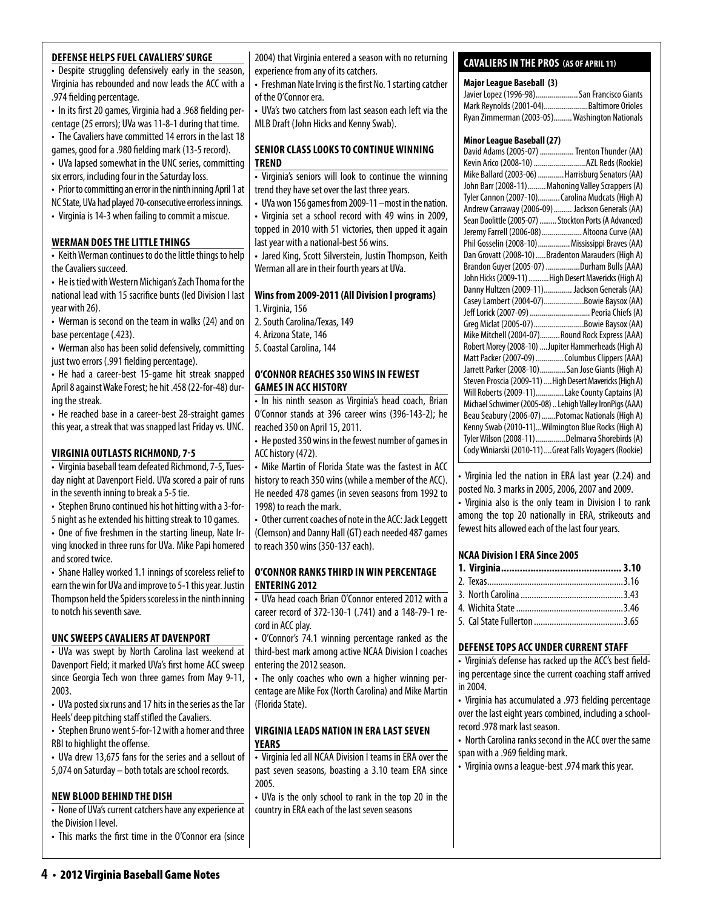# **defense helps fuel cavaliers' surge**

• Despite struggling defensively early in the season, Virginia has rebounded and now leads the ACC with a .974 fielding percentage.

• In its first 20 games, Virginia had a .968 fielding percentage (25 errors); UVa was 11-8-1 during that time.

• The Cavaliers have committed 14 errors in the last 18 games, good for a .980 fielding mark (13-5 record).

• UVa lapsed somewhat in the UNC series, committing six errors, including four in the Saturday loss.

• Prior to committing an error in the ninth inning April 1 at

NC State, UVa had played 70-consecutive errorless innings.

• Virginia is 14-3 when failing to commit a miscue.

# **WERMAN DOES THE LITTLE THINGS**

• Keith Werman continues to do the little things to help the Cavaliers succeed.

• He is tied with Western Michigan's Zach Thoma for the national lead with 15 sacrifice bunts (led Division I last year with 26).

• Werman is second on the team in walks (24) and on base percentage (.423).

• Werman also has been solid defensively, committing just two errors (.991 fielding percentage).

• He had a career-best 15-game hit streak snapped April 8 against Wake Forest; he hit .458 (22-for-48) during the streak.

• He reached base in a career-best 28-straight games this year, a streak that was snapped last Friday vs. UNC.

# **virginia outlasts richmond, 7-5**

• Virginia baseball team defeated Richmond, 7-5, Tuesday night at Davenport Field. UVa scored a pair of runs in the seventh inning to break a 5-5 tie.

• Stephen Bruno continued his hot hitting with a 3-for-

5 night as he extended his hitting streak to 10 games. • One of five freshmen in the starting lineup, Nate Irving knocked in three runs for UVa. Mike Papi homered and scored twice.

• Shane Halley worked 1.1 innings of scoreless relief to earn the win for UVa and improve to 5-1 this year. Justin Thompson held the Spiders scoreless in the ninth inning to notch his seventh save.

# **unc sweeps cavaliers at davenport**

• UVa was swept by North Carolina last weekend at Davenport Field; it marked UVa's first home ACC sweep since Georgia Tech won three games from May 9-11, 2003.

• UVa posted six runs and 17 hits in the series as the Tar Heels' deep pitching staff stifled the Cavaliers.

• Stephen Bruno went 5-for-12 with a homer and three RBI to highlight the offense.

• UVa drew 13,675 fans for the series and a sellout of 5,074 on Saturday – both totals are school records.

### **new blood behind the dish**

• None of UVa's current catchers have any experience at the Division I level.

• This marks the first time in the O'Connor era (since

2004) that Virginia entered a season with no returning experience from any of its catchers.

• Freshman Nate Irving is the first No. 1 starting catcher of the O'Connor era.

• UVa's two catchers from last season each left via the MLB Draft (John Hicks and Kenny Swab).

# **senior class looks to continue winning trend**

• Virginia's seniors will look to continue the winning trend they have set over the last three years.

• UVa won 156 games from 2009-11 –most in the nation.

• Virginia set a school record with 49 wins in 2009, topped in 2010 with 51 victories, then upped it again last year with a national-best 56 wins.

• Jared King, Scott Silverstein, Justin Thompson, Keith Werman all are in their fourth years at UVa.

# **Wins from 2009-2011 (All Division I programs)**

1. Virginia, 156

2. South Carolina/Texas, 149

4. Arizona State, 146

5. Coastal Carolina, 144

# **O'Connor reaches 350 wins in fewest games in ACC History**

• In his ninth season as Virginia's head coach, Brian O'Connor stands at 396 career wins (396-143-2); he reached 350 on April 15, 2011.

• He posted 350 wins in the fewest number of games in ACC history (472).

• Mike Martin of Florida State was the fastest in ACC history to reach 350 wins (while a member of the ACC). He needed 478 games (in seven seasons from 1992 to 1998) to reach the mark.

• Other current coaches of note in the ACC: Jack Leggett (Clemson) and Danny Hall (GT) each needed 487 games to reach 350 wins (350-137 each).

# **o'Connor ranks third in win percentage entering 2012**

• UVa head coach Brian O'Connor entered 2012 with a career record of 372-130-1 (.741) and a 148-79-1 record in ACC play.

• O'Connor's 74.1 winning percentage ranked as the third-best mark among active NCAA Division I coaches entering the 2012 season.

• The only coaches who own a higher winning percentage are Mike Fox (North Carolina) and Mike Martin (Florida State).

# **virginia Leads Nation in ERA Last seven Years**

• Virginia led all NCAA Division I teams in ERA over the past seven seasons, boasting a 3.10 team ERA since 2005.

• UVa is the only school to rank in the top 20 in the country in ERA each of the last seven seasons

# **cavaliers in the pros (as of April 11)**

# **Major League Baseball (3)**

| Javier Lopez (1996-98) San Francisco Giants   |  |
|-----------------------------------------------|--|
| Mark Reynolds (2001-04)Baltimore Orioles      |  |
| Ryan Zimmerman (2003-05) Washington Nationals |  |

# **Minor League Baseball (27)**

| David Adams (2005-07)  Trenton Thunder (AA)              |
|----------------------------------------------------------|
| Kevin Arico (2008-10) AZL Reds (Rookie)                  |
| Mike Ballard (2003-06)  Harrisburg Senators (AA)         |
| John Barr (2008-11)  Mahoning Valley Scrappers (A)       |
| Tyler Cannon (2007-10) Carolina Mudcats (High A)         |
| Andrew Carraway (2006-09)  Jackson Generals (AA)         |
| Sean Doolittle (2005-07)  Stockton Ports (A Advanced)    |
| Jeremy Farrell (2006-08)  Altoona Curve (AA)             |
| Phil Gosselin (2008-10) Mississippi Braves (AA)          |
| Dan Grovatt (2008-10)  Bradenton Marauders (High A)      |
| Brandon Guyer (2005-07) Durham Bulls (AAA)               |
| John Hicks (2009-11) High Desert Mavericks (High A)      |
| Danny Hultzen (2009-11) Jackson Generals (AA)            |
| Casey Lambert (2004-07)Bowie Baysox (AA)                 |
| Jeff Lorick (2007-09)  Peoria Chiefs (A)                 |
| Greg Miclat (2005-07) Bowie Baysox (AA)                  |
| Mike Mitchell (2004-07)Round Rock Express (AAA)          |
| Robert Morey (2008-10)  Jupiter Hammerheads (High A)     |
| Matt Packer (2007-09) Columbus Clippers (AAA)            |
| Jarrett Parker (2008-10)San Jose Giants (High A)         |
| Steven Proscia (2009-11)  High Desert Mavericks (High A) |
| Will Roberts (2009-11)Lake County Captains (A)           |
| Michael Schwimer (2005-08)  Lehigh Valley IronPigs (AAA) |
| Beau Seabury (2006-07) Potomac Nationals (High A)        |
| Kenny Swab (2010-11)Wilmington Blue Rocks (High A)       |
| Tyler Wilson (2008-11) Delmarva Shorebirds (A)           |
| Cody Winiarski (2010-11)  Great Falls Voyagers (Rookie)  |
|                                                          |

• Virginia led the nation in ERA last year (2.24) and posted No. 3 marks in 2005, 2006, 2007 and 2009.

• Virginia also is the only team in Division I to rank among the top 20 nationally in ERA, strikeouts and fewest hits allowed each of the last four years.

# **NCAA Division I ERA Since 2005**

# **DEFENSE TOPS ACC UNDER CURRENT STAFF**

• Virginia's defense has racked up the ACC's best fielding percentage since the current coaching staff arrived in 2004.

• Virginia has accumulated a .973 fielding percentage over the last eight years combined, including a schoolrecord .978 mark last season.

- North Carolina ranks second in the ACC over the same span with a .969 fielding mark.
- Virginia owns a league-best .974 mark this year.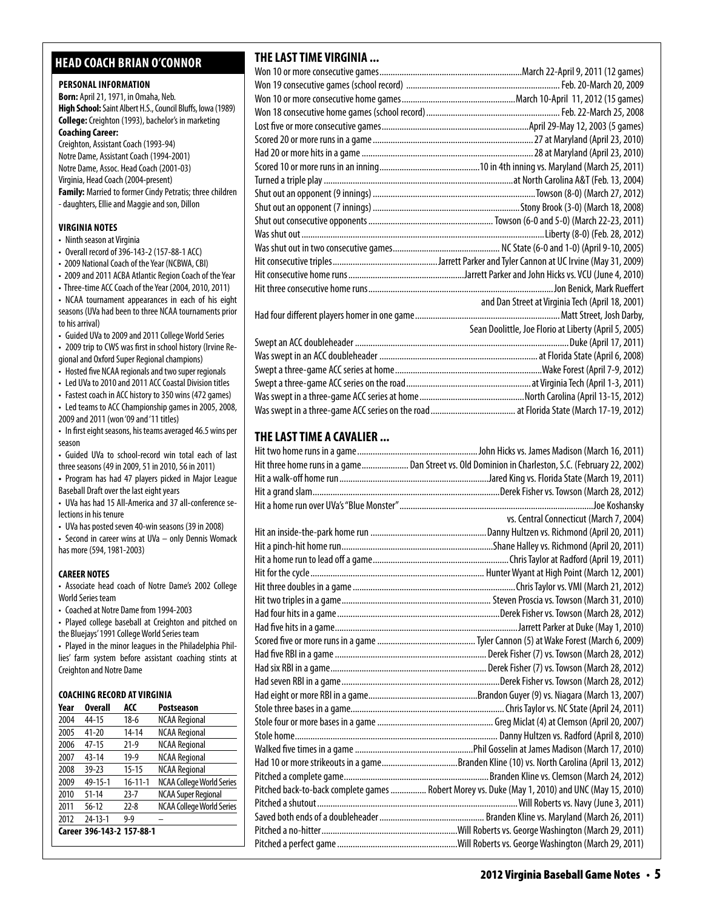# **head coach brian o'connor**

### **PERSONAL INFORMATION**

**Born:** April 21, 1971, in Omaha, Neb. **High School:** Saint Albert H.S., Council Bluffs, Iowa (1989) **College:** Creighton (1993), bachelor's in marketing **Coaching Career:**  Creighton, Assistant Coach (1993-94) Notre Dame, Assistant Coach (1994-2001)

Notre Dame, Assoc. Head Coach (2001-03) Virginia, Head Coach (2004-present) **Family:** Married to former Cindy Petratis; three children - daughters, Ellie and Maggie and son, Dillon

#### **virginia Notes**

- Ninth season at Virginia
- Overall record of 396-143-2 (157-88-1 ACC)
- 2009 National Coach of the Year (NCBWA, CBI)
- 2009 and 2011 ACBA Atlantic Region Coach of the Year

• Three-time ACC Coach of the Year (2004, 2010, 2011) • NCAA tournament appearances in each of his eight seasons (UVa had been to three NCAA tournaments prior to his arrival)

• Guided UVa to 2009 and 2011 College World Series

• 2009 trip to CWS was first in school history (Irvine Regional and Oxford Super Regional champions)

• Hosted five NCAA regionals and two super regionals

• Led UVa to 2010 and 2011 ACC Coastal Division titles

• Fastest coach in ACC history to 350 wins (472 games)

- Led teams to ACC Championship games in 2005, 2008, 2009 and 2011 (won '09 and '11 titles)
- In first eight seasons, his teams averaged 46.5 wins per season

• Guided UVa to school-record win total each of last three seasons (49 in 2009, 51 in 2010, 56 in 2011)

**•**  Program has had 47 players picked in Major League Baseball Draft over the last eight years

• UVa has had 15 All-America and 37 all-conference selections in his tenure

• UVa has posted seven 40-win seasons (39 in 2008)

• Second in career wins at UVa – only Dennis Womack has more (594, 1981-2003)

# **CAREER NOTES**

• Associate head coach of Notre Dame's 2002 College World Series team

• Coached at Notre Dame from 1994-2003

• Played college baseball at Creighton and pitched on the Bluejays' 1991 College World Series team

• Played in the minor leagues in the Philadelphia Phillies' farm system before assistant coaching stints at Creighton and Notre Dame

# **Coaching Record at virginia**

| Year | <b>Overall</b>            | ACC           | <b>Postseason</b>                |
|------|---------------------------|---------------|----------------------------------|
| 2004 | 44-15                     | $18-6$        | <b>NCAA Regional</b>             |
| 2005 | $41 - 20$                 | $14 - 14$     | <b>NCAA Regional</b>             |
| 2006 | $47 - 15$                 | $21-9$        | <b>NCAA Regional</b>             |
| 2007 | $43 - 14$                 | $19-9$        | <b>NCAA Regional</b>             |
| 2008 | $39 - 23$                 | $15 - 15$     | <b>NCAA Regional</b>             |
| 2009 | 49-15-1                   | $16 - 11 - 1$ | <b>NCAA College World Series</b> |
| 2010 | $51 - 14$                 | $23 - 7$      | <b>NCAA Super Regional</b>       |
| 2011 | $56-12$                   | $22 - 8$      | <b>NCAA College World Series</b> |
| 2012 | 24-13-1                   | $9 - 9$       |                                  |
|      | Career 396-143-2 157-88-1 |               |                                  |

# **THE LAST TIME VIRGINIA ...**

| and Dan Street at Virginia Tech (April 18, 2001)      |
|-------------------------------------------------------|
|                                                       |
| Sean Doolittle, Joe Florio at Liberty (April 5, 2005) |
|                                                       |
|                                                       |
|                                                       |
|                                                       |
|                                                       |
|                                                       |

# **THE LAST TIME A CAVALIER ...**

| Hit three home runs in a game Dan Street vs. Old Dominion in Charleston, S.C. (February 22, 2002) |
|---------------------------------------------------------------------------------------------------|
|                                                                                                   |
|                                                                                                   |
|                                                                                                   |
| vs. Central Connecticut (March 7, 2004)                                                           |
|                                                                                                   |
|                                                                                                   |
|                                                                                                   |
|                                                                                                   |
|                                                                                                   |
|                                                                                                   |
|                                                                                                   |
|                                                                                                   |
|                                                                                                   |
|                                                                                                   |
|                                                                                                   |
|                                                                                                   |
|                                                                                                   |
|                                                                                                   |
|                                                                                                   |
|                                                                                                   |
|                                                                                                   |
| Had 10 or more strikeouts in a gameBranden Kline (10) vs. North Carolina (April 13, 2012)         |
|                                                                                                   |
| Pitched back-to-back complete games  Robert Morey vs. Duke (May 1, 2010) and UNC (May 15, 2010)   |
|                                                                                                   |
|                                                                                                   |
|                                                                                                   |
|                                                                                                   |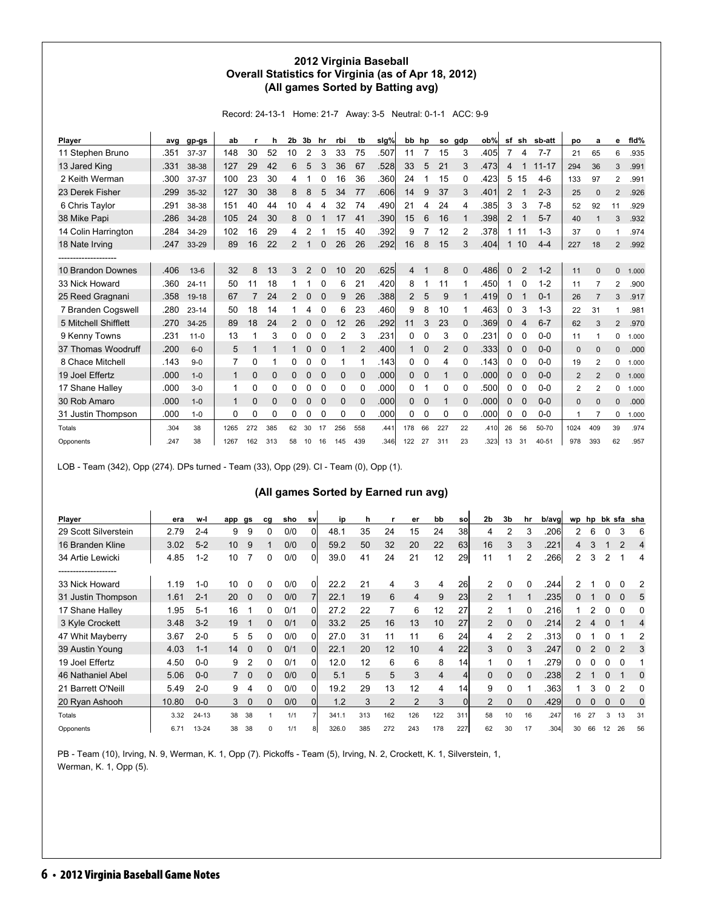# **2012 Virginia Baseball Overall Statistics for Virginia (as of Apr 18, 2012) (All games Sorted by Batting avg)**

Record: 24-13-1 Home: 21-7 Away: 3-5 Neutral: 0-1-1 ACC: 9-9

| Player               | avg  | gp-gs     | ab           |          | h        | 2b             | 3b          | hr       | rbi         | tb             | slg% | bb       | hp          | so  | gdp         | ob%   | sf           | sh             | sb-att    | po             | a              | е              | fid%  |
|----------------------|------|-----------|--------------|----------|----------|----------------|-------------|----------|-------------|----------------|------|----------|-------------|-----|-------------|-------|--------------|----------------|-----------|----------------|----------------|----------------|-------|
| 11 Stephen Bruno     | .351 | 37-37     | 148          | 30       | 52       | 10             | 2           | 3        | 33          | 75             | .507 | 11       |             | 15  | 3           | .405  | 7            | 4              | $7 - 7$   | 21             | 65             | 6              | .935  |
| 13 Jared King        | .331 | 38-38     | 127          | 29       | 42       | 6              | 5           | 3        | 36          | 67             | .528 | 33       | 5           | 21  | 3           | .473  | 4            | 1              | $11 - 17$ | 294            | 36             | 3              | .991  |
| 2 Keith Werman       | .300 | 37-37     | 100          | 23       | 30       | 4              |             |          | 16          | 36             | .360 | 24       |             | 15  | $\Omega$    | .423  | 5            | 15             | $4-6$     | 133            | 97             | $\overline{2}$ | .991  |
| 23 Derek Fisher      | .299 | 35-32     | 127          | 30       | 38       | 8              | 8           | 5        | 34          | 77             | .606 | 14       | 9           | 37  | 3           | .401  | 2            | 1              | $2 - 3$   | 25             | $\mathbf{0}$   | 2              | .926  |
| 6 Chris Taylor       | .291 | 38-38     | 151          | 40       | 44       | 10             | 4           | 4        | 32          | 74             | .490 | 21       | 4           | 24  | 4           | .385  | 3            | 3              | $7-8$     | 52             | 92             | 11             | .929  |
| 38 Mike Papi         | .286 | $34 - 28$ | 105          | 24       | 30       | 8              | 0           |          | 17          | 41             | .390 | 15       | 6           | 16  |             | .3981 | 2            | 1              | $5 - 7$   | 40             |                | 3              | .932  |
| 14 Colin Harrington  | .284 | 34-29     | 102          | 16       | 29       | 4              | 2           |          | 15          | 40             | .392 | 9        |             | 12  | 2           | .378  | 1            | 11             | $1 - 3$   | 37             | 0              |                | .974  |
| 18 Nate Irving       | .247 | 33-29     | 89           | 16       | 22       | 2              |             | $\Omega$ | 26          | 26             | .292 | 16       | 8           | 15  | 3           | .404  | 1            | 10             | $4 - 4$   | 227            | 18             | 2              | .992  |
|                      |      |           |              |          |          |                |             |          |             |                |      |          |             |     |             |       |              |                |           |                |                |                |       |
| 10 Brandon Downes    | .406 | $13-6$    | 32           | 8        | 13       | 3              | 2           | $\Omega$ | 10          | 20             | .625 | 4        |             | 8   | $\Omega$    | .486l | $\mathbf{0}$ | $\overline{2}$ | $1 - 2$   | 11             | $\Omega$       | $\Omega$       | 1.000 |
| 33 Nick Howard       | .360 | $24 - 11$ | 50           | 11       | 18       |                |             | 0        | 6           | 21             | .420 | 8        |             | 11  |             | .450  | 1            | 0              | $1 - 2$   | 11             | $\overline{7}$ | $\overline{2}$ | .900  |
| 25 Reed Gragnani     | .358 | 19-18     | 67           |          | 24       | 2              | 0           | 0        | 9           | 26             | .388 | 2        | 5           | 9   |             | .419  | 0            | 1              | $0 - 1$   | 26             | $\overline{7}$ | 3              | .917  |
| 7 Branden Cogswell   | .280 | $23 - 14$ | 50           | 18       | 14       |                | 4           | 0        | 6           | 23             | .460 | 9        | 8           | 10  |             | .463  | 0            | 3              | $1 - 3$   | 22             | 31             |                | .981  |
| 5 Mitchell Shifflett | .270 | $34 - 25$ | 89           | 18       | 24       | $\overline{2}$ | 0           | $\Omega$ | 12          | 26             | .292 | 11       | 3           | 23  | $\Omega$    | .369  | $\mathbf{0}$ | $\overline{4}$ | $6 - 7$   | 62             | 3              | 2              | .970  |
| 9 Kenny Towns        | .231 | $11 - 0$  | 13           |          | 3        | 0              | 0           | 0        | 2           | 3              | .231 | 0        | 0           | 3   | 0           | .231  | 0            | 0              | $0-0$     | 11             |                | 0              | 1.000 |
| 37 Thomas Woodruff   | .200 | $6 - 0$   | 5            | 1        |          | 1              | $\mathbf 0$ | 0        |             | $\overline{2}$ | .400 | 1        | $\mathbf 0$ | 2   | $\mathbf 0$ | .333  | $\mathbf{0}$ | $\mathbf 0$    | $0 - 0$   | $\mathbf{0}$   | $\mathbf{0}$   | $\mathbf{0}$   | .000  |
| 8 Chace Mitchell     | .143 | $9 - 0$   | 7            | 0        |          | 0              | 0           | 0        | 1           |                | .143 | 0        | 0           | 4   | 0           | .1431 | 0            | 0              | $0-0$     | 19             | 2              | 0              | 1.000 |
| 19 Joel Effertz      | .000 | $1 - 0$   | $\mathbf{1}$ | 0        | $\Omega$ | 0              | $\mathbf 0$ | $\Omega$ | $\mathbf 0$ | $\Omega$       | .000 | $\Omega$ | $\mathbf 0$ |     | $\Omega$    | .000  | $\mathbf{0}$ | $\Omega$       | $0 - 0$   | $\overline{2}$ | 2              | $\Omega$       | 1.000 |
| 17 Shane Halley      | .000 | $3 - 0$   | 1            | 0        | 0        | 0              | 0           | 0        | 0           | 0              | .000 | 0        |             | 0   | $\Omega$    | .500  | 0            | 0              | $0-0$     | 2              | 2              | 0              | 1.000 |
| 30 Rob Amaro         | .000 | $1 - 0$   | $\mathbf{1}$ | $\Omega$ | 0        | 0              | 0           | $\Omega$ | 0           | 0              | .000 | 0        | 0           |     | $\Omega$    | .000  | $\mathbf{0}$ | $\mathbf 0$    | $0 - 0$   | $\mathbf{0}$   | $\Omega$       | $\Omega$       | .000  |
| 31 Justin Thompson   | .000 | $1 - 0$   | 0            | 0        | 0        | 0              | 0           | 0        | 0           | 0              | .000 | 0        | 0           | 0   | 0           | .000  | 0            | 0              | $0-0$     |                |                | 0              | 1.000 |
| Totals               | .304 | 38        | 1265         | 272      | 385      | 62             | 30          | 17       | 256         | 558            | .441 | 178      | 66          | 227 | 22          | .410  | 26           | 56             | 50-70     | 1024           | 409            | 39             | .974  |
| Opponents            | .247 | 38        | 1267         | 162      | 313      | 58             | 10          | 16       | 145         | 439            | .346 | 122      | 27          | 311 | 23          | .323  | 13           | 31             | $40 - 51$ | 978            | 393            | 62             | .957  |

LOB - Team (342), Opp (274). DPs turned - Team (33), Opp (29). CI - Team (0), Opp (1).

# **(All games Sorted by Earned run avg)**

| Player                                   | era   | w-l       | app gs |             | cg | sho | <b>SV</b> | ip    | h   |                | er             | bb             | sol            | 2 <sub>b</sub> | 3b       | hr       | b/avg |                | wp hp |          |    | bk sfa sha |
|------------------------------------------|-------|-----------|--------|-------------|----|-----|-----------|-------|-----|----------------|----------------|----------------|----------------|----------------|----------|----------|-------|----------------|-------|----------|----|------------|
| 29 Scott Silverstein                     | 2.79  | $2 - 4$   | 9      | 9           |    | 0/0 | 0         | 48.1  | 35  | 24             | 15             | 24             | 38             | 4              | 2        | 3        | .206  | $\overline{2}$ | 6     | 0        | 3  | 6          |
| 16 Branden Kline                         | 3.02  | $5-2$     | 10     | 9           |    | 0/0 | 0         | 59.2  | 50  | 32             | 20             | 22             | 63             | 16             | 3        | 3        | .221  | 4              | 3     |          | 2  | 4          |
| 34 Artie Lewicki<br>-------------------- | 4.85  | $1 - 2$   | 10     |             | 0  | 0/0 | 01        | 39.0  | 41  | 24             | 21             | 12             | 29             | 11             |          | 2        | .266  | $\overline{2}$ | 3     | 2        |    | 4          |
| 33 Nick Howard                           | 1.19  | $1 - 0$   | 10     | 0           | 0  | 0/0 | 0         | 22.2  | 21  | 4              | 3              | 4              | 26             | 2              | 0        | 0        | .244  |                |       |          | 0  |            |
| 31 Justin Thompson                       | 1.61  | $2 - 1$   | 20     | $\mathbf 0$ | 0  | 0/0 |           | 22.1  | 19  | 6              | $\overline{4}$ | 9              | 23             | 2              |          |          | .235  | 0              |       | $\Omega$ | 0  | 5          |
| 17 Shane Halley                          | 1.95  | $5 - 1$   | 16     |             | 0  | 0/1 | 0         | 27.2  | 22  | 7              | 6              | 12             | 27             | 2              |          | $\Omega$ | .216  |                |       | 0        | 0  |            |
| 3 Kyle Crockett                          | 3.48  | $3 - 2$   | 19     |             | 0  | 0/1 | 0         | 33.2  | 25  | 16             | 13             | 10             | 27             | 2              | $\Omega$ | $\Omega$ | .214  | $\overline{2}$ |       | $\Omega$ |    | 4          |
| 47 Whit Mayberry                         | 3.67  | $2 - 0$   | 5      | 5           | 0  | 0/0 | 0         | 27.0  | 31  | 11             | 11             | 6              | 24             | 4              | 2        |          | .313  | n              |       |          |    | 2          |
| 39 Austin Young                          | 4.03  | $1 - 1$   | 14     | $\Omega$    | 0  | 0/1 | $\Omega$  | 22.1  | 20  | 12             | 10             | 4              | 22             | 3              | $\Omega$ |          | .247  | O.             |       | $\Omega$ | 2  | 3          |
| 19 Joel Effertz                          | 4.50  | $0-0$     | 9      | 2           | 0  | 0/1 | 0         | 12.0  | 12  | 6              | 6              | 8              | 14             |                | 0        |          | .279  | 0              |       | 0        | 0  |            |
| 46 Nathaniel Abel                        | 5.06  | $0 - 0$   |        | 0           | 0  | 0/0 | 0l        | 5.1   | 5   | 5              | 3              | $\overline{4}$ | 4 <sup>1</sup> | $\Omega$       | $\Omega$ | $\Omega$ | .2381 | $\mathcal{P}$  |       | $\Omega$ |    | 0          |
| 21 Barrett O'Neill                       | 5.49  | $2 - 0$   | 9      | 4           | 0  | 0/0 | 0         | 19.2  | 29  | 13             | 12             | 4              | 14             | 9              | $\Omega$ |          | .363  |                | 3     | O        | 2  |            |
| 20 Ryan Ashooh                           | 10.80 | $0 - 0$   | 3      | 0           |    | 0/0 | $\Omega$  | 1.2   | 3   | $\overline{2}$ | 2              | 3              | 0l             | $\overline{2}$ | $\Omega$ | $\Omega$ | .429  | 0              |       |          | 0  | 0          |
| Totals                                   | 3.32  | $24 - 13$ | 38     | 38          |    | 1/1 |           | 341.1 | 313 | 162            | 126            | 122            | 311            | 58             | 10       | 16       | .247  | 16             | 27    | 3        | 13 | 31         |
| Opponents                                | 6.71  | $13 - 24$ | 38     | 38          | O  | 1/1 |           | 326.0 | 385 | 272            | 243            | 178            | 227            | 62             | 30       | 17       | .304  | 30             | 66    | 12       | 26 | 56         |

PB - Team (10), Irving, N. 9, Werman, K. 1, Opp (7). Pickoffs - Team (5), Irving, N. 2, Crockett, K. 1, Silverstein, 1, Werman, K. 1, Opp (5).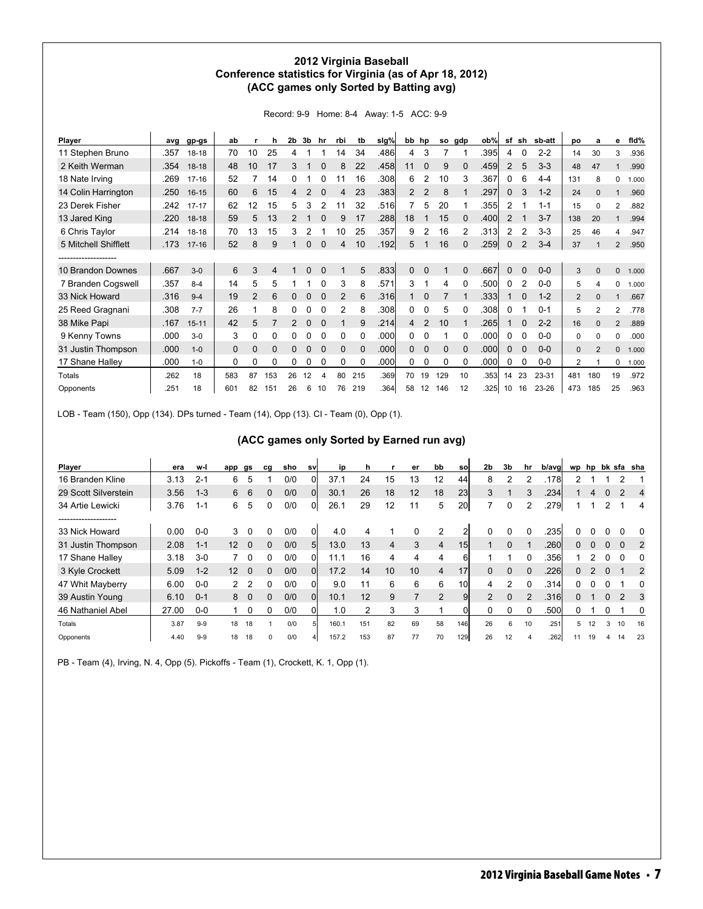# **2012 Virginia Baseball Conference statistics for Virginia (as of Apr 18, 2012) (ACC games only Sorted by Batting avg)**

| Record: 9-9 Home: 8-4 Away: 1-5 ACC: 9-9 |  |  |  |  |
|------------------------------------------|--|--|--|--|
|------------------------------------------|--|--|--|--|

| Player               | ava  | gp-gs     | ab           |                | h   | 2b             | 3b       | hr       | rbi            | tb       | slg% | bb | hp             | so          | gdp            | ob%   | sf             | sh          | sb-att  | po             | a              | е            | fid%  |
|----------------------|------|-----------|--------------|----------------|-----|----------------|----------|----------|----------------|----------|------|----|----------------|-------------|----------------|-------|----------------|-------------|---------|----------------|----------------|--------------|-------|
| 11 Stephen Bruno     | .357 | $18 - 18$ | 70           | 10             | 25  | 4              |          |          | 14             | 34       | .486 | 4  | 3              |             |                | .395  | 4              | 0           | $2 - 2$ | 14             | 30             | 3            | .936  |
| 2 Keith Werman       | .354 | $18-18$   | 48           | 10             | 17  | 3              |          | 0        | 8              | 22       | .458 | 11 | $\Omega$       | 9           | 0              | .459  | $\overline{2}$ | 5           | $3 - 3$ | 48             | 47             |              | .990  |
| 18 Nate Irving       | .269 | $17 - 16$ | 52           |                | 14  | 0              |          | 0        | 11             | 16       | .308 | 6  | 2              | 10          | 3              | .367  | 0              | 6           | $4 - 4$ | 131            | 8              | 0            | 1.000 |
| 14 Colin Harrington  | .250 | $16 - 15$ | 60           | 6              | 15  | 4              |          |          |                | 23       | .383 | 2  | 2              | 8           |                | .297  | 0              | 3           | $1 - 2$ | 24             | $\mathbf{0}$   |              | .960  |
| 23 Derek Fisher      | .242 | $17 - 17$ | 62           | 12             | 15  | 5              | 3        |          | 11             | 32       | .516 |    | 5              | 20          |                | .3551 | $\overline{2}$ | 1           | $1 - 1$ | 15             | 0              | 2            | .882  |
| 13 Jared King        | .220 | $18-18$   | 59           | 5              | 13  | $\overline{2}$ |          | 0        | 9              | 17       | .288 | 18 |                | 15          | 0              | .400  | 2              | 1           | $3 - 7$ | 138            | 20             |              | .994  |
| 6 Chris Taylor       | .214 | $18 - 18$ | 70           | 13             | 15  | 3              |          |          | 10             | 25       | .357 | 9  |                | 16          | $\overline{2}$ | .3131 | $\overline{2}$ | 2           | $3-3$   | 25             | 46             | 4            | .947  |
| 5 Mitchell Shifflett | .173 | $17 - 16$ | 52           | 8              | 9   |                |          | $\Omega$ | 4              | 10       | .192 | 5  |                | 16          | 0              | .259  | 0              | 2           | $3 - 4$ | 37             |                | 2            | .950  |
| ------------------   |      |           |              |                |     |                |          |          |                |          |      |    |                |             |                |       |                |             |         |                |                |              |       |
| 10 Brandon Downes    | .667 | $3-0$     | 6            | 3              | 4   |                | $\Omega$ | $\Omega$ | 1              | 5        | .833 | 0  | $\mathbf 0$    |             | $\Omega$       | .667  | $\mathbf 0$    | $\mathbf 0$ | $0-0$   | 3              | $\mathbf{0}$   | $\mathbf{0}$ | 1.000 |
| 7 Branden Cogswell   | .357 | $8 - 4$   | 14           | 5              | 5   |                |          | 0        | 3              | 8        | .571 | 3  |                | 4           | 0              | .500  | 0              | 2           | $0 - 0$ | 5              | 4              | 0            | 1.000 |
| 33 Nick Howard       | .316 | $9 - 4$   | 19           | $\overline{2}$ | 6   | 0              | $\Omega$ | $\Omega$ | 2              | 6        | .316 |    | $\Omega$       |             |                | .3331 |                | 0           | $1 - 2$ | $\overline{2}$ | $\Omega$       |              | .667  |
| 25 Reed Gragnani     | .308 | $7 - 7$   | 26           |                | 8   | 0              |          | 0        | $\overline{2}$ | 8        | .308 | 0  | 0              | 5           | 0              | .308  | 0              |             | $0 - 1$ | 5              | $\overline{2}$ | 2            | .778  |
| 38 Mike Papi         | .167 | $15 - 11$ | 42           | 5              |     | $\mathcal{P}$  | $\Omega$ | $\Omega$ |                | 9        | .214 | 4  | $\overline{2}$ | 10          |                | .2651 |                | 0           | $2 - 2$ | 16             | $\Omega$       | 2            | .889  |
| 9 Kenny Towns        | .000 | $3-0$     | 3            | 0              | 0   | 0              |          | 0        | 0              | 0        | .000 | 0  | $\Omega$       |             | 0              | .000  | 0              | 0           | $0-0$   | 0              | $\Omega$       | 0            | .000  |
| 31 Justin Thompson   | .000 | $1 - 0$   | $\mathbf{0}$ | $\Omega$       | 0   | 0              | $\Omega$ | $\Omega$ | $\Omega$       | $\Omega$ | .000 | 0  | $\mathbf 0$    | $\mathbf 0$ | 0              | .000l | 0              | $\Omega$    | $0-0$   | $\mathbf{0}$   | 2              | $\Omega$     | 1.000 |
| 17 Shane Halley      | .000 | $1 - 0$   | 0            | 0              | 0   | 0              | 0        | 0        | 0              | 0        | 000. | 0  | 0              | 0           | 0              | .000  | $\Omega$       | 0           | $0-0$   | $\overline{2}$ |                | 0            | 1.000 |
| Totals               | .262 | 18        | 583          | 87             | 153 | 26             | 12       | 4        | 80             | 215      | .369 | 70 | 19             | 129         | 10             | .353  | 14             | 23          | 23-31   | 481            | 180            | 19           | .972  |
| Opponents            | .251 | 18        | 601          | 82             | 151 | 26             | 6        | 10       | 76             | 219      | .364 | 58 | 12             | 146         | 12             | .325  | 10             | 16          | 23-26   | 473            | 185            | 25           | .963  |

LOB - Team (150), Opp (134). DPs turned - Team (14), Opp (13). CI - Team (0), Opp (1).

# **(ACC games only Sorted by Earned run avg)**

| Player               | era   | w-l     | app             | gs       | cg       | sho | sv             | ip    | h   |                | er             | bb             | sol             | 2 <sub>b</sub> | 3b       | hr | b/avg | wp       | hp |          |          | bk sfa sha   |
|----------------------|-------|---------|-----------------|----------|----------|-----|----------------|-------|-----|----------------|----------------|----------------|-----------------|----------------|----------|----|-------|----------|----|----------|----------|--------------|
| 16 Branden Kline     | 3.13  | $2 - 1$ | 6               | 5        |          | 0/0 | 0              | 37.1  | 24  | 15             | 13             | 12             | 44              | 8              | 2        | 2  | .1781 | 2        |    |          | 2        |              |
| 29 Scott Silverstein | 3.56  | $1 - 3$ | 6               | 6        | 0        | 0/0 | $\Omega$       | 30.1  | 26  | 18             | 12             | 18             | 23              | 3              |          | 3  | .234  |          | 4  | 0        |          | 4            |
| 34 Artie Lewicki     | 3.76  | $1 - 1$ | 6               | 5        | 0        | 0/0 | 01             | 26.1  | 29  | 12             | 11             | 5              | <b>20l</b>      |                | $\Omega$ |    | .279  |          |    |          |          | 4            |
| -------------------  |       |         |                 |          |          |     |                |       |     |                |                |                |                 |                |          |    |       |          |    |          |          |              |
| 33 Nick Howard       | 0.00  | $0-0$   | 3               | 0        | 0        | 0/0 | 01             | 4.0   |     |                |                | 2              |                 |                |          |    | .2351 |          |    |          |          | $\Omega$     |
| 31 Justin Thompson   | 2.08  | $1 - 1$ | 12              | $\Omega$ | 0        | 0/0 | 5 <sup>1</sup> | 13.0  | 13  | $\overline{4}$ | 3              | 4              | 15 <sub>l</sub> |                | $\Omega$ |    | .260  | $\Omega$ |    | $\Omega$ | $\Omega$ | 2            |
| 17 Shane Halley      | 3.18  | $3-0$   |                 | $\Omega$ | 0        | 0/0 | 0l             | 11.1  | 16  | 4              | 4              | 4              | 6l              |                |          |    | .356  |          |    | 0        | O        | <sup>0</sup> |
| 3 Kyle Crockett      | 5.09  | $1 - 2$ | 12 <sup>°</sup> | $\Omega$ | 0        | 0/0 | Οl             | 17.2  | 14  | 10             | 10             | $\overline{4}$ | 17              |                | $\Omega$ |    | .226  | 0        |    | $\Omega$ |          | 2            |
| 47 Whit Mayberry     | 6.00  | $0 - 0$ | 2               | 2        | 0        | 0/0 | 0l             | 9.0   |     | 6              | 6              | 6              | 10l             | 4              | 2        |    | .3141 | 0        |    |          |          | 0            |
| 39 Austin Young      | 6.10  | $0 - 1$ | 8               | $\Omega$ | $\Omega$ | 0/0 | $\Omega$       | 10.1  | 12  | 9              | $\overline{7}$ | 2              | 9               | $\overline{2}$ | $\Omega$ | 2  | .3161 | $\Omega$ |    | $\Omega$ | 2        | 3            |
| 46 Nathaniel Abel    | 27.00 | $0-0$   |                 | 0        | 0        | 0/0 | Οl             | 1.0   | 2   | 3              | 3              |                | 01              | 0              | O        |    | .500  | 0        |    | 0        |          | 0            |
| Totals               | 3.87  | $9 - 9$ | 18              | 18       |          | 0/0 |                | 160.1 | 151 | 82             | 69             | 58             | 146             | 26             | 6        | 10 | .251  | 5        | 12 | 3        | 10       | 16           |
| Opponents            | 4.40  | $9-9$   | 18              | 18       | $\Omega$ | 0/0 | 4              | 157.2 | 153 | 87             | 77             | 70             | 129             | 26             | 12       |    | .262  |          | 19 |          | 14       | 23           |

PB - Team (4), Irving, N. 4, Opp (5). Pickoffs - Team (1), Crockett, K. 1, Opp (1).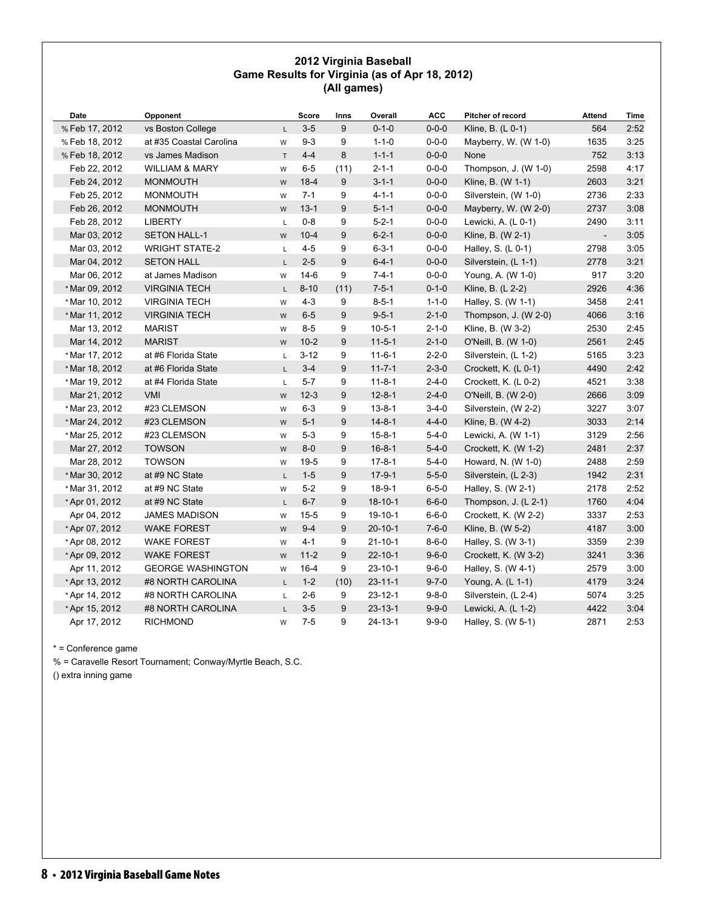# **2012 Virginia Baseball Game Results for Virginia (as of Apr 18, 2012) (All games)**

| Date           | Opponent                  |              | Score    | Inns | Overall       | <b>ACC</b>  | Pitcher of record    | <b>Attend</b>  | Time |
|----------------|---------------------------|--------------|----------|------|---------------|-------------|----------------------|----------------|------|
| % Feb 17, 2012 | vs Boston College         | L            | $3 - 5$  | 9    | $0 - 1 - 0$   | $0 - 0 - 0$ | Kline, B. (L 0-1)    | 564            | 2:52 |
| % Feb 18, 2012 | at #35 Coastal Carolina   | W            | $9 - 3$  | 9    | $1 - 1 - 0$   | $0 - 0 - 0$ | Mayberry, W. (W 1-0) | 1635           | 3:25 |
| % Feb 18, 2012 | vs James Madison          | $\top$       | $4 - 4$  | 8    | $1 - 1 - 1$   | $0 - 0 - 0$ | None                 | 752            | 3:13 |
| Feb 22, 2012   | <b>WILLIAM &amp; MARY</b> | W            | $6 - 5$  | (11) | $2 - 1 - 1$   | $0 - 0 - 0$ | Thompson, J. (W 1-0) | 2598           | 4:17 |
| Feb 24, 2012   | <b>MONMOUTH</b>           | W            | $18-4$   | 9    | $3 - 1 - 1$   | $0 - 0 - 0$ | Kline, B. (W 1-1)    | 2603           | 3:21 |
| Feb 25, 2012   | <b>MONMOUTH</b>           | W            | $7 - 1$  | 9    | $4 - 1 - 1$   | $0 - 0 - 0$ | Silverstein, (W 1-0) | 2736           | 2:33 |
| Feb 26, 2012   | <b>MONMOUTH</b>           | W            | $13 - 1$ | 9    | $5 - 1 - 1$   | $0 - 0 - 0$ | Mayberry, W. (W 2-0) | 2737           | 3:08 |
| Feb 28, 2012   | <b>LIBERTY</b>            | $\mathsf L$  | $0 - 8$  | 9    | $5 - 2 - 1$   | $0 - 0 - 0$ | Lewicki, A. (L 0-1)  | 2490           | 3:11 |
| Mar 03, 2012   | <b>SETON HALL-1</b>       | W            | $10 - 4$ | 9    | $6 - 2 - 1$   | $0 - 0 - 0$ | Kline, B. (W 2-1)    | $\blacksquare$ | 3:05 |
| Mar 03, 2012   | <b>WRIGHT STATE-2</b>     | L            | $4 - 5$  | 9    | $6 - 3 - 1$   | $0 - 0 - 0$ | Halley, S. (L 0-1)   | 2798           | 3:05 |
| Mar 04, 2012   | <b>SETON HALL</b>         | L.           | $2 - 5$  | 9    | $6 - 4 - 1$   | $0 - 0 - 0$ | Silverstein, (L 1-1) | 2778           | 3:21 |
| Mar 06, 2012   | at James Madison          | W            | $14-6$   | 9    | $7 - 4 - 1$   | $0 - 0 - 0$ | Young, A. (W 1-0)    | 917            | 3:20 |
| * Mar 09, 2012 | <b>VIRGINIA TECH</b>      | $\mathsf{L}$ | $8 - 10$ | (11) | $7 - 5 - 1$   | $0 - 1 - 0$ | Kline, B. (L 2-2)    | 2926           | 4:36 |
| * Mar 10, 2012 | <b>VIRGINIA TECH</b>      | W            | $4 - 3$  | 9    | $8 - 5 - 1$   | $1 - 1 - 0$ | Halley, S. (W 1-1)   | 3458           | 2:41 |
| * Mar 11, 2012 | <b>VIRGINIA TECH</b>      | W            | $6-5$    | 9    | $9 - 5 - 1$   | $2 - 1 - 0$ | Thompson, J. (W 2-0) | 4066           | 3:16 |
| Mar 13, 2012   | <b>MARIST</b>             | W            | $8 - 5$  | 9    | $10 - 5 - 1$  | $2 - 1 - 0$ | Kline, B. (W 3-2)    | 2530           | 2:45 |
| Mar 14, 2012   | <b>MARIST</b>             | W            | $10-2$   | 9    | $11 - 5 - 1$  | $2 - 1 - 0$ | O'Neill, B. (W 1-0)  | 2561           | 2:45 |
| * Mar 17, 2012 | at #6 Florida State       | L            | $3 - 12$ | 9    | $11 - 6 - 1$  | $2 - 2 - 0$ | Silverstein, (L 1-2) | 5165           | 3:23 |
| * Mar 18, 2012 | at #6 Florida State       | L            | $3 - 4$  | 9    | $11 - 7 - 1$  | $2 - 3 - 0$ | Crockett, K. (L 0-1) | 4490           | 2:42 |
| * Mar 19, 2012 | at #4 Florida State       | L            | $5 - 7$  | 9    | $11 - 8 - 1$  | $2 - 4 - 0$ | Crockett, K. (L 0-2) | 4521           | 3:38 |
| Mar 21, 2012   | <b>VMI</b>                | W            | $12 - 3$ | 9    | $12 - 8 - 1$  | $2 - 4 - 0$ | O'Neill, B. (W 2-0)  | 2666           | 3:09 |
| * Mar 23, 2012 | #23 CLEMSON               | W            | $6 - 3$  | 9    | $13 - 8 - 1$  | $3-4-0$     | Silverstein, (W 2-2) | 3227           | 3:07 |
| * Mar 24, 2012 | #23 CLEMSON               | ${\sf W}$    | $5 - 1$  | 9    | $14 - 8 - 1$  | $4 - 4 - 0$ | Kline, B. (W 4-2)    | 3033           | 2:14 |
| * Mar 25, 2012 | #23 CLEMSON               | W            | $5 - 3$  | 9    | $15 - 8 - 1$  | $5 - 4 - 0$ | Lewicki, A. (W 1-1)  | 3129           | 2:56 |
| Mar 27, 2012   | <b>TOWSON</b>             | W            | $8 - 0$  | 9    | $16 - 8 - 1$  | $5 - 4 - 0$ | Crockett, K. (W 1-2) | 2481           | 2:37 |
| Mar 28, 2012   | <b>TOWSON</b>             | W            | $19-5$   | 9    | $17 - 8 - 1$  | $5 - 4 - 0$ | Howard, N. (W 1-0)   | 2488           | 2:59 |
| * Mar 30, 2012 | at #9 NC State            | $\mathsf{L}$ | $1 - 5$  | 9    | $17-9-1$      | $5 - 5 - 0$ | Silverstein, (L 2-3) | 1942           | 2:31 |
| * Mar 31, 2012 | at #9 NC State            | W            | $5-2$    | 9    | $18-9-1$      | $6 - 5 - 0$ | Halley, S. (W 2-1)   | 2178           | 2:52 |
| *Apr 01, 2012  | at #9 NC State            | L            | $6 - 7$  | 9    | $18 - 10 - 1$ | $6 - 6 - 0$ | Thompson, J. (L 2-1) | 1760           | 4:04 |
| Apr 04, 2012   | <b>JAMES MADISON</b>      | W            | $15 - 5$ | 9    | $19 - 10 - 1$ | $6 - 6 - 0$ | Crockett, K. (W 2-2) | 3337           | 2:53 |
| * Apr 07, 2012 | <b>WAKE FOREST</b>        | W            | $9 - 4$  | 9    | $20 - 10 - 1$ | $7 - 6 - 0$ | Kline, B. (W 5-2)    | 4187           | 3:00 |
| * Apr 08, 2012 | <b>WAKE FOREST</b>        | W            | $4 - 1$  | 9    | $21 - 10 - 1$ | $8 - 6 - 0$ | Halley, S. (W 3-1)   | 3359           | 2:39 |
| *Apr 09, 2012  | <b>WAKE FOREST</b>        | W            | $11-2$   | 9    | $22 - 10 - 1$ | $9 - 6 - 0$ | Crockett, K. (W 3-2) | 3241           | 3:36 |
| Apr 11, 2012   | <b>GEORGE WASHINGTON</b>  | W            | $16 - 4$ | 9    | $23 - 10 - 1$ | $9 - 6 - 0$ | Halley, S. (W 4-1)   | 2579           | 3:00 |
| *Apr 13, 2012  | #8 NORTH CAROLINA         | $\mathsf{L}$ | $1 - 2$  | (10) | $23 - 11 - 1$ | $9 - 7 - 0$ | Young, A. (L 1-1)    | 4179           | 3:24 |
| * Apr 14, 2012 | #8 NORTH CAROLINA         | L            | $2 - 6$  | 9    | $23 - 12 - 1$ | $9 - 8 - 0$ | Silverstein, (L 2-4) | 5074           | 3:25 |
| *Apr 15, 2012  | #8 NORTH CAROLINA         | L            | $3-5$    | 9    | $23 - 13 - 1$ | $9 - 9 - 0$ | Lewicki, A. (L 1-2)  | 4422           | 3:04 |
| Apr 17, 2012   | <b>RICHMOND</b>           | W            | $7 - 5$  | 9    | $24 - 13 - 1$ | $9 - 9 - 0$ | Halley, S. (W 5-1)   | 2871           | 2:53 |

\* = Conference game

% = Caravelle Resort Tournament; Conway/Myrtle Beach, S.C.

() extra inning game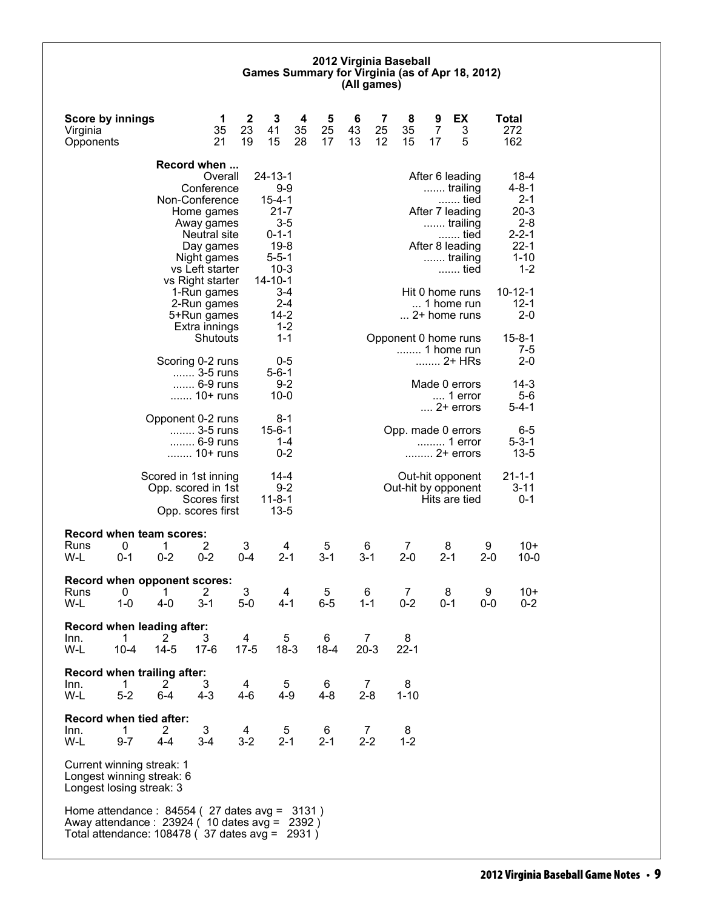#### **2012 Virginia Baseball Games Summary for Virginia (as of Apr 18, 2012) (All games)**

| <b>Score by innings</b><br>Virginia<br>Opponents                                                                                                             |               |                                  | 1<br>35<br>21                                                                                                                                          | $\mathbf{2}$<br>23<br>19 | 3<br>41<br>15                                                                                                                  | 4<br>35<br>28 | 5<br>25<br>17 | 6<br>43<br>13            | 7<br>25<br>12  | 8<br>35<br>15                      | 9<br>7<br>17 | EX<br>3<br>5                                                                                                      |              | <b>Total</b><br>272<br>162                                                                      |
|--------------------------------------------------------------------------------------------------------------------------------------------------------------|---------------|----------------------------------|--------------------------------------------------------------------------------------------------------------------------------------------------------|--------------------------|--------------------------------------------------------------------------------------------------------------------------------|---------------|---------------|--------------------------|----------------|------------------------------------|--------------|-------------------------------------------------------------------------------------------------------------------|--------------|-------------------------------------------------------------------------------------------------|
|                                                                                                                                                              |               |                                  | Record when                                                                                                                                            |                          |                                                                                                                                |               |               |                          |                |                                    |              |                                                                                                                   |              |                                                                                                 |
|                                                                                                                                                              |               |                                  | Overall<br>Conference<br>Non-Conference<br>Home games<br>Away games<br>Neutral site<br>Day games<br>Night games<br>vs Left starter<br>vs Right starter |                          | $24 - 13 - 1$<br>$9-9$<br>$15 - 4 - 1$<br>$21 - 7$<br>$3-5$<br>$0 - 1 - 1$<br>$19-8$<br>$5 - 5 - 1$<br>$10-3$<br>$14 - 10 - 1$ |               |               |                          |                |                                    |              | After 6 leading<br>trailing<br>tied<br>After 7 leading<br>trailing<br>tied<br>After 8 leading<br>trailing<br>tied |              | 18-4<br>4-8-1<br>$2 - 1$<br>$20-3$<br>$2 - 8$<br>$2 - 2 - 1$<br>$22 - 1$<br>$1 - 10$<br>$1 - 2$ |
|                                                                                                                                                              |               |                                  | 1-Run games<br>2-Run games<br>5+Run games<br>Extra innings                                                                                             |                          | $3 - 4$<br>$2 - 4$<br>$14 - 2$<br>$1 - 2$                                                                                      |               |               |                          |                |                                    |              | Hit 0 home runs<br>1 home run<br>2+ home runs                                                                     |              | $10 - 12 - 1$<br>$12 - 1$<br>$2 - 0$                                                            |
|                                                                                                                                                              |               |                                  | Shutouts<br>Scoring 0-2 runs                                                                                                                           |                          | $1 - 1$<br>0-5                                                                                                                 |               |               |                          |                | Opponent 0 home runs<br>1 home run |              | 2+ HRs                                                                                                            |              | $15 - 8 - 1$<br>7-5<br>$2 - 0$                                                                  |
|                                                                                                                                                              |               |                                  | 3-5 runs<br>6-9 runs<br>10+ runs                                                                                                                       |                          | $5 - 6 - 1$<br>$9 - 2$<br>$10 - 0$                                                                                             |               |               |                          |                |                                    |              | Made 0 errors<br>$\dots$ 1 error<br>$\dots$ 2+ errors                                                             |              | $14 - 3$<br>$5-6$<br>$5 - 4 - 1$                                                                |
|                                                                                                                                                              |               |                                  | Opponent 0-2 runs<br>3-5 runs<br>6-9 runs<br>10+ runs                                                                                                  |                          | 8-1<br>$15 - 6 - 1$<br>$1 - 4$<br>$0 - 2$                                                                                      |               |               |                          |                | Opp. made 0 errors                 |              | 1 error<br>2+ errors                                                                                              |              | $6-5$<br>$5 - 3 - 1$<br>$13 - 5$                                                                |
|                                                                                                                                                              |               |                                  | Scored in 1st inning<br>Opp. scored in 1st<br>Scores first<br>Opp. scores first                                                                        |                          | 14-4<br>$9 - 2$<br>$11 - 8 - 1$<br>$13 - 5$                                                                                    |               |               |                          |                | Out-hit by opponent                |              | Out-hit opponent<br>Hits are tied                                                                                 |              | $21 - 1 - 1$<br>$3 - 11$<br>$0 - 1$                                                             |
| <b>Record when team scores:</b><br>Runs<br>W-L                                                                                                               | 0<br>$0 - 1$  | 1<br>$0 - 2$                     | 2<br>$0 - 2$                                                                                                                                           | 3<br>$0 - 4$             | 4<br>$2 - 1$                                                                                                                   |               | 5<br>$3 - 1$  | 6<br>$3 - 1$             |                | $\overline{7}$<br>$2 - 0$          |              | 8<br>$2 - 1$                                                                                                      | 9<br>$2 - 0$ | $10+$<br>$10 - 0$                                                                               |
| Record when opponent scores:<br>Runs<br>W-L                                                                                                                  | 0<br>$1 - 0$  | 1<br>$4 - 0$                     | 2<br>$3 - 1$                                                                                                                                           | 3<br>$5-0$               | 4<br>4-1                                                                                                                       |               | 5<br>$6-5$    | 6<br>$1 - 1$             |                | 7<br>$0 - 2$                       |              | 8<br>0-1                                                                                                          | 9<br>0-0     | $10+$<br>$0 - 2$                                                                                |
| Record when leading after:<br>Inn.<br>W-L                                                                                                                    | 1<br>$10 - 4$ | 2<br>$14 - 5$                    | 3<br>$17-6$                                                                                                                                            | 4<br>$17-5$              | 5<br>$18-3$                                                                                                                    |               | 6<br>$18 - 4$ | $\overline{7}$<br>$20-3$ |                | 8<br>$22 - 1$                      |              |                                                                                                                   |              |                                                                                                 |
| Record when trailing after:<br>Inn.<br>W-L                                                                                                                   | 1<br>$5-2$    | $\mathbf{2}^{\prime}$<br>$6 - 4$ | 3<br>$4 - 3$                                                                                                                                           | 4<br>4-6                 | 5<br>$4 - 9$                                                                                                                   |               | 6<br>$4 - 8$  | $2 - 8$                  | $\overline{7}$ | 8<br>$1 - 10$                      |              |                                                                                                                   |              |                                                                                                 |
| Record when tied after:<br>Inn.<br>W-L                                                                                                                       | 1<br>$9 - 7$  | 2<br>$4 - 4$                     | 3<br>$3 - 4$                                                                                                                                           | 4<br>$3 - 2$             | 5<br>$2 - 1$                                                                                                                   |               | 6<br>$2 - 1$  | $2 - 2$                  | 7              | 8<br>$1 - 2$                       |              |                                                                                                                   |              |                                                                                                 |
| Current winning streak: 1<br>Longest winning streak: 6<br>Longest losing streak: 3                                                                           |               |                                  |                                                                                                                                                        |                          |                                                                                                                                |               |               |                          |                |                                    |              |                                                                                                                   |              |                                                                                                 |
| Home attendance: 84554 (27 dates avg = 3131)<br>Away attendance: 23924 (10 dates avg = 2392)<br>Total attendance: 108478 ( $\overline{37}$ dates avg = 2931) |               |                                  |                                                                                                                                                        |                          |                                                                                                                                |               |               |                          |                |                                    |              |                                                                                                                   |              |                                                                                                 |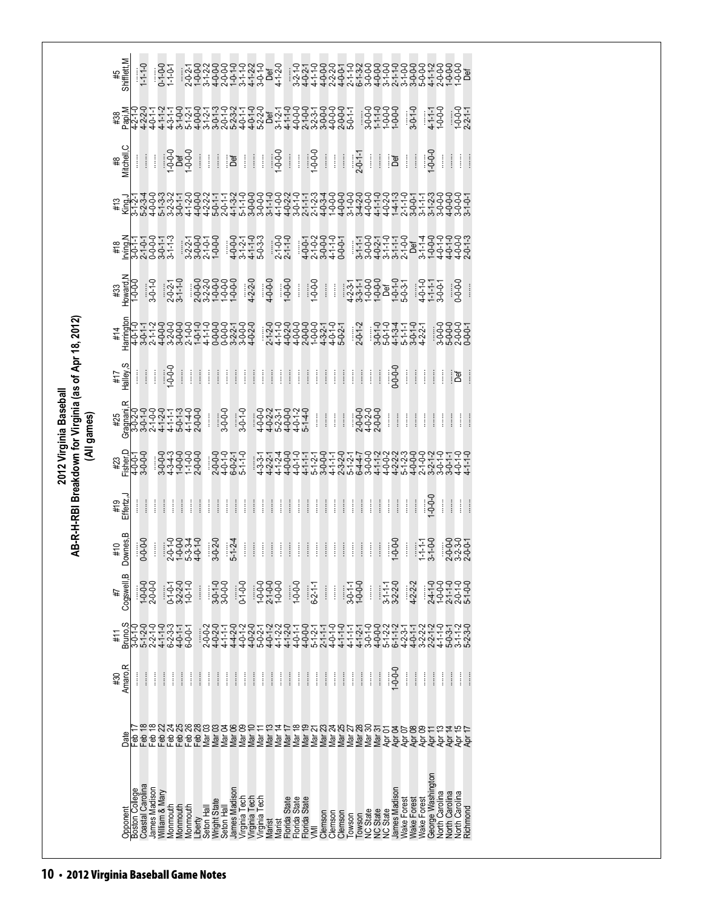| Cogswell, B<br>4#<br>Bruno.S<br>3-0-1-0<br>#11<br>Amaro, R<br>#30 | $0 - 0 - 0$<br>1-0-0-0<br>2-0-0-0<br>$5 - 1 - 2 - 0$<br>İ<br>ļ | $2 - 2 - 1 - 0$<br>İ                                                                                                                                 | $4 - 1 - 0$<br>6-2-3-3<br>Î<br>$\vdots$ | 0-1-0-1<br>3-2-2-0<br>1-0-1-0<br>4-0-1-1<br>6-0-0-1<br>ĺ<br>ļ                                              | $\vdots$<br>$\vdots$            | 3-0-1-0<br>3-0-0-0<br>$4 - 0 - 2 - 0$<br>$4 - 1 - 1$<br>$2 - 0 - 0 - 2$<br>Î<br>ļ                                                                                | İ | $0-1-0-0$<br>Î<br>ļ                                                                                          | 020012<br>202001<br>02001<br>02001<br>$\begin{array}{c} \vdots \\ \vdots \\ \vdots \end{array}$ | $1 - 0 - 0 - 0$<br>$2 - 1 - 0 - 0$<br>$1 - 0 - 0 - 0$<br>$\vdots$<br>ļ                                               | İ<br>İ                                          | $1 - 0 - 0 - 0$<br>ļ | $6 - 2 - 1 - 1$<br>Î<br>Î                                                                                                                                                                                                                                                                                              | $\begin{array}{c} \vdots \\ \vdots \\ \vdots \end{array}$<br>$4 - 0 - 1 - 0$<br>$\begin{array}{c} \vdots \\ \vdots \\ \vdots \end{array}$ | $\vdots$<br>$4 - 1 - 0$<br>$\vdots$<br>ļ                  | $3-0-1-1$<br>1-0-0-0<br>$4 - 1 - 1 - 1$<br>ļ              | ļ                                                                                                                                                                                                                                                             | İ<br>$\frac{1}{2}$<br>ļ                                              | $3-1-1$<br>$3-2-2-0$<br>$6 - 1 - 1 - 2$ | $4 - 2 - 3 - 1$<br>$0 - 0 - 0 - 1$                                                                                                             | $4 - 2 - 2 - 2$<br>$4 - 0 - 1 - 1$<br>ļ                                                                                                                                                  | $\begin{array}{c} \vdots \\ \vdots \\ \vdots \end{array}$<br>ļ | $3-2-2$<br>$2-1-2$<br>ļ                                                                                                                                     | $4 - 1 - 0$<br>$5 - 0 - 3 - 1$<br>İ                                                                                                            | $3 - 1 - 2$<br>$5 - 2 - 3 - 0$<br>Î<br>Î                                                                                                                                                                                                                                                                                                                                                                                                                                             |
|-------------------------------------------------------------------|----------------------------------------------------------------|------------------------------------------------------------------------------------------------------------------------------------------------------|-----------------------------------------|------------------------------------------------------------------------------------------------------------|---------------------------------|------------------------------------------------------------------------------------------------------------------------------------------------------------------|---|--------------------------------------------------------------------------------------------------------------|-------------------------------------------------------------------------------------------------|----------------------------------------------------------------------------------------------------------------------|-------------------------------------------------|----------------------|------------------------------------------------------------------------------------------------------------------------------------------------------------------------------------------------------------------------------------------------------------------------------------------------------------------------|-------------------------------------------------------------------------------------------------------------------------------------------|-----------------------------------------------------------|-----------------------------------------------------------|---------------------------------------------------------------------------------------------------------------------------------------------------------------------------------------------------------------------------------------------------------------|----------------------------------------------------------------------|-----------------------------------------|------------------------------------------------------------------------------------------------------------------------------------------------|------------------------------------------------------------------------------------------------------------------------------------------------------------------------------------------|----------------------------------------------------------------|-------------------------------------------------------------------------------------------------------------------------------------------------------------|------------------------------------------------------------------------------------------------------------------------------------------------|--------------------------------------------------------------------------------------------------------------------------------------------------------------------------------------------------------------------------------------------------------------------------------------------------------------------------------------------------------------------------------------------------------------------------------------------------------------------------------------|
|                                                                   |                                                                |                                                                                                                                                      |                                         |                                                                                                            |                                 |                                                                                                                                                                  |   |                                                                                                              |                                                                                                 |                                                                                                                      |                                                 |                      |                                                                                                                                                                                                                                                                                                                        |                                                                                                                                           |                                                           |                                                           |                                                                                                                                                                                                                                                               |                                                                      |                                         |                                                                                                                                                |                                                                                                                                                                                          |                                                                |                                                                                                                                                             |                                                                                                                                                |                                                                                                                                                                                                                                                                                                                                                                                                                                                                                      |
|                                                                   |                                                                |                                                                                                                                                      |                                         |                                                                                                            |                                 |                                                                                                                                                                  |   |                                                                                                              |                                                                                                 |                                                                                                                      |                                                 |                      |                                                                                                                                                                                                                                                                                                                        |                                                                                                                                           |                                                           |                                                           |                                                                                                                                                                                                                                                               |                                                                      |                                         |                                                                                                                                                |                                                                                                                                                                                          |                                                                |                                                                                                                                                             |                                                                                                                                                |                                                                                                                                                                                                                                                                                                                                                                                                                                                                                      |
|                                                                   |                                                                |                                                                                                                                                      |                                         |                                                                                                            |                                 |                                                                                                                                                                  |   |                                                                                                              |                                                                                                 |                                                                                                                      |                                                 |                      |                                                                                                                                                                                                                                                                                                                        |                                                                                                                                           |                                                           |                                                           |                                                                                                                                                                                                                                                               |                                                                      |                                         |                                                                                                                                                |                                                                                                                                                                                          |                                                                |                                                                                                                                                             |                                                                                                                                                |                                                                                                                                                                                                                                                                                                                                                                                                                                                                                      |
|                                                                   |                                                                |                                                                                                                                                      |                                         |                                                                                                            |                                 | $3 - 0 - 2 - 0$                                                                                                                                                  |   | $\begin{array}{c} \vdots \\ \vdots \\ \vdots \end{array}$                                                    | $\frac{1}{2}$                                                                                   | $\vdots$                                                                                                             | $\frac{1}{2}$                                   | Î                    | $\frac{1}{2}$                                                                                                                                                                                                                                                                                                          | $\begin{array}{c} \vdots \\ \vdots \\ \vdots \end{array}$                                                                                 | Î                                                         | $\begin{array}{c} \vdots \\ \vdots \\ \vdots \end{array}$ | $\begin{array}{c} \vdots \\ \vdots \\ \vdots \end{array}$                                                                                                                                                                                                     |                                                                      |                                         |                                                                                                                                                | $\vdots$                                                                                                                                                                                 |                                                                |                                                                                                                                                             |                                                                                                                                                | 232011<br>232011<br>232011                                                                                                                                                                                                                                                                                                                                                                                                                                                           |
| Effertz, J<br>#19                                                 | $\vdots$                                                       | ł                                                                                                                                                    |                                         | $\vdots$                                                                                                   | $\vdots$                        | ł                                                                                                                                                                | ļ |                                                                                                              | $\begin{array}{c} \vdots \\ \vdots \\ \vdots \end{array}$                                       | $\frac{1}{2}$                                                                                                        | ł                                               | Î                    | ļ                                                                                                                                                                                                                                                                                                                      | $\vdots$                                                                                                                                  |                                                           | ł                                                         |                                                                                                                                                                                                                                                               |                                                                      | Î                                       |                                                                                                                                                |                                                                                                                                                                                          |                                                                |                                                                                                                                                             | Î                                                                                                                                              | $\frac{1}{2}$<br>ł                                                                                                                                                                                                                                                                                                                                                                                                                                                                   |
| $#23$<br>Fisher, D                                                |                                                                |                                                                                                                                                      |                                         |                                                                                                            |                                 |                                                                                                                                                                  |   |                                                                                                              |                                                                                                 |                                                                                                                      |                                                 |                      |                                                                                                                                                                                                                                                                                                                        |                                                                                                                                           |                                                           |                                                           |                                                                                                                                                                                                                                                               |                                                                      |                                         |                                                                                                                                                |                                                                                                                                                                                          |                                                                |                                                                                                                                                             |                                                                                                                                                | $4 - 0 - 1 - 0$<br>$4 - 1 - 0$                                                                                                                                                                                                                                                                                                                                                                                                                                                       |
| Gragnani <sub>.R</sub>                                            |                                                                |                                                                                                                                                      |                                         |                                                                                                            |                                 |                                                                                                                                                                  |   |                                                                                                              |                                                                                                 |                                                                                                                      |                                                 |                      |                                                                                                                                                                                                                                                                                                                        | Î                                                                                                                                         |                                                           |                                                           |                                                                                                                                                                                                                                                               |                                                                      | $\vdots$                                |                                                                                                                                                |                                                                                                                                                                                          |                                                                | $\frac{1}{2}$                                                                                                                                               | İ                                                                                                                                              | $\vdots$<br>ĺ                                                                                                                                                                                                                                                                                                                                                                                                                                                                        |
| Halley, S<br>#17                                                  | Î                                                              | Î                                                                                                                                                    |                                         | $\vdots$                                                                                                   | $\vdots$                        | ĺ                                                                                                                                                                | ļ |                                                                                                              | Î                                                                                               | $\vdots$                                                                                                             | Î                                               | Î                    | $\vdots$                                                                                                                                                                                                                                                                                                               | Ì                                                                                                                                         | Î                                                         | ļ                                                         |                                                                                                                                                                                                                                                               |                                                                      |                                         |                                                                                                                                                |                                                                                                                                                                                          |                                                                | ļ                                                                                                                                                           | ł                                                                                                                                              | ිරි                                                                                                                                                                                                                                                                                                                                                                                                                                                                                  |
| <b>Harringtor</b><br>#14                                          | $3 - 0 - 1 - 1$                                                |                                                                                                                                                      |                                         |                                                                                                            |                                 |                                                                                                                                                                  |   |                                                                                                              |                                                                                                 |                                                                                                                      |                                                 |                      |                                                                                                                                                                                                                                                                                                                        |                                                                                                                                           |                                                           |                                                           |                                                                                                                                                                                                                                                               |                                                                      |                                         |                                                                                                                                                |                                                                                                                                                                                          |                                                                |                                                                                                                                                             |                                                                                                                                                |                                                                                                                                                                                                                                                                                                                                                                                                                                                                                      |
| Howard, N<br>#33                                                  |                                                                |                                                                                                                                                      |                                         |                                                                                                            |                                 |                                                                                                                                                                  |   |                                                                                                              |                                                                                                 |                                                                                                                      |                                                 |                      |                                                                                                                                                                                                                                                                                                                        | $\frac{1}{2}$                                                                                                                             |                                                           |                                                           |                                                                                                                                                                                                                                                               |                                                                      |                                         |                                                                                                                                                |                                                                                                                                                                                          |                                                                |                                                                                                                                                             |                                                                                                                                                | $-0-0-0$                                                                                                                                                                                                                                                                                                                                                                                                                                                                             |
|                                                                   |                                                                |                                                                                                                                                      |                                         |                                                                                                            |                                 |                                                                                                                                                                  |   |                                                                                                              |                                                                                                 |                                                                                                                      |                                                 |                      |                                                                                                                                                                                                                                                                                                                        |                                                                                                                                           |                                                           |                                                           |                                                                                                                                                                                                                                                               |                                                                      |                                         |                                                                                                                                                |                                                                                                                                                                                          |                                                                |                                                                                                                                                             |                                                                                                                                                |                                                                                                                                                                                                                                                                                                                                                                                                                                                                                      |
| #13                                                               |                                                                |                                                                                                                                                      |                                         |                                                                                                            |                                 |                                                                                                                                                                  |   |                                                                                                              |                                                                                                 |                                                                                                                      |                                                 |                      |                                                                                                                                                                                                                                                                                                                        |                                                                                                                                           |                                                           |                                                           |                                                                                                                                                                                                                                                               |                                                                      |                                         |                                                                                                                                                |                                                                                                                                                                                          |                                                                |                                                                                                                                                             |                                                                                                                                                |                                                                                                                                                                                                                                                                                                                                                                                                                                                                                      |
| Mitchell, C                                                       | Î                                                              | İ                                                                                                                                                    |                                         |                                                                                                            | $\vdots$                        | ļ                                                                                                                                                                |   |                                                                                                              | $\begin{array}{c} \vdots \\ \vdots \\ \vdots \end{array}$                                       |                                                                                                                      |                                                 | ĺ                    |                                                                                                                                                                                                                                                                                                                        | $\frac{1}{2}$                                                                                                                             |                                                           |                                                           |                                                                                                                                                                                                                                                               |                                                                      |                                         |                                                                                                                                                |                                                                                                                                                                                          |                                                                |                                                                                                                                                             | ĺ                                                                                                                                              | $\vdots$<br>Î                                                                                                                                                                                                                                                                                                                                                                                                                                                                        |
| Papi, M                                                           |                                                                |                                                                                                                                                      |                                         |                                                                                                            |                                 |                                                                                                                                                                  |   |                                                                                                              |                                                                                                 |                                                                                                                      |                                                 |                      |                                                                                                                                                                                                                                                                                                                        |                                                                                                                                           |                                                           |                                                           |                                                                                                                                                                                                                                                               |                                                                      |                                         |                                                                                                                                                |                                                                                                                                                                                          |                                                                |                                                                                                                                                             |                                                                                                                                                | $1 - 0 - 0 - 0$<br>$2 - 2 - 1 - 1$                                                                                                                                                                                                                                                                                                                                                                                                                                                   |
| Shifflett,M                                                       | $1 - 1 - 0$                                                    |                                                                                                                                                      |                                         |                                                                                                            |                                 |                                                                                                                                                                  |   |                                                                                                              |                                                                                                 |                                                                                                                      |                                                 |                      |                                                                                                                                                                                                                                                                                                                        |                                                                                                                                           |                                                           |                                                           |                                                                                                                                                                                                                                                               |                                                                      |                                         |                                                                                                                                                |                                                                                                                                                                                          |                                                                |                                                                                                                                                             |                                                                                                                                                |                                                                                                                                                                                                                                                                                                                                                                                                                                                                                      |
|                                                                   |                                                                | İ<br>$\frac{1}{3}$<br>$\frac{1}{2}$<br>$\frac{1}{3}$<br>$\frac{1}{3}$<br>$\frac{1}{3}$<br>$\frac{1}{3}$<br>$-0-0$<br>$4 - 0 - 0 - 1$<br>3-0-0-0<br>ļ | $3 - 0 - 1 - 0$<br>$2 - 1 - 1 - 2$      | 0-1-0-0<br>1-1-0-1<br>1100113<br>1100111<br>110011<br>$-0.0 - 0$<br>Î<br>Downes, B<br>$\frac{1}{2}$<br>#10 | $2 - 0 - 2 - 1$<br>3-1-1-0<br>ł | $1 - 0 - 0 - 0$<br>Î<br>coded キャマイク<br>Coded - イーロー<br>Coded - イートイー<br>844448<br>  94666<br>  94666<br>ŧ<br>$2-0-1-0$<br>1-0-0-0<br>5-3-3-4<br>5-3-4<br>4-0-1-0 |   | ł<br>$3-2-1$<br>$3-0-0-1$<br>$2-1-0-0-1$<br>$1-0-0-1$<br>ĺ<br>$3 - 0 - 0 - 0$<br>$\ddot{\ddot{\phantom{a}}}$ | ief<br>Def<br>$\vdots$<br>$\frac{1}{2}$<br>$5 - 1 - 2 - 4$                                      | Î<br>$4 - 2 - 2 - 0$<br>ヰ₩₩₩∸ヰヮヮ₩₩ヰ<br>ѻӥѻ҅ѻ҅҅҅҅҅҅҅҅҅҅҅҅ҿ҅҅҅҅҅Ҿѻ҅ӥѻ҆ѻ<br>ѻѻѻѻ҅҅҅҅҅҅҅ѻ҅҅<br>Î<br>$3 - 0 - 1 - 0$<br>Î | ł<br>$4 - 0 - 0 - 0$<br>ļ<br>ļ<br>$\frac{1}{2}$ | $1 - 0 - 0 - 0$      | $\frac{1}{2}$<br>$2 - 1 - 0$<br>$2 - 1 - 1 - 0$<br>$1 - 0 - 0 - 0$<br>İ<br>0022100210<br>10022001<br>1002001<br>10020<br>$\ddot{\ddot{\phantom{}}\phantom{}}$<br>$\begin{array}{c} \begin{array}{c} \begin{array}{c} \begin{array}{c} \end{array} \\ \begin{array}{c} \end{array} \end{array} \end{array} \end{array}$ | $5 - 1 - 4 - 0$                                                                                                                           | $1 - 0 - 0 - 0$<br>$\frac{1}{10-0.0}$<br>Î<br>ĺ<br>ł<br>Î | ĺ<br>ł<br>ļ                                               | <del>ללקי</del> שי של שטטמי לאחר של לקטומי לאחר<br>טוב בלקילי להלקילי להודי להלקילי לה<br>את הלקילי להלקילי להלקילי להלקילי לה<br>הלה להלה להלקילי להלקילי להלקילי להלקילי<br>$\mathop{\mathbb{I}}$<br>$\vdots$<br>$\vdots$<br>$\frac{1}{2}$<br>$\frac{1}{2}$ | $2 - 0 - 1 - 1$<br>$2 - 0 - 1 - 2$<br>$\frac{1}{2}$<br>$\frac{1}{2}$ | ĺ<br>Î<br>I<br>f.                       | $\vdots$<br>$\frac{1}{2}$<br>$2-0-0-0$<br>$4-0-2-0$<br>$2-0-0-0$<br>$\frac{1}{2}$<br>$\begin{array}{c} \vdots \\ \vdots \\ \vdots \end{array}$ | $\begin{array}{c}\n 3-0-0-0 \\  -1-0-0-0 \\  -1-0-0\n \end{array}$<br>jar<br>$0 - 0 - 0 - 0$<br>$\begin{array}{c} \vdots \\ \vdots \\ \vdots \end{array}$<br>$\vdots$<br>$1 - 0 - 0 - 0$ | Î<br>ł<br>ł<br>$\vdots$                                        | $3 - 0 - 1 - 0$<br>$\begin{array}{c} \begin{array}{c} 1 \\ 1 \end{array} \\ \begin{array}{c} 1 \end{array} \end{array}$<br>$\vdots$<br>$\vdots$<br>$\vdots$ | $1 - 0 - 0 - 0$<br>3-0-1-1<br>5-0-1-3-4<br>5-0-1-1-1-0<br>4-2-2-1<br>5-0-1-0<br>4-2-2-1<br>Î<br>$\vdots$<br>$-0.0 - 0$<br>$1-1-1-1$<br>3-1-0-0 | ؖ؋ؖؖؖؖؖ<br>ؙڹ؆ڂۻ؋؇ڂڿۻ؋ۻڿڿۻۄۻڂۻۻڂ<br>ؖڹڗ؇ڂۻ؇؋؊؋ڮۄڂڿڿۻۻۻڂۻۻڂ<br>ؙ؋ڋۼۻڂۻڣۻۼۻۼۻۻۻۻۻڂڂ<br>$4 - 1 - 1 - 1$<br>1-0-0-0<br>゚゠゚ゖ゙ゕ゚゚゚ヰゕ゚ゕ゚ゖヸヸヸゕヷヸゕ゚ゕ゚ゕ゚ヸヸゕ゚ゕ゚ヸヸヸヸヸヸヸヸヸヸヸヸヸヸ<br>゚゚゠゚ゖ゙ゕ゚゚ゖゖゖ゙ゖゖゖゖヸゖゖゖゟゖ゠ゖゖゖ゠ゖゖゖゖゖゖゖゖゖゖゖゖゖゖゖゖゖ<br>゙゠゚ゖゕゟゕゕ゠ゟゟゕ゠゠ゕゟゟゟゟゟゟゟ゠ゕ゙ヸゟゟゟゟゟゟゟゕゟ゠ヸゕゟゟゟ゠<br>$4-1-1$ -1<br>1-1-1-1<br>3-0-0-1<br>$\begin{array}{c} 0.00000 \\ 0.00000 \\ 0.00000 \\ 0.00000 \end{array}$<br><del>ؘ<br/>ۨؖڹؘۣۺ؇ۻڮڂڿۄۻڿ؇ڿۼ؋ڂۻۻۻڿۻڿۄ<br/>ؙ؋؇ۻڮڂڿ؋ڮڿۺڿۼ؋ڂۻۻۻۻڿۻڿ<br/>ؙڿڂ؋ۻڂڿ؋ڿۻڿۻۻڣۻۻۻۻۻۻۻ</del> |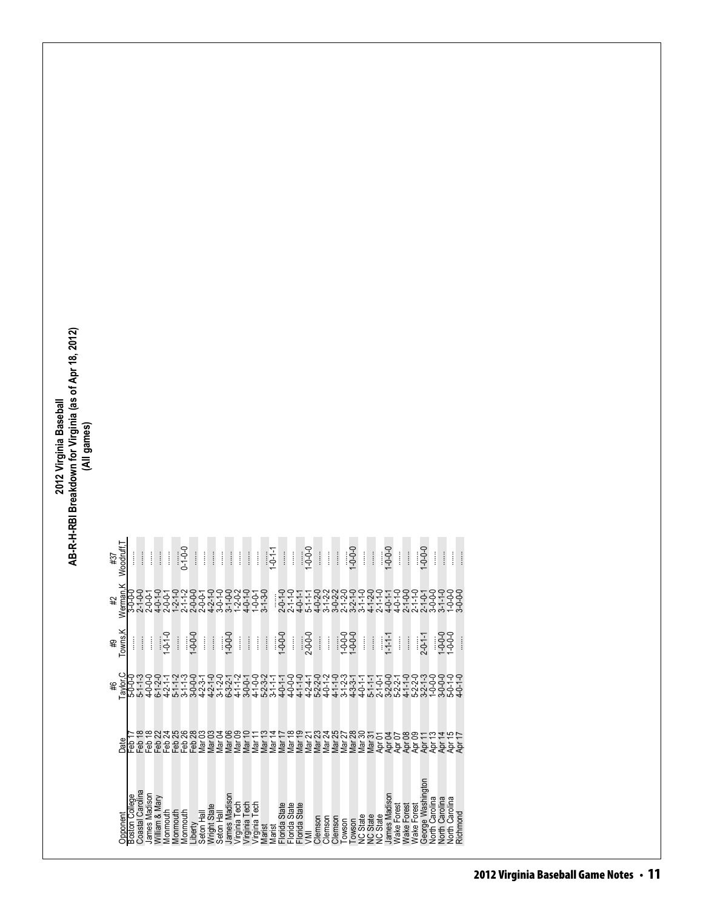| Woodruff.<br>12# |                |                                | İ                | ĺ                          | ĺ             |                 | $0 - 1 - 0 - 0$                               |                    | ĺ                      | ļ                 | ĺ                 | ĺ                                                                    | ĺ                 | ĺ                              | ĺ                  |                                | $1 - 0 - 1 - 1$ |                                    | ĺ                       |                  | $-0.0 - 0.1$                                   |                            | ĺ       | İ                                                   |          | $0 - 0 - 0 - 0$ | ĺ               | İ                          | $0 - 0 - 0 - 0$      | ĺ                  | ĺ           |             | $0 - 0 - 0 -$                                  | ļ                     | $\vdots$              | ł                     | İ        |
|------------------|----------------|--------------------------------|------------------|----------------------------|---------------|-----------------|-----------------------------------------------|--------------------|------------------------|-------------------|-------------------|----------------------------------------------------------------------|-------------------|--------------------------------|--------------------|--------------------------------|-----------------|------------------------------------|-------------------------|------------------|------------------------------------------------|----------------------------|---------|-----------------------------------------------------|----------|-----------------|-----------------|----------------------------|----------------------|--------------------|-------------|-------------|------------------------------------------------|-----------------------|-----------------------|-----------------------|----------|
| Werman.K<br>#2   | <b>0-0-0-8</b> | $2 - 1 - 0 - 0$<br>$2 - 0 - 1$ |                  | $4 - 0 - 1 - 0$            |               |                 | トロントローローロー<br>トートロートーローロートーロー<br>ウートロートーーローロー |                    |                        |                   |                   |                                                                      |                   | $4 - 0 - 1 - 0$                | $1 - 0 - 0 - 1$    | $-3-0$                         |                 | $2 - 0 - 1 - 0$                    | $2 - 1 - 1 - 0$         | $4 - 0 - 1 - 1$  | $5 - 1 - 1 - 1$                                |                            |         | dwwwww4 <i>v44</i><br>ゟ゙ゖ゙ゖゖ゙ゖヹゖゟヹヹゟゟ<br>ゟゖゖゟゟゟゟゟゟヹ |          |                 |                 |                            |                      |                    |             |             | 2-1-0-0-0<br>2-1-1-0-0<br>2-1-0-0-0<br>3-0-0-0 |                       | $3 - 1 - 0$           | $0 - 0 - 0$           |          |
| Towns.K<br>#9    |                |                                | İ                |                            | $1 - 0.1 - 0$ |                 |                                               | $0 - 0 - 0 - 1$    | i                      |                   |                   | $0 - 0 - 0 - 0$                                                      | İ                 | $\vdots$                       | Î                  | İ                              |                 | $1 - 0 - 0$                        | Î                       |                  | 2-0-0-0                                        | ĺ                          | İ       |                                                     | $-0.000$ |                 | i               | ĺ                          | $-1 - 1 - 1$         | İ                  | İ           |             | $2 - 0 - 1 - 1$                                |                       | $-0.0 - 0.1$          |                       |          |
| Taylor,C         | 5-0-0-0        | $5 - 1 - 3$<br>4-0-0-0         |                  | $6 - 1 - 2 - 0$<br>4-2-1-1 |               |                 | $5 - 1 - 1 - 2$<br>$3 - 1 - 1 - 3$            | 3-0-0-0<br>4-2-3-1 |                        |                   |                   | $4 - 2 - 1 - 0$<br>$3 - 1 - 2 - 1$<br>$6 - 3 - 2 - 1$<br>$4 - 1 - 2$ |                   | $3 - 0 - 0 - 1$                | $4 - 1 - 0 - 0$    | $5 - 2 - 3 - 2$<br>3-1-1-1     |                 | $4 - 0 - 1 - 1$<br>$4 - 0 - 0 - 0$ |                         |                  | $4 - 1 - 1 - 0$<br>$4 - 2 - 4 - 1$             | $5 - 2 - 2 - 0$<br>4-0-1-2 |         | $4 - 1 - 1 - 0$<br>3-1-2-3                          |          | $4 - 3 - 3 - 1$ | $4 - 0 - 1 - 1$ | $5 - 1 - 1 - 1$<br>2-1-0-1 | $3-2-0-0$<br>$5-2-1$ |                    |             |             | $4-1-1-0$<br>$5-2-2-3$<br>$3-2-1-3$            | $0 - 0 - 0$           | $3 - 0 - 0 - 0$       | $5 - 0 - 1 - 0$       |          |
| Date             | မြိ            | Feb <sup>-</sup>               | Feb <sup>-</sup> | Feb <sub>22</sub>          |               |                 |                                               |                    | ප<br>Vlar <sub>1</sub> | Mar <sub>03</sub> | Mar <sub>04</sub> | Mar 06                                                               | Mar <sub>09</sub> | ₽<br>Mar <sup>-</sup>          | Mar                | $\omega$ 4<br>Mar <sup>-</sup> | Vlar            |                                    |                         |                  | WARAWARY<br>Laburung Palang<br>Laburung Palang |                            |         |                                                     |          |                 |                 |                            |                      |                    |             | Apr 08      | April<br>April                                 |                       | Apr <sub>1</sub>      | Apr <sup>-</sup>      |          |
| Opponent         | Boston College | Coastal Carolina               | James Madison    | William & Mary             | Vlonmouth     | <b>Monmouth</b> | Monmouth                                      | Liberty            | Seton Hall             | Wright State      | Seton Hall        | James Madisor                                                        |                   | Virginia Tech<br>Virginia Tech | Tech<br>Virginia T | Marist                         | <b>Marist</b>   | State<br>Florida                   | State<br><b>Florida</b> | State<br>Florida |                                                | Clemson                    | Clemson | Clemson                                             | Towson   | Towson          | <b>VC State</b> | NC State<br>NC State       | James Madison        | <b>Nake Forest</b> | Nake Forest | Wake Forest | George Washing                                 | <b>Vorth Carolina</b> | <b>North Carolina</b> | <b>Vorth Carolina</b> | Richmond |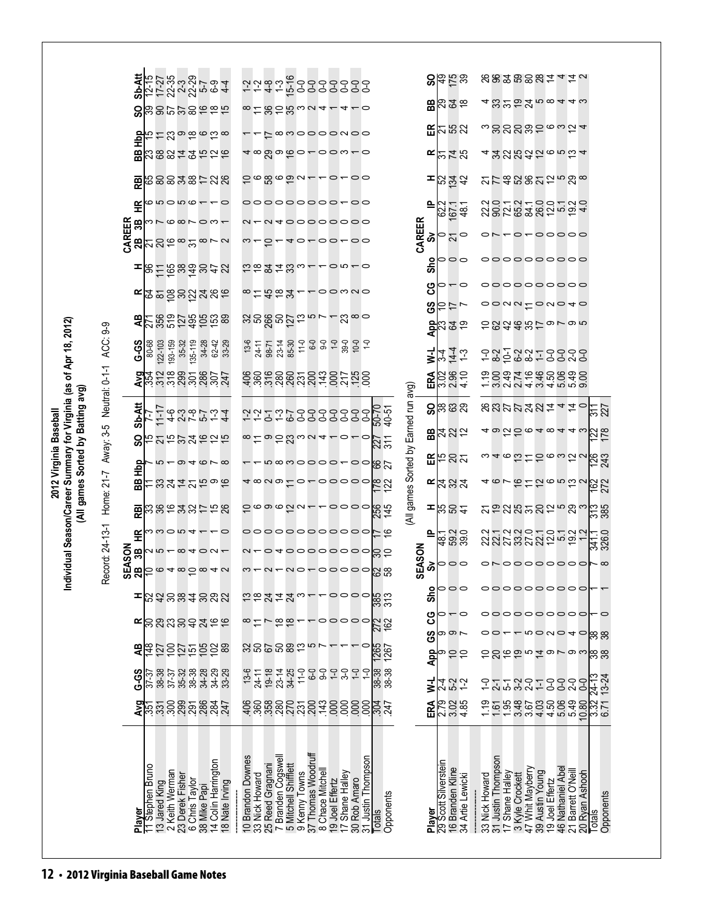|                                                                                                         |                                              | <b>Sb-Att</b><br>င္တ | もいます。<br>セルシュシア94<br>하약하영성영영                    |                |                                   |                             |                                                       |                  |                               |                                                         |                    |                                                             |        |                    | 858083241                          | 4              |                                 |                                     |                              |                                      |                   | 88.58<br><b>B</b> 282   |                  |                  |                |                    |                 |                                     |                                    |                                         |                                                                         |                            |  |
|---------------------------------------------------------------------------------------------------------|----------------------------------------------|----------------------|-------------------------------------------------|----------------|-----------------------------------|-----------------------------|-------------------------------------------------------|------------------|-------------------------------|---------------------------------------------------------|--------------------|-------------------------------------------------------------|--------|--------------------|------------------------------------|----------------|---------------------------------|-------------------------------------|------------------------------|--------------------------------------|-------------------|-------------------------|------------------|------------------|----------------|--------------------|-----------------|-------------------------------------|------------------------------------|-----------------------------------------|-------------------------------------------------------------------------|----------------------------|--|
|                                                                                                         |                                              | 흹                    | جة<br>ب                                         |                |                                   |                             | 52996668                                              |                  |                               |                                                         |                    |                                                             |        |                    | L <sup>∞woooowoo</sup>             |                |                                 |                                     |                              |                                      |                   | ERB3                    |                  |                  |                |                    |                 |                                     |                                    |                                         | ູ່ຕອດຕອງວັນ                                                             |                            |  |
|                                                                                                         |                                              | 岊                    | <b>Z8842526</b>                                 |                |                                   |                             |                                                       |                  |                               |                                                         |                    |                                                             |        |                    |                                    |                |                                 |                                     |                              |                                      |                   | にはお                     |                  |                  |                |                    |                 |                                     |                                    |                                         | <b>≠</b> శ న న న న న ం ం ప 4                                            |                            |  |
|                                                                                                         |                                              | 霞                    | 68838728                                        |                |                                   |                             |                                                       |                  |                               |                                                         |                    |                                                             |        |                    | -0-00                              |                |                                 |                                     |                              |                                      |                   | 824<br>82               |                  |                  |                |                    |                 |                                     |                                    |                                         | <b>2788822588</b>                                                       |                            |  |
|                                                                                                         |                                              | Æ                    | ٥                                               |                |                                   | $-$ 0000                    |                                                       |                  |                               |                                                         |                    |                                                             |        |                    | ooooooooo <del>-</del> oo          |                |                                 |                                     |                              |                                      | 으                 | 221<br>224<br>23        |                  |                  |                |                    |                 |                                     |                                    |                                         | sergestang                                                              |                            |  |
|                                                                                                         |                                              | CAREER<br>2B<br>3B   | <b>NU8010</b>                                   |                |                                   |                             | $\infty$ $\sim$ $\sim$                                |                  |                               |                                                         | 0,                 |                                                             |        |                    | 040000000<br>40-00-00              |                |                                 |                                     |                              | CAREER                               | ౚఀ                | 0                       | 21               |                  |                |                    |                 |                                     |                                    |                                         | 0-00000                                                                 |                            |  |
|                                                                                                         |                                              |                      | నన≌∞న                                           |                |                                   |                             |                                                       |                  |                               |                                                         |                    |                                                             |        |                    |                                    |                |                                 |                                     |                              |                                      |                   | 000                     |                  |                  |                |                    |                 |                                     |                                    |                                         | 000000000                                                               |                            |  |
|                                                                                                         |                                              |                      | ន៎ឨ៑ឨ៶ឨៜ៹៷                                      |                |                                   |                             |                                                       |                  |                               |                                                         |                    |                                                             |        |                    | <u>csgzwa--or-o</u>                |                |                                 |                                     |                              |                                      | န္တ               |                         |                  | $\circ$          |                |                    |                 |                                     |                                    |                                         | ooooooooo                                                               |                            |  |
|                                                                                                         |                                              | œ                    | ង៑ុនខ្លួន <u>ដ</u> ូងនុង                        |                |                                   |                             |                                                       |                  |                               |                                                         |                    | ∞౬ౘౚఀ౪                                                      |        |                    | oomNo                              |                |                                 |                                     |                              |                                      | ပ္ပ<br>ဖိ         | ₽                       | ニー               |                  |                |                    |                 |                                     |                                    |                                         | $\circ$ $\circ$ $\circ$ $\circ$ $\circ$ $\circ$ $\circ$ $\circ$ $\circ$ |                            |  |
|                                                                                                         |                                              | æ                    | <u> 288558688</u>                               |                |                                   |                             |                                                       |                  |                               |                                                         |                    |                                                             |        |                    |                                    |                | $2^{\infty}$                    |                                     |                              |                                      |                   | <mark>ಕ್ಷಿ</mark> ಇ ತ ಇ |                  |                  |                |                    |                 |                                     |                                    |                                         | このみおおけってった                                                              |                            |  |
|                                                                                                         |                                              | <b>G-S</b>           | $ 22 - 103$<br>80-68                            | 193-159        | 35-32<br>135-119                  |                             | $34 - 28$                                             | $62-42$<br>33-29 | $13 - 6$                      | $24 - 11$                                               | 98-71<br>23-14     | 85-30                                                       |        |                    | $7 - 0 - 0 - 0 - 1 - 1$            |                | $39-0$                          |                                     |                              |                                      | z-<br>ERA         | 34                      | 14.3             |                  |                |                    |                 |                                     |                                    |                                         | り2、フッシーののついしん。                                                          |                            |  |
|                                                                                                         |                                              |                      | $\frac{25}{354}$                                |                |                                   |                             | 3882824                                               |                  | $rac{66}{300}$                |                                                         |                    |                                                             |        |                    | sagaagaagaag                       |                |                                 |                                     |                              |                                      |                   | 882                     |                  |                  |                |                    |                 |                                     |                                    |                                         | coducedoso<br>coducedoso<br>coducedoso                                  |                            |  |
| Individual Season/Career Summary for Virginia (as of Apr 18, 2012)<br>(All games Sorted by Batting avg) | Away: 3-5 Neutral: 0-1-1 ACC: 9-9            | <b>Sb-Att</b>        | こ                                               |                |                                   |                             | ームクラマルム                                               |                  |                               |                                                         |                    |                                                             |        |                    |                                    |                |                                 |                                     | 50-70<br>40-51               | (All games Sorted by Earned run avg) | င္တ               | ಜ ಜ ಜ                   |                  |                  |                |                    |                 |                                     |                                    |                                         | <b>8822384440</b>                                                       | $\frac{1}{22}$             |  |
|                                                                                                         |                                              | င္တ                  | たれおかみおわな                                        |                |                                   |                             |                                                       |                  |                               |                                                         |                    |                                                             |        |                    | $\log 2$ uwa 4 -                   | っ              |                                 | $\circ$                             |                              |                                      |                   | $Bx$ ងង                 |                  |                  |                |                    |                 |                                     |                                    |                                         |                                                                         | <b>22</b><br>22            |  |
|                                                                                                         |                                              |                      |                                                 |                |                                   |                             |                                                       |                  |                               |                                                         |                    |                                                             |        |                    | n∞noooo —                          |                | $\circ$                         |                                     | $\frac{27}{311}$<br>78<br>19 |                                      | 띥                 | たとい                     |                  |                  |                |                    |                 |                                     |                                    |                                         | 500050                                                                  | <b>243</b><br>243          |  |
| 2012 Virginia Baseball                                                                                  |                                              | 횥<br>58              | れおみはみちゅん                                        |                |                                   |                             |                                                       |                  |                               |                                                         |                    | <sup>⊸</sup> ∞∾∞ ⊏់                                         |        |                    | $\sim$ 00000                       |                |                                 |                                     | 72                           |                                      |                   | $E$ 232                 |                  |                  |                |                    |                 |                                     |                                    |                                         | 4676726532                                                              | <b>162</b><br>272          |  |
|                                                                                                         | Home: 21-7<br>Record: 24-13-1<br><b>ASON</b> | RBI                  | 弱弱化み辺けおぬ                                        |                |                                   |                             |                                                       |                  |                               |                                                         |                    | <b>1000020-</b>                                             |        |                    | -0000                              |                |                                 |                                     | 256<br>145                   |                                      | ᆂ                 | <b>ង</b> ឧ#             |                  |                  |                |                    |                 |                                     |                                    |                                         |                                                                         | $\frac{1}{285}$            |  |
|                                                                                                         |                                              | £                    |                                                 |                |                                   |                             | $\omega\omega\subset\omega$                           |                  |                               |                                                         |                    |                                                             |        |                    | 00000000000                        |                |                                 |                                     | 의 기                          |                                      | ≙                 | (− 210<br> <br>  200    |                  |                  |                |                    |                 |                                     |                                    |                                         | aragororag<br>Sangnororag                                               | 326.0                      |  |
|                                                                                                         |                                              |                      | $\mathbf{g}$ $\sim$ $\sim$ $\sim$ $\sim$ $\sim$ |                |                                   |                             |                                                       |                  |                               |                                                         |                    |                                                             |        |                    | 040000000                          |                |                                 |                                     | န္ကင္                        | <b>ASON</b>                          |                   | ి∣ౖం                    |                  |                  |                |                    |                 |                                     |                                    |                                         |                                                                         | orooooooor∞                |  |
|                                                                                                         |                                              | සි                   | Ş                                               |                |                                   | $\circ$ 4 $\circ$ 5 $\circ$ |                                                       | 4 U              | $\mathfrak{m}$ $\mathfrak{-}$ |                                                         | $\sim$ $\sim$      |                                                             | NO     |                    | 0<br>$\circ$                       | $\circ$        |                                 | င္စြ                                | 58                           | ₩                                    |                   |                         | 00               |                  |                |                    |                 |                                     |                                    | 00000000                                |                                                                         |                            |  |
|                                                                                                         |                                              | ᆂ                    | <b>ដូ</b> ងខ្លួន3ខ្លួន                          |                |                                   |                             |                                                       |                  |                               |                                                         |                    | $rac{4}{5}$                                                 |        |                    |                                    |                | $\circ \circ \circ \circ$       |                                     | 385                          |                                      | Sho               | っ                       |                  |                  |                |                    |                 |                                     |                                    |                                         | 000000000                                                               |                            |  |
|                                                                                                         |                                              | ≃                    | <b>888893266</b>                                |                |                                   |                             |                                                       |                  |                               |                                                         |                    | $\approx$                                                   |        |                    | 00000                              |                |                                 |                                     | 278<br>162                   |                                      | ပ္ပ<br><u>င</u> ် | ത ത $\,$                |                  |                  |                |                    |                 |                                     |                                    |                                         | <b>povo40</b>                                                           | န္ကြ ဆွ                    |  |
|                                                                                                         |                                              | æ                    |                                                 |                |                                   |                             |                                                       |                  |                               |                                                         |                    | 386882                                                      |        |                    |                                    |                |                                 |                                     | 1265<br>1267                 |                                      | App               |                         | 5 S              |                  | ಽಽ             |                    |                 |                                     |                                    |                                         | ondaug                                                                  | န္ကြ ဆ                     |  |
|                                                                                                         |                                              | G-S                  | 38-38<br>$\frac{1}{37-37}$                      | $37 - 37$      |                                   |                             |                                                       |                  | $13-6$<br>24-11               |                                                         | $19-18$<br>$23-14$ | 34-25                                                       | $11-0$ | $0-9$              | $9-0$<br>$Q-$                      | $3-0$          | $0-1$                           | $\overline{C}$                      | ြန္က နွာ<br>အိမ္က<br>အိမ္က   |                                      | ₹                 | $^{4}$                  | 5-2<br>1-2       |                  | 오              | $2-1$              |                 | <b>12221</b>                        |                                    | 332                                     | O-O                                                                     | 24-13<br>13-24             |  |
|                                                                                                         |                                              |                      | <b>ទ្ធុ</b> ភ្លុំភ្លូនី ខ្លួនី ខ្លួនី ដូ        |                |                                   |                             |                                                       |                  |                               |                                                         |                    |                                                             |        |                    | 6888885523258258877                |                |                                 |                                     |                              |                                      | ERA               | 0<br>2008<br>2019       |                  |                  |                |                    |                 |                                     |                                    | $38889$<br>$3889$                       | 10.80                                                                   | 33<br>23<br>23<br>25<br>25 |  |
|                                                                                                         |                                              |                      |                                                 |                |                                   |                             |                                                       |                  |                               |                                                         |                    |                                                             |        |                    |                                    |                |                                 |                                     |                              |                                      |                   |                         |                  |                  |                |                    |                 |                                     |                                    |                                         |                                                                         |                            |  |
|                                                                                                         |                                              |                      |                                                 |                |                                   |                             |                                                       |                  |                               |                                                         |                    |                                                             |        |                    |                                    |                |                                 |                                     |                              |                                      |                   |                         |                  |                  |                |                    |                 |                                     |                                    |                                         |                                                                         |                            |  |
|                                                                                                         |                                              |                      |                                                 |                |                                   |                             |                                                       |                  |                               |                                                         |                    |                                                             |        |                    |                                    |                |                                 |                                     |                              |                                      |                   |                         |                  |                  |                |                    |                 |                                     |                                    |                                         |                                                                         |                            |  |
|                                                                                                         |                                              | Player               | 1 Stephen Bruno<br>13 Jared King                | 2 Keith Werman | 23 Derek Fisher<br>6 Chris Taylor |                             | 38 Mike Papi<br>14 Colin Harrington<br>18 Nate Irving |                  |                               | 10 Brandon Downes<br>33 Nick Howard<br>25 Reed Gragnani |                    | 7 Branden Cogswell<br>5 Mitchell Shifflett<br>9 Kenny Towns |        | 37 Thomas Woodruff | 8 Chace Mitchel<br>19 Joel Effertz |                | 17 Shane Halley<br>30 Rob Amaro | 31 Justin Thompson<br><b>Totals</b> | Opponents                    |                                      | Player            | 29 Scott Silverstein    | 16 Branden Kline | 34 Artie Lewicki | 33 Nick Howard | 31 Justin Thompson | 17 Shane Halley | 3 Kyle Crockett<br>47 Whit Mayberry | 39 Austin Young<br>19 Joel Effertz | 46 Nathaniel Abel<br>21 Barrett O'Neill | 20 Ryan Ashooh                                                          | Opponents<br>Totals        |  |
|                                                                                                         |                                              |                      |                                                 |                |                                   |                             |                                                       |                  |                               |                                                         |                    |                                                             |        |                    |                                    | $\overline{1}$ |                                 |                                     |                              |                                      |                   |                         |                  |                  |                |                    |                 |                                     |                                    |                                         |                                                                         |                            |  |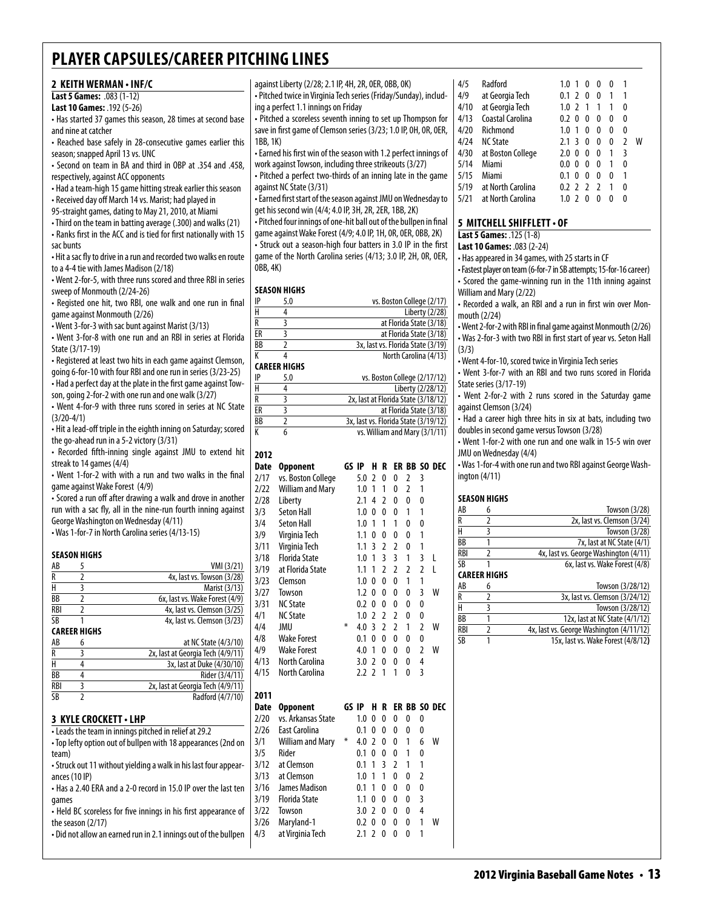| 2 KEITH WERMAN • INF/C                                                                                                                                                                                                                                            |                         | against Liberty (2/28; 2.1 IP, 4H, 2R, 0ER, 0BB, 0K)               |   |                            |                |   |                |                                      |   | 4/5                    | Radford                          |     |
|-------------------------------------------------------------------------------------------------------------------------------------------------------------------------------------------------------------------------------------------------------------------|-------------------------|--------------------------------------------------------------------|---|----------------------------|----------------|---|----------------|--------------------------------------|---|------------------------|----------------------------------|-----|
| Last 5 Games: .083 (1-12)                                                                                                                                                                                                                                         |                         | - Pitched twice in Virginia Tech series (Friday/Sunday), includ-   |   |                            |                |   |                |                                      |   | 4/9                    | at Georgia Tech                  |     |
| Last 10 Games: .192 (5-26)                                                                                                                                                                                                                                        |                         | ing a perfect 1.1 innings on Friday                                |   |                            |                |   |                |                                      |   | 4/10                   | at Georgia Tech                  |     |
| • Has started 37 games this season, 28 times at second base                                                                                                                                                                                                       |                         | • Pitched a scoreless seventh inning to set up Thompson for        |   |                            |                |   |                |                                      |   | 4/13                   | Coastal Carolina                 |     |
| and nine at catcher                                                                                                                                                                                                                                               |                         | save in first game of Clemson series (3/23; 1.0 IP, OH, OR, OER,   |   |                            |                |   |                |                                      |   | 4/20                   | Richmond                         |     |
| • Reached base safely in 28-consecutive games earlier this                                                                                                                                                                                                        | 1BB, 1K)                |                                                                    |   |                            |                |   |                |                                      |   | 4/24                   | <b>NC State</b>                  |     |
| season; snapped April 13 vs. UNC                                                                                                                                                                                                                                  |                         | • Earned his first win of the season with 1.2 perfect innings of   |   |                            |                |   |                |                                      |   | 4/30                   | at Boston College                |     |
| - Second on team in BA and third in OBP at .354 and .458,                                                                                                                                                                                                         |                         | work against Towson, including three strikeouts (3/27)             |   |                            |                |   |                |                                      |   | 5/14                   | Miami                            |     |
| respectively, against ACC opponents                                                                                                                                                                                                                               |                         | • Pitched a perfect two-thirds of an inning late in the game       |   |                            |                |   |                |                                      |   | 5/15                   | Miami                            |     |
| • Had a team-high 15 game hitting streak earlier this season                                                                                                                                                                                                      |                         | against NC State (3/31)                                            |   |                            |                |   |                |                                      |   | 5/19                   | at North Carolina                |     |
| • Received day off March 14 vs. Marist; had played in                                                                                                                                                                                                             |                         | • Earned first start of the season against JMU on Wednesday to     |   |                            |                |   |                |                                      |   | 5/21                   | at North Carolina                |     |
| 95-straight games, dating to May 21, 2010, at Miami                                                                                                                                                                                                               |                         | get his second win (4/4; 4.0 IP, 3H, 2R, 2ER, 1BB, 2K)             |   |                            |                |   |                |                                      |   |                        |                                  |     |
| • Third on the team in batting average (.300) and walks (21)                                                                                                                                                                                                      |                         | • Pitched four innings of one-hit ball out of the bullpen in final |   |                            |                |   |                |                                      |   |                        | 5 MITCHELL SHIFFLETT             |     |
| • Ranks first in the ACC and is tied for first nationally with 15                                                                                                                                                                                                 |                         | game against Wake Forest (4/9; 4.0 IP, 1H, 0R, 0ER, 0BB, 2K)       |   |                            |                |   |                |                                      |   |                        | Last 5 Games: .125 (1-8)         |     |
| sac bunts                                                                                                                                                                                                                                                         |                         | • Struck out a season-high four batters in 3.0 IP in the first     |   |                            |                |   |                |                                      |   |                        | Last 10 Games: .083 (2-24)       |     |
| . Hit a sac fly to drive in a run and recorded two walks en route                                                                                                                                                                                                 |                         | game of the North Carolina series (4/13; 3.0 IP, 2H, OR, OER,      |   |                            |                |   |                |                                      |   |                        | • Has appeared in 34 games,      |     |
| to a 4-4 tie with James Madison (2/18)                                                                                                                                                                                                                            | 0BB, 4K)                |                                                                    |   |                            |                |   |                |                                      |   |                        | - Fastest player on team (6-for- |     |
| • Went 2-for-5, with three runs scored and three RBI in series                                                                                                                                                                                                    |                         |                                                                    |   |                            |                |   |                |                                      |   |                        | • Scored the game-winning        |     |
| sweep of Monmouth (2/24-26)                                                                                                                                                                                                                                       |                         | <b>SEASON HIGHS</b>                                                |   |                            |                |   |                |                                      |   |                        | William and Mary (2/22)          |     |
|                                                                                                                                                                                                                                                                   | $\sf IP$                | 5.0                                                                |   |                            |                |   |                | vs. Boston College (2/17)            |   |                        |                                  |     |
| • Registed one hit, two RBI, one walk and one run in final                                                                                                                                                                                                        | $\overline{\mathsf{H}}$ | 4                                                                  |   |                            |                |   |                | Liberty (2/28)                       |   |                        | • Recorded a walk, an RBI a      |     |
| game against Monmouth (2/26)                                                                                                                                                                                                                                      | $\overline{R}$          | 3                                                                  |   |                            |                |   |                | at Florida State (3/18)              |   |                        | mouth (2/24)                     |     |
| • Went 3-for-3 with sac bunt against Marist (3/13)                                                                                                                                                                                                                | E                       | 3                                                                  |   |                            |                |   |                | at Florida State (3/18)              |   |                        | • Went 2-for-2 with RBI in fina  |     |
| • Went 3-for-8 with one run and an RBI in series at Florida                                                                                                                                                                                                       | <b>BB</b>               | $\overline{2}$                                                     |   |                            |                |   |                | 3x, last vs. Florida State (3/19)    |   |                        | • Was 2-for-3 with two RBI in    |     |
| State (3/17-19)                                                                                                                                                                                                                                                   | К                       | 4                                                                  |   |                            |                |   |                | North Carolina (4/13)                |   | (3/3)                  |                                  |     |
| • Registered at least two hits in each game against Clemson,                                                                                                                                                                                                      |                         | <b>CAREER HIGHS</b>                                                |   |                            |                |   |                |                                      |   |                        | • Went 4-for-10, scored twice    |     |
| going 6-for-10 with four RBI and one run in series (3/23-25)                                                                                                                                                                                                      | $\sf IP$                | 5.0                                                                |   |                            |                |   |                | vs. Boston College (2/17/12)         |   |                        | • Went 3-for-7 with an RBI       |     |
| - Had a perfect day at the plate in the first game against Tow-                                                                                                                                                                                                   | $\overline{H}$          | 4                                                                  |   |                            |                |   |                | Liberty (2/28/12)                    |   |                        | State series (3/17-19)           |     |
| son, going 2-for-2 with one run and one walk (3/27)                                                                                                                                                                                                               | $\overline{R}$          | $\overline{3}$                                                     |   |                            |                |   |                | 2x, last at Florida State (3/18/12)  |   |                        | • Went 2-for-2 with 2 runs       |     |
| • Went 4-for-9 with three runs scored in series at NC State                                                                                                                                                                                                       | $\overline{\text{ER}}$  | 3                                                                  |   |                            |                |   |                | at Florida State (3/18)              |   |                        | against Clemson (3/24)           |     |
| $(3/20-4/1)$                                                                                                                                                                                                                                                      | $\overline{BB}$         | $\overline{2}$                                                     |   |                            |                |   |                | 3x, last vs. Florida State (3/19/12) |   |                        | • Had a career high three h      |     |
| • Hit a lead-off triple in the eighth inning on Saturday; scored                                                                                                                                                                                                  | $\overline{K}$          | 6                                                                  |   |                            |                |   |                | vs. William and Mary (3/1/11)        |   |                        | doubles in second game vers      |     |
| the go-ahead run in a 5-2 victory (3/31)                                                                                                                                                                                                                          |                         |                                                                    |   |                            |                |   |                |                                      |   |                        | • Went 1-for-2 with one run      |     |
| • Recorded fifth-inning single against JMU to extend hit                                                                                                                                                                                                          | 2012                    |                                                                    |   |                            |                |   |                |                                      |   |                        | JMU on Wednesday (4/4)           |     |
| streak to 14 games (4/4)                                                                                                                                                                                                                                          |                         | Date Opponent                                                      |   |                            |                |   |                | GS IP H R ER BB SO DEC               |   |                        | • Was 1-for-4 with one run ar    |     |
| • Went 1-for-2 with with a run and two walks in the final                                                                                                                                                                                                         |                         | vs. Boston College                                                 |   |                            |                |   | 2 <sup>3</sup> |                                      |   |                        | ington $(4/11)$                  |     |
| game against Wake Forest (4/9)                                                                                                                                                                                                                                    | 2/17                    |                                                                    |   | $5.0$ 2 0 0                |                |   |                |                                      |   |                        |                                  |     |
| • Scored a run off after drawing a walk and drove in another                                                                                                                                                                                                      | 2/22                    | William and Mary                                                   |   | $1.0 \t1 \t1$              |                | 0 | $\overline{2}$ | $\overline{1}$                       |   |                        | <b>SEASON HIGHS</b>              |     |
| run with a sac fly, all in the nine-run fourth inning against                                                                                                                                                                                                     | 2/28                    | Liberty                                                            |   | $2.1$ 4 2 0                |                |   | 0              | 0                                    |   | AB                     | 6                                |     |
| George Washington on Wednesday (4/11)                                                                                                                                                                                                                             | 3/3                     | Seton Hall                                                         |   | $1.0 \t0 \t0 \t0$          |                |   | $\mathbf{1}$   | $\mathbf{1}$                         |   | R                      | $\overline{2}$                   |     |
| • Was 1-for-7 in North Carolina series (4/13-15)                                                                                                                                                                                                                  | 3/4                     | Seton Hall                                                         |   | $1.0$ 1 1 1                |                |   | 0              | 0                                    |   | Н                      | 3                                |     |
|                                                                                                                                                                                                                                                                   | 3/9                     | Virginia Tech                                                      |   | $1.1 \t0 \t0 \t0$          |                |   | 0              | $\mathbf{1}$                         |   | $\overline{BB}$        | 1                                |     |
|                                                                                                                                                                                                                                                                   | 3/11                    | Virginia Tech                                                      |   | $1.1 \t3 \t2 \t2$          |                |   | 0              | 1                                    |   | <b>RBI</b>             | $\overline{2}$                   | 4χ, |
| <b>SEASON HIGHS</b>                                                                                                                                                                                                                                               | 3/18                    | <b>Florida State</b>                                               |   | 1.0 <sub>1</sub>           | 3 <sup>3</sup> |   | $\mathbf{1}$   | 3<br>- L                             |   | $\overline{\text{SB}}$ | $\mathbf{1}$                     |     |
| AB<br>5<br>VMI (3/21)                                                                                                                                                                                                                                             | 3/19                    | at Florida State                                                   |   |                            |                |   |                | 1.1 1 2 2 2 2 L                      |   |                        | <b>CAREER HIGHS</b>              |     |
| R<br>$\overline{2}$<br>4x, last vs. Towson (3/28)                                                                                                                                                                                                                 | 3/23                    | Clemson                                                            |   | 1.0 0 0 0                  |                |   | $\overline{1}$ | -1                                   |   | AB                     | 6                                |     |
| $\overline{\mathsf{H}}$<br>3<br>Marist (3/13)                                                                                                                                                                                                                     | 3/27                    | Towson                                                             |   | $1.2 \t0 \t0 \t0$          |                |   | 0              | 3                                    | W | R                      | $\overline{2}$                   |     |
| 6x, last vs. Wake Forest (4/9)<br>BB<br>2                                                                                                                                                                                                                         | 3/31                    | <b>NC State</b>                                                    |   | 0.2 0 0 0 0                |                |   |                | 0                                    |   | $\overline{H}$         | 3                                |     |
| <b>RBI</b><br>2<br>4x, last vs. Clemson (3/25)                                                                                                                                                                                                                    | 4/1                     | <b>NC State</b>                                                    |   | $1.0$ 2 2 2 0              |                |   |                | 0                                    |   | BB                     |                                  |     |
| SB<br>1<br>4x, last vs. Clemson (3/23)                                                                                                                                                                                                                            | 4/4                     | JMU                                                                | ∗ | 4.0 3 2 2 1                |                |   |                | $\mathbf{2}$                         | W | <b>RBI</b>             | 1                                |     |
| <b>CAREER HIGHS</b>                                                                                                                                                                                                                                               | 4/8                     | <b>Wake Forest</b>                                                 |   | 0.1 0 0 0                  |                |   | 0              | 0                                    |   | $\overline{\text{SB}}$ | 2<br>4x, last<br>$\mathbf{1}$    |     |
| at NC State (4/3/10)<br>AB<br>6                                                                                                                                                                                                                                   | 4/9                     | <b>Wake Forest</b>                                                 |   | $4.0$ 1 0 0                |                |   | 0              | $\mathbf{2}$                         | W |                        |                                  |     |
| R<br>3<br>2x, last at Georgia Tech (4/9/11)                                                                                                                                                                                                                       |                         |                                                                    |   |                            |                |   |                |                                      |   |                        |                                  |     |
| H<br>3x, last at Duke (4/30/10)<br>4                                                                                                                                                                                                                              | 4/13                    | North Carolina                                                     |   | 3.0 2 0 0                  |                |   | 0              | 4                                    |   |                        |                                  |     |
| 4<br>ВB<br>Rider (3/4/11)                                                                                                                                                                                                                                         | 4/15                    | North Carolina                                                     |   |                            |                |   | 2.2 2 1 1 0 3  |                                      |   |                        |                                  |     |
|                                                                                                                                                                                                                                                                   |                         |                                                                    |   |                            |                |   |                |                                      |   |                        |                                  |     |
| <b>RBI</b><br>3<br>2x, last at Georgia Tech (4/9/11)                                                                                                                                                                                                              | 2011                    |                                                                    |   |                            |                |   |                |                                      |   |                        |                                  |     |
| $\overline{2}$<br>Radford (4/7/10)                                                                                                                                                                                                                                |                         |                                                                    |   |                            |                |   |                | GS IP H R ER BB SO DEC               |   |                        |                                  |     |
|                                                                                                                                                                                                                                                                   |                         | Date Opponent                                                      |   |                            |                |   |                | 1.0 0 0 0 0 0                        |   |                        |                                  |     |
|                                                                                                                                                                                                                                                                   | 2/20                    | vs. Arkansas State                                                 |   |                            |                |   |                |                                      |   |                        |                                  |     |
|                                                                                                                                                                                                                                                                   | 2/26                    | East Carolina                                                      |   | $0.1 \t0 \t0 \t0$          |                |   | 0              | 0                                    |   |                        |                                  |     |
|                                                                                                                                                                                                                                                                   | 3/1                     | William and Mary *                                                 |   | 4.0 2 0 0 1                |                |   |                | 6                                    | W |                        |                                  |     |
|                                                                                                                                                                                                                                                                   |                         |                                                                    |   |                            |                |   | $\mathbf{1}$   | 0                                    |   |                        |                                  |     |
|                                                                                                                                                                                                                                                                   | 3/5                     | Rider                                                              |   | 0.1 0 0 0                  |                |   |                |                                      |   |                        |                                  |     |
|                                                                                                                                                                                                                                                                   | 3/12                    | at Clemson                                                         |   | $0.1 \t1 \t3 \t2$          |                |   | $\overline{1}$ | 1                                    |   |                        |                                  |     |
| <b>SB</b><br><b>3 KYLE CROCKETT • LHP</b><br>. Leads the team in innings pitched in relief at 29.2<br>• Top lefty option out of bullpen with 18 appearances (2nd on<br>team)<br>- Struck out 11 without yielding a walk in his last four appear-<br>ances (10 IP) | 3/13                    | at Clemson                                                         |   | $1.0$ 1 1 0 0              |                |   |                | 2                                    |   |                        |                                  |     |
| • Has a 2.40 ERA and a 2-0 record in 15.0 IP over the last ten                                                                                                                                                                                                    | 3/16                    | James Madison                                                      |   | 0.1 1 0 0                  |                |   | 0              | 0                                    |   |                        |                                  |     |
| games                                                                                                                                                                                                                                                             | 3/19                    | <b>Florida State</b>                                               |   | $1.1 \t0 \t0 \t0$          |                |   | 0              | 3                                    |   |                        |                                  |     |
| • Held BC scoreless for five innings in his first appearance of                                                                                                                                                                                                   | 3/22                    | Towson                                                             |   | 3.0 2 0 0                  |                |   | $\mathbf{0}$   | 4                                    |   |                        |                                  |     |
| the season (2/17)<br>. Did not allow an earned run in 2.1 innings out of the bullpen                                                                                                                                                                              | 3/26<br>4/3             | Maryland-1<br>at Virginia Tech                                     |   | 0.2 0 0 0<br>$2.1$ 2 0 0 0 |                |   | 0              | $\mathbf{1}$<br>$\mathbf{1}$         | W |                        |                                  |     |

| 4/5  | Radford           | 1.0       | 0             | 0 | 0        |   |   |
|------|-------------------|-----------|---------------|---|----------|---|---|
| 4/9  | at Georgia Tech   | 2<br>0.1  | 0             | 0 |          | 1 |   |
| 4/10 | at Georgia Tech   | 1.0<br>-2 |               | 1 |          | 0 |   |
| 4/13 | Coastal Carolina  | 0.2<br>0  | 0             | 0 | 0        | 0 |   |
| 4/20 | Richmond          | 1.0       | 0             | 0 | 0        | 0 |   |
| 4/24 | <b>NC State</b>   | 2.1<br>-3 | 0             | 0 | 0        | 2 | w |
| 4/30 | at Boston College | 0<br>2.0  | 0             | 0 | 1        | 3 |   |
| 5/14 | Miami             | 0.0<br>0  | 0             | 0 | 1        | 0 |   |
| 5/15 | Miami             | 0.1<br>0  | 0             | 0 | 0        | 1 |   |
| 5/19 | at North Carolina | 0.22      | $\mathcal{I}$ | 2 | 1        | 0 |   |
| 5/21 | at North Carolina | 1.0       |               | 0 | $\Omega$ | 0 |   |

# $\frac{1}{2}$  of

, with 25 starts in CF

-7 in SB attempts; 15-for-16 career) run in the 11th inning against

and a run in first win over Mon-

al game against Monmouth (2/26) in first start of year vs. Seton Hall

ce in Virginia Tech series

and two runs scored in Florida

1s scored in the Saturday game

hits in six at bats, including two sus Towson (3/28)

n and one walk in 15-5 win over

nd two RBI against George Wash-

| AB         | 6                   | Towson $(3/28)$                       |
|------------|---------------------|---------------------------------------|
| R          | 7                   | 2x, last vs. Clemson (3/24)           |
| н          | ξ                   | Towson (3/28)                         |
| ВB         |                     | 7x, last at NC State (4/1)            |
| <b>RBI</b> | 7                   | 4x, last vs. George Washington (4/11) |
| <b>SB</b>  |                     | 6x, last vs. Wake Forest (4/8)        |
|            | <b>CAREER HIGHS</b> |                                       |
| AB         | 6                   | Towson (3/28/12)                      |
| R          | 2                   | 3x, last vs. Clemson (3/24/12)        |
| н          | 3                   | Towson (3/28/12)                      |
| BB         |                     | 12x, last at NC State (4/1/12)        |

| ,,,, | $12A$ , $103C$ at the state $\frac{1}{7}$ $1$ |
|------|-----------------------------------------------|
| RBI  | 4x, last vs. George Washington (4/11/12)      |
| SB   | 15x, last vs. Wake Forest (4/8/12)            |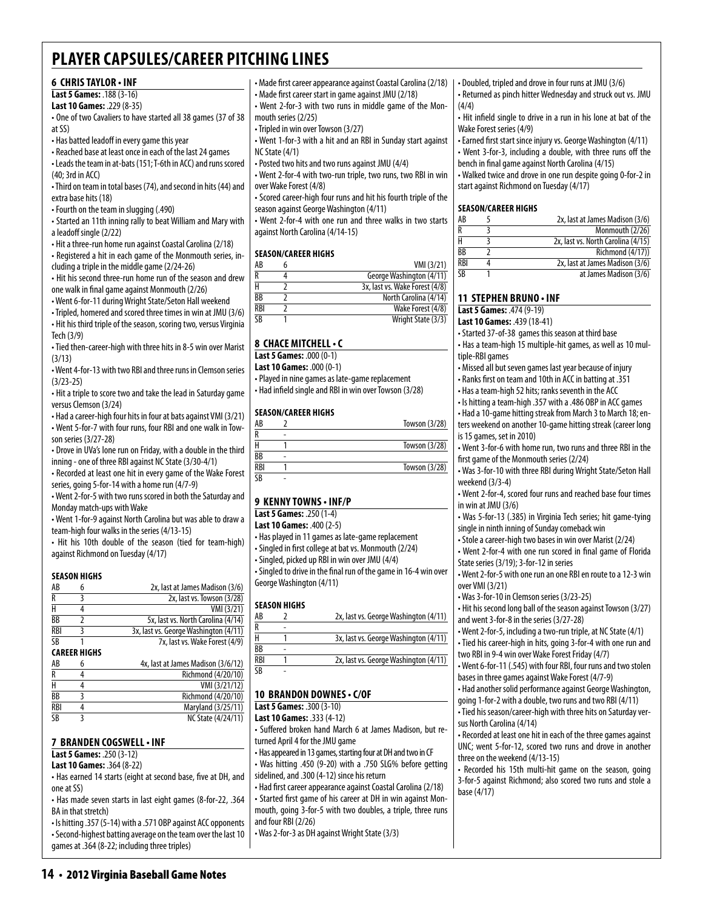# **6 Chris Taylor • INF**

**Last 5 Games:** .188 (3-16)

- **Last 10 Games:** .229 (8-35)
- One of two Cavaliers to have started all 38 games (37 of 38 at SS)
- Has batted leadoff in every game this year
- Reached base at least once in each of the last 24 games

• Leads the team in at-bats (151; T-6th in ACC) and runs scored  $(40.3rd)$  in ACC)

• Third on team in total bases (74), and second in hits (44) and extra base hits (18)

• Fourth on the team in slugging (.490)

• Started an 11th inning rally to beat William and Mary with a leadoff single (2/22)

• Hit a three-run home run against Coastal Carolina (2/18)

• Registered a hit in each game of the Monmouth series, in-

cluding a triple in the middle game (2/24-26) • Hit his second three-run home run of the season and drew one walk in final game against Monmouth (2/26)

• Went 6-for-11 during Wright State/Seton Hall weekend

• Tripled, homered and scored three times in win at JMU (3/6) • Hit his third triple of the season, scoring two, versus Virginia

Tech (3/9) • Tied then-career-high with three hits in 8-5 win over Marist

(3/13)

• Went 4-for-13 with two RBI and three runs in Clemson series (3/23-25)

• Hit a triple to score two and take the lead in Saturday game versus Clemson (3/24)

• Had a career-high four hits in four at bats against VMI (3/21) • Went 5-for-7 with four runs, four RBI and one walk in Tow-

son series (3/27-28) • Drove in UVa's lone run on Friday, with a double in the third

inning - one of three RBI against NC State (3/30-4/1)

• Recorded at least one hit in every game of the Wake Forest series, going 5-for-14 with a home run (4/7-9)

• Went 2-for-5 with two runs scored in both the Saturday and Monday match-ups with Wake

• Went 1-for-9 against North Carolina but was able to draw a team-high four walks in the series (4/13-15)

• Hit his 10th double of the season (tied for team-high) against Richmond on Tuesday (4/17)

# **Season Highs**

| AB         | 6                   | 2x, last at James Madison (3/6)       |
|------------|---------------------|---------------------------------------|
| R          |                     | 2x, last vs. Towson (3/28)            |
| Н          |                     | VMI (3/21)                            |
| BB         |                     | 5x, last vs. North Carolina (4/14)    |
| <b>RBI</b> |                     | 3x, last vs. George Washington (4/11) |
| SB         |                     | 7x, last vs. Wake Forest (4/9)        |
|            | <b>CAREER HIGHS</b> |                                       |
| AB         |                     | 4x, last at James Madison (3/6/12)    |
| R          |                     | Richmond (4/20/10)                    |
|            |                     | . <i>.</i>                            |

| ĸ          | KICRIMONG (4/20/10)       |
|------------|---------------------------|
| Н          | VMI (3/21/12)             |
| <b>BB</b>  | Richmond (4/20/10)        |
| <b>RBI</b> | Maryland (3/25/11)        |
| SB         | <b>NC State (4/24/11)</b> |

# **7 Branden Cogswell• INF**

**Last 5 Games:** .250 (3-12)

**Last 10 Games:** .364 (8-22)

• Has earned 14 starts (eight at second base, five at DH, and one at SS)

• Has made seven starts in last eight games (8-for-22, .364 BA in that stretch)

• Is hitting .357 (5-14) with a .571 OBP against ACC opponents • Second-highest batting average on the team over the last 10 games at .364 (8-22; including three triples)

**14** • 2012 Virginia Baseball Game Notes

• Made first career appearance against Coastal Carolina (2/18) • Made first career start in game against JMU (2/18)

• Went 2-for-3 with two runs in middle game of the Mon-

mouth series (2/25)

• Tripled in win over Towson (3/27)

• Went 1-for-3 with a hit and an RBI in Sunday start against NC State (4/1)

• Posted two hits and two runs against JMU (4/4)

• Went 2-for-4 with two-run triple, two runs, two RBI in win over Wake Forest (4/8)

• Scored career-high four runs and hit his fourth triple of the season against George Washington (4/11)

• Went 2-for-4 with one run and three walks in two starts against North Carolina (4/14-15)

# **Season/Career Highs**

| AB              | VMI (3/21)                     |
|-----------------|--------------------------------|
|                 | George Washington (4/11)       |
|                 | 3x, last vs. Wake Forest (4/8) |
| $\overline{BB}$ | North Carolina (4/14)          |
| RBI             | Wake Forest (4/8)              |
| SΒ              | Wright State (3/3)             |

# **8 chace mitchell• c**

**Last 5 Games:** .000 (0-1)

**Last 10 Games:** .000 (0-1)

• Played in nine games as late-game replacement • Had infield single and RBI in win over Towson (3/28)

# **Season/career Highs**

| AB                     |   | Towson (3/28) |
|------------------------|---|---------------|
| D                      | ۰ |               |
|                        |   | Towson (3/28) |
| BB                     | ۰ |               |
| <b>RBI</b>             |   | Towson (3/28) |
| $\overline{\text{CR}}$ | ۰ |               |

# **9 Kenny towns • INF/P**

# **Last 5 Games:** .250 (1-4)

**Last 10 Games:** .400 (2-5)

• Has played in 11 games as late-game replacement

• Singled in first college at bat vs. Monmouth (2/24)

• Singled, picked up RBI in win over JMU (4/4)

• Singled to drive in the final run of the game in 16-4 win over George Washington (4/11)

# **Season Highs**

| AB  | 2x, last vs. George Washington (4/11) |
|-----|---------------------------------------|
| R   |                                       |
| н   | 3x, last vs. George Washington (4/11) |
| ВB  |                                       |
| RBI | 2x, last vs. George Washington (4/11) |
| SB  |                                       |

# **10 brandon downes • c/OF**

**Last 5 Games:** .300 (3-10)

**Last 10 Games:** .333 (4-12)

- Suffered broken hand March 6 at James Madison, but returned April 4 for the JMU game
- Has appeared in 13 games, starting four at DH and two in CF
- Was hitting .450 (9-20) with a .750 SLG% before getting sidelined, and .300 (4-12) since his return

• Had first career appearance against Coastal Carolina (2/18) • Started first game of his career at DH in win against Monmouth, going 3-for-5 with two doubles, a triple, three runs and four RBI (2/26)

• Was 2-for-3 as DH against Wright State (3/3)

• Doubled, tripled and drove in four runs at JMU (3/6) • Returned as pinch hitter Wednesday and struck out vs. JMU (4/4)

• Hit infield single to drive in a run in his lone at bat of the Wake Forest series (4/9)

• Earned first start since injury vs. George Washington (4/11) • Went 3-for-3, including a double, with three runs off the bench in final game against North Carolina (4/15)

• Walked twice and drove in one run despite going 0-for-2 in start against Richmond on Tuesday (4/17)

# **Season/Career Highs**

| AB         | 2x, last at James Madison (3/6)    |
|------------|------------------------------------|
| R          | Monmouth (2/26)                    |
| Н          | 2x, last vs. North Carolina (4/15) |
| BB         | Richmond (4/17))                   |
| <b>RBI</b> | 2x, last at James Madison (3/6)    |
| <b>SB</b>  | at James Madison (3/6)             |

# **11 Stephen Bruno • INF**

**Last 5 Games:** .474 (9-19)

**Last 10 Games:** .439 (18-41)

• Started 37-of-38 games this season at third base

• Has a team-high 15 multiple-hit games, as well as 10 multiple-RBI games

• Missed all but seven games last year because of injury

• Ranks first on team and 10th in ACC in batting at .351

• Has a team-high 52 hits; ranks seventh in the ACC

• Is hitting a team-high .357 with a .486 OBP in ACC games

• Had a 10-game hitting streak from March 3 to March 18; enters weekend on another 10-game hitting streak (career long is 15 games, set in 2010)

• Went 3-for-6 with home run, two runs and three RBI in the first game of the Monmouth series (2/24)

• Was 3-for-10 with three RBI during Wright State/Seton Hall weekend (3/3-4)

• Went 2-for-4, scored four runs and reached base four times in win at JMU (3/6)

• Was 5-for-13 (.385) in Virginia Tech series; hit game-tying single in ninth inning of Sunday comeback win

• Stole a career-high two bases in win over Marist (2/24)

• Went 2-for-4 with one run scored in final game of Florida State series (3/19); 3-for-12 in series

• Went 2-for-5 with one run an one RBI en route to a 12-3 win over VMI (3/21)

• Was 3-for-10 in Clemson series (3/23-25)

• Hit his second long ball of the season against Towson (3/27) and went 3-for-8 in the series (3/27-28)

• Went 2-for-5, including a two-run triple, at NC State (4/1) • Tied his career-high in hits, going 3-for-4 with one run and

two RBI in 9-4 win over Wake Forest Friday (4/7) • Went 6-for-11 (.545) with four RBI, four runs and two stolen bases in three games against Wake Forest (4/7-9)

• Had another solid performance against George Washington,

going 1-for-2 with a double, two runs and two RBI (4/11) • Tied his season/career-high with three hits on Saturday versus North Carolina (4/14)

• Recorded at least one hit in each of the three games against UNC; went 5-for-12, scored two runs and drove in another three on the weekend (4/13-15)

• Recorded his 15th multi-hit game on the season, going 3-for-5 against Richmond; also scored two runs and stole a

base (4/17)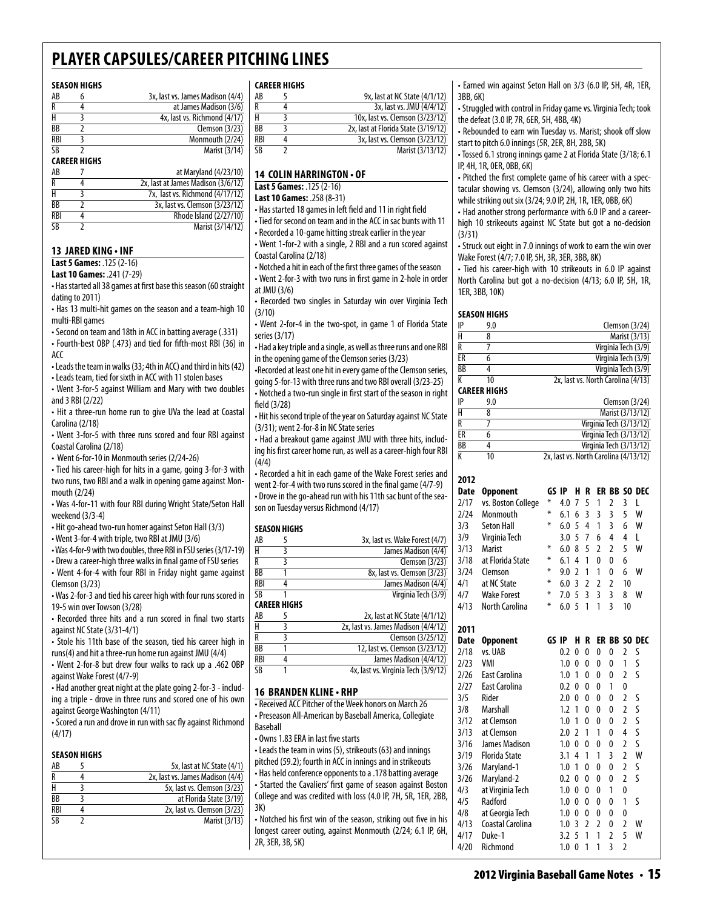#### **Season Highs**

| AB         | 6                   | 3x, last vs. James Madison (4/4)   |
|------------|---------------------|------------------------------------|
| R          | 4                   | at James Madison (3/6)             |
| н          | 3                   | 4x, last vs. Richmond (4/17)       |
| BB         | 2                   | Clemson (3/23)                     |
| <b>RBI</b> | 3                   | Monmouth (2/24)                    |
| SB         |                     | Marist (3/14)                      |
|            | <b>CAREER HIGHS</b> |                                    |
| AB         |                     | at Maryland (4/23/10)              |
| R          |                     | 2x, last at James Madison (3/6/12) |
| н          | 3                   | 7x, last vs. Richmond (4/17/12)    |
| BB         | 7                   | 3x, last vs. Clemson (3/23/12)     |
|            |                     |                                    |

 $\frac{RBI}{SB}$  4 Rhode Island (2/27/10)<br> $\frac{RBI}{SB}$  2 Marist (3/14/12) Marist (3/14/12)

# **13 Jared King • INF**

**Last 5 Games:** .125 (2-16) **Last 10 Games:** .241 (7-29)

• Has started all 38 games at first base this season (60 straight dating to 2011)

• Has 13 multi-hit games on the season and a team-high 10 multi-RBI games

• Second on team and 18th in ACC in batting average (.331)

• Fourth-best OBP (.473) and tied for fifth-most RBI (36) in ACC

• Leads the team in walks (33; 4th in ACC) and third in hits (42) • Leads team, tied for sixth in ACC with 11 stolen bases

• Went 3-for-5 against William and Mary with two doubles

and 3 RBI (2/22) • Hit a three-run home run to give UVa the lead at Coastal

Carolina (2/18) • Went 3-for-5 with three runs scored and four RBI against

Coastal Carolina (2/18) • Went 6-for-10 in Monmouth series (2/24-26)

• Tied his career-high for hits in a game, going 3-for-3 with two runs, two RBI and a walk in opening game against Monmouth (2/24)

• Was 4-for-11 with four RBI during Wright State/Seton Hall weekend (3/3-4)

• Hit go-ahead two-run homer against Seton Hall (3/3)

• Went 3-for-4 with triple, two RBI at JMU (3/6)

• Was 4-for-9 with two doubles, three RBI in FSU series (3/17-19)

• Drew a career-high three walks in final game of FSU series • Went 4-for-4 with four RBI in Friday night game against Clemson (3/23)

• Was 2-for-3 and tied his career high with four runs scored in 19-5 win over Towson (3/28)

• Recorded three hits and a run scored in final two starts against NC State (3/31-4/1)

• Stole his 11th base of the season, tied his career high in runs(4) and hit a three-run home run against JMU (4/4)

• Went 2-for-8 but drew four walks to rack up a .462 OBP against Wake Forest (4/7-9)

• Had another great night at the plate going 2-for-3 - including a triple - drove in three runs and scored one of his own against George Washington (4/11)

• Scored a run and drove in run with sac fly against Richmond (4/17)

### **season Highs**

| AB              | 5x, last at NC State (4/1)       |
|-----------------|----------------------------------|
| R               | 2x, last vs. James Madison (4/4) |
|                 | 5x, last vs. Clemson (3/23)      |
| BB              | at Florida State (3/19)          |
| RBI             | 2x, last vs. Clemson (3/23)      |
| $\overline{SR}$ | Marist (3/13)                    |
|                 |                                  |

#### **Career Highs**

| AB  | 9x, last at NC State (4/1/12)       |
|-----|-------------------------------------|
| R   | 3x, last vs. JMU (4/4/12)           |
| н   | 10x, last vs. Clemson (3/23/12)     |
| ВB  | 2x, last at Florida State (3/19/12) |
| RBI | 3x, last vs. Clemson (3/23/12)      |
| SB  | Marist (3/13/12)                    |
|     |                                     |

# **14 Colin Harrington • OF**

**Last 5 Games:** .125 (2-16)

**Last 10 Games:** .258 (8-31)

• Has started 18 games in left field and 11 in right field

• Tied for second on team and in the ACC in sac bunts with 11 • Recorded a 10-game hitting streak earlier in the year

• Went 1-for-2 with a single, 2 RBI and a run scored against Coastal Carolina (2/18)

• Notched a hit in each of the first three games of the season • Went 2-for-3 with two runs in first game in 2-hole in order at JMU (3/6)

• Recorded two singles in Saturday win over Virginia Tech (3/10)

• Went 2-for-4 in the two-spot, in game 1 of Florida State series (3/17)

• Had a key triple and a single, as well as three runs and one RBI in the opening game of the Clemson series (3/23)

•Recorded at least one hit in every game of the Clemson series, going 5-for-13 with three runs and two RBI overall (3/23-25) • Notched a two-run single in first start of the season in right field (3/28)

• Hit his second triple of the year on Saturday against NC State (3/31); went 2-for-8 in NC State series

• Had a breakout game against JMU with three hits, including his first career home run, as well as a career-high four RBI (4/4)

• Recorded a hit in each game of the Wake Forest series and went 2-for-4 with two runs scored in the final game (4/7-9) • Drove in the go-ahead run with his 11th sac bunt of the season on Tuesday versus Richmond (4/17)

### **SEASON HIGHS**

| AB  | 5            | 3x, last vs. Wake Forest (4/7)      |
|-----|--------------|-------------------------------------|
| H   | 3            | James Madison (4/4)                 |
| R   | ξ            | Clemson $(3/23)$                    |
| ВB  |              | 8x, last vs. Clemson (3/23)         |
| RBI | 4            | James Madison (4/4)                 |
| SB  |              | Virginia Tech (3/9)                 |
|     | CAREER HIGHS |                                     |
| AB  | 5            | 2x, last at NC State (4/1/12)       |
| H   | 3            | 2x, last vs. James Madison (4/4/12) |
| R   | 3            | Clemson (3/25/12)                   |
| ВB  |              | 12, last vs. Clemson (3/23/12)      |
| RBI |              | James Madison (4/4/12)              |
| SB  |              | 4x, last vs. Virginia Tech (3/9/12) |
|     |              |                                     |

#### **16 branden kline• RHP**

• Received ACC Pitcher of the Week honors on March 26 • Preseason All-American by Baseball America, Collegiate Baseball

• Owns 1.83 ERA in last five starts

• Leads the team in wins (5), strikeouts (63) and innings pitched (59.2); fourth in ACC in innings and in strikeouts • Has held conference opponents to a .178 batting average • Started the Cavaliers' first game of season against Boston College and was credited with loss (4.0 IP, 7H, 5R, 1ER, 2BB, 3K)

• Notched his first win of the season, striking out five in his longest career outing, against Monmouth (2/24; 6.1 IP, 6H, 2R, 3ER, 3B, 5K)

• Earned win against Seton Hall on 3/3 (6.0 IP, 5H, 4R, 1ER, 3BB, 6K)

• Struggled with control in Friday game vs. Virginia Tech; took the defeat (3.0 IP, 7R, 6ER, 5H, 4BB, 4K)

• Rebounded to earn win Tuesday vs. Marist; shook off slow start to pitch 6.0 innings (5R, 2ER, 8H, 2BB, 5K)

• Tossed 6.1 strong innings game 2 at Florida State (3/18; 6.1 IP, 4H, 1R, 0ER, 0BB, 6K)

• Pitched the first complete game of his career with a spectacular showing vs. Clemson (3/24), allowing only two hits while striking out six (3/24; 9.0 IP, 2H, 1R, 1ER, 0BB, 6K)

• Had another strong performance with 6.0 IP and a careerhigh 10 strikeouts against NC State but got a no-decision (3/31)

• Struck out eight in 7.0 innings of work to earn the win over Wake Forest (4/7; 7.0 IP, 5H, 3R, 3ER, 3BB, 8K)

• Tied his career-high with 10 strikeouts in 6.0 IP against North Carolina but got a no-decision (4/13; 6.0 IP, 5H, 1R, 1ER, 3BB, 10K)

#### **Season Highs**

| IP | 9.0 | Clemson $(3/24)$                   |
|----|-----|------------------------------------|
| Н  |     | Marist (3/13)                      |
| R  |     | Virginia Tech (3/9)                |
| ER |     | Virginia Tech (3/9)                |
| ВB |     | Virginia Tech (3/9)                |
| K  | 10  | 2x, last vs. North Carolina (4/13) |

#### **Career Highs**

| IP | 9.0 | Clemson $(3/24)$                      |
|----|-----|---------------------------------------|
| Н  |     | Marist (3/13/12)                      |
| R  |     | Virginia Tech (3/13/12)               |
| ER |     | Virginia Tech (3/13/12)               |
| BB |     | Virginia Tech (3/13/12)               |
| К  | 10  | 2x, last vs. North Carolina (4/13/12) |

| 2012 |                       |       |     |                          |                |                |                |                |              |
|------|-----------------------|-------|-----|--------------------------|----------------|----------------|----------------|----------------|--------------|
| Date | <b>Opponent</b>       | GS IP |     | н                        | R              |                |                |                | ER BB SO DEC |
| 2/17 | vs. Boston College    | ¥     | 4.0 | 7                        | 5              | 1              | $\overline{2}$ | 3              | L            |
| 2/24 | Monmouth              | ∗     | 6.1 | 6                        | 3              | 3              | 3              | 5              | W            |
| 3/3  | <b>Seton Hall</b>     | ∗     | 6.0 | 5                        | 4              | 1              | 3              | 6              | W            |
| 3/9  | Virginia Tech         |       | 3.0 | 5                        | 7              | 6              | 4              | 4              | L            |
| 3/13 | <b>Marist</b>         | ⋇     | 6.0 | 8                        | 5              | $\overline{2}$ | $\overline{2}$ | 5              | W            |
| 3/18 | at Florida State      | ∗     | 6.1 | 4                        | 1              | $\mathbf{0}$   | 0              | 6              |              |
| 3/24 | Clemson               | ∗     | 9.0 | $\overline{\phantom{a}}$ | 1              | 1              | 0              | 6              | W            |
| 4/1  | at NC State           | ⋇     | 6.0 | 3                        | $\overline{2}$ | $\overline{2}$ | $\overline{2}$ | 10             |              |
| 4/7  | <b>Wake Forest</b>    | ∗     | 7.0 | 5                        | 3              | $\overline{3}$ | $\overline{3}$ | 8              | W            |
| 4/13 | <b>North Carolina</b> | ∗     | 6.0 | 5                        | 1              | 1              | 3              | 10             |              |
| 2011 |                       |       |     |                          |                |                |                |                |              |
| Date | <b>Opponent</b>       | GS IP |     | H                        | R              |                |                |                | ER BB SO DEC |
| 2/18 | vs. UAB               |       | 0.2 | 0                        | $\Omega$       | $\Omega$       | 0              | $\overline{2}$ | S            |
| 2/23 | VMI                   |       | 1.0 | 0                        | $\mathbf{0}$   | 0              | 0              | 1              | S            |
| 2/26 | <b>East Carolina</b>  |       | 1.0 | 1                        | 0              | $\mathbf{0}$   | 0              | $\overline{2}$ | S            |
| 2/27 | <b>East Carolina</b>  |       | 0.2 | 0                        | $\mathbf{0}$   | 0              | 1              | 0              |              |
| 3/5  | Rider                 |       | 2.0 | 0                        | $\mathbf{0}$   | 0              | 0              | $\overline{2}$ | S            |
| 3/8  | Marshall              |       | 1.2 | 1                        | 0              | 0              | 0              | $\overline{2}$ | S            |
| 3/12 | at Clemson            |       | 1.0 | 1                        | 0              | 0              | 0              | $\overline{2}$ | S            |
| 3/13 | at Clemson            |       | 2.0 | 2                        | 1              | 1              | 0              | 4              | S            |
| 3/16 | James Madison         |       | 1.0 | 0                        | 0              | 0              | 0              | $\overline{2}$ | S            |
| 3/19 | <b>Florida State</b>  |       | 3.1 | 4                        | 1              | 1              | 3              | $\overline{2}$ | W            |
| 3/26 | Maryland-1            |       | 1.0 | 1                        | $\mathbf{0}$   | $\mathbf{0}$   | 0              | $\overline{2}$ | S            |
| 3/26 | Maryland-2            |       | 0.2 | 0                        | $\Omega$       | $\mathbf{0}$   | 0              | 2              | S            |
| 4/3  | at Virginia Tech      |       | 1.0 | 0                        | 0              | 0              | 1              | 0              |              |
| 4/5  | Radford               |       | 1.0 | $\Omega$                 | 0              | 0              | 0              | 1              | S            |
| 4/8  | at Georgia Tech       |       | 1.0 | 0                        | 0              | 0              | 0              | 0              |              |
| 4/13 | Coastal Carolina      |       | 1.0 | 3                        | $\overline{2}$ | $\overline{2}$ | 0              | $\overline{a}$ | W            |
| 4/17 | Duke-1                |       | 3.2 | 5                        | 1              | 1              | 2              | 5              | W            |
| 4/20 | Richmond              |       | 1.0 | 0                        | 1              | 1              | $\overline{3}$ | $\overline{2}$ |              |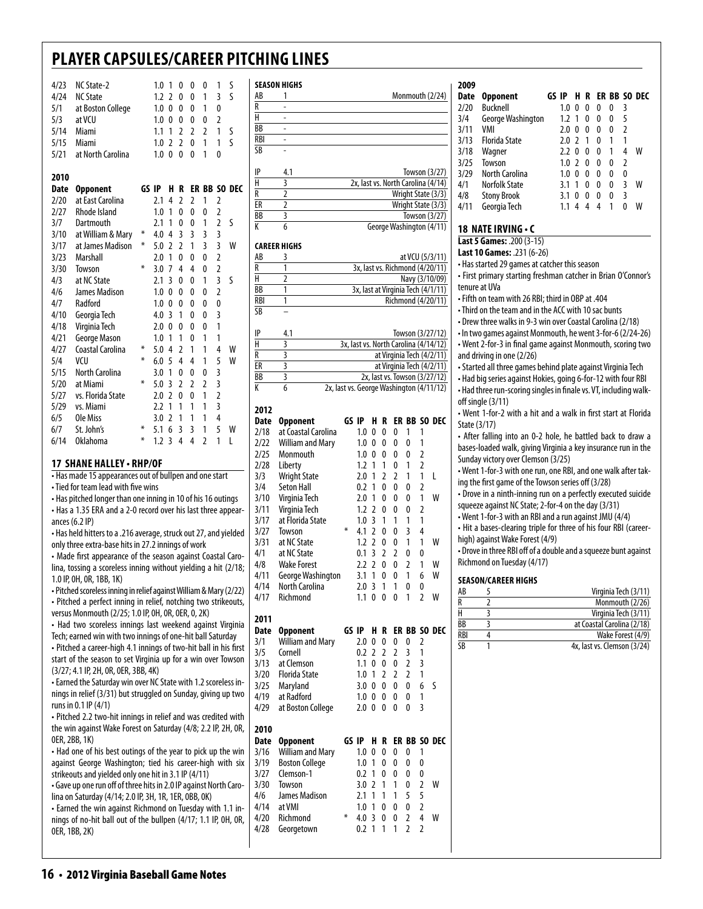| 4/23<br>4/24<br>5/1<br>5/3 | NC State-2<br><b>NC State</b><br>at Boston College<br>at VCU |       | 1.0<br>1.2<br>1.0<br>1.0 | 1<br>$\overline{\phantom{a}}$<br>0<br>$\mathbf{0}$ | 0<br>0<br>0<br>$\mathbf{0}$ | 0<br>0<br>0<br>0        | 0<br>1<br>1<br>0 | 1<br>3<br>0<br>$\overline{2}$ | S<br>$\varsigma$ |
|----------------------------|--------------------------------------------------------------|-------|--------------------------|----------------------------------------------------|-----------------------------|-------------------------|------------------|-------------------------------|------------------|
| 5/14                       | Miami                                                        |       | 1.1                      | 1                                                  | $\overline{\phantom{a}}$    | $\overline{2}$          | $\overline{2}$   | 1                             | S                |
| 5/15                       | Miami                                                        |       | 1.0                      | $\mathfrak z$                                      | $\mathfrak{p}$              | 0                       | 1                | 1                             | $\varsigma$      |
| 5/21                       | at North Carolina                                            |       | 1.0                      | $\mathbf{0}$                                       | $\mathbf{0}$                | $\mathbf{0}$            | 1                | 0                             |                  |
| 2010                       |                                                              |       |                          |                                                    |                             |                         |                  |                               |                  |
| Date                       | <b>Opponent</b>                                              | GS IP |                          | н                                                  | R                           |                         |                  |                               | ER BB SO DEC     |
| 2/20                       | at East Carolina                                             |       | 2.1                      | 4                                                  | $\overline{2}$              | $\overline{2}$          | 1                | $\overline{2}$                |                  |
| 2/27                       | <b>Rhode Island</b>                                          |       | 1.0                      | 1                                                  | $\mathbf{0}$                | $\mathbf{0}$            | 0                | $\overline{2}$                |                  |
| 3/7                        | Dartmouth                                                    |       | 2.1                      | 1                                                  | $\mathbf{0}$                | 0                       | 1                | $\overline{2}$                | S                |
| 3/10                       | at William & Mary                                            | ⋇     | 4.0                      | 4                                                  | 3                           | $\overline{3}$          | 3                | 3                             |                  |
| 3/17                       | at James Madison                                             | ⋇     | 5.0                      | $\mathfrak z$                                      | $\overline{2}$              | 1                       | $\overline{3}$   | $\overline{3}$                | W                |
| 3/23                       | Marshall                                                     |       | 2.0                      | 1                                                  | $\mathbf{0}$                | $\mathbf{0}$            | 0                | $\overline{2}$                |                  |
| 3/30                       | Towson                                                       | ∗     | 3.0                      | 7                                                  | 4                           | $\overline{4}$          | 0                | $\overline{2}$                |                  |
| 4/3                        | at NC State                                                  |       | 2.1                      | 3                                                  | 0                           | $\Omega$                | 1                | $\overline{3}$                | S                |
| 4/6                        | James Madison                                                |       | 1.0                      | 0                                                  | 0                           | $\Omega$                | 0                | $\overline{2}$                |                  |
| 4/7                        | Radford                                                      |       | 1.0                      | 0                                                  | 0                           | 0                       | 0                | $\mathbf{0}$                  |                  |
| 4/10                       | Georgia Tech                                                 |       | 4.0                      | 3                                                  | 1                           | $\Omega$                | 0                | 3                             |                  |
| 4/18                       | Virginia Tech                                                |       | 2.0                      | 0                                                  | 0                           | $\Omega$                | 0                | 1                             |                  |
| 4/21                       | <b>George Mason</b>                                          |       | 1.0                      | 1                                                  | 1                           | $\Omega$                | 1                | 1                             |                  |
| 4/27                       | Coastal Carolina                                             | ⋇     | 5.0                      | 4                                                  | $\overline{\phantom{a}}$    | 1                       | 1                | 4                             | W                |
| 5/4                        | VCU                                                          | ⋇     | 6.0                      | 5                                                  | 4                           | 4                       | 1                | 5                             | W                |
| 5/15                       | North Carolina                                               |       | 3.0                      | 1                                                  | 0                           | $\mathbf{0}$            | 0                | 3                             |                  |
| 5/20                       | at Miami                                                     | ⋇     | 5.0                      | 3                                                  | $\overline{2}$              | $\overline{2}$          | $\overline{2}$   | 3                             |                  |
| 5/27                       | vs. Florida State                                            |       | 2.0                      | $\overline{2}$                                     | 0                           | 0                       | 1                | $\overline{2}$                |                  |
| 5/29                       | vs. Miami                                                    |       | 2.2                      | 1                                                  | 1                           | 1                       | 1                | 3                             |                  |
| 6/5                        | Ole Miss                                                     |       | 3.0                      | $\overline{2}$                                     | 1                           | 1                       | 1                | 4                             |                  |
| 6/7                        | St. John's                                                   | ⋇     | 5.1                      | 6                                                  | 3                           | $\overline{\mathsf{B}}$ | 1                | 5                             | W                |
| 6/14                       | <b>Oklahoma</b>                                              | ⋇     | 1.2                      | 3                                                  | 4                           | $\overline{4}$          | $\overline{2}$   | 1                             | L                |

### **17 shane halley • RHP/OF**

• Has made 15 appearances out of bullpen and one start

• Tied for team lead with five wins

• Has pitched longer than one inning in 10 of his 16 outings • Has a 1.35 ERA and a 2-0 record over his last three appearances (6.2 IP)

• Has held hitters to a .216 average, struck out 27, and yielded only three extra-base hits in 27.2 innings of work

• Made first appearance of the season against Coastal Carolina, tossing a scoreless inning without yielding a hit (2/18; 1.0 IP, 0H, 0R, 1BB, 1K)

• Pitched scoreless inning in relief against William & Mary (2/22) • Pitched a perfect inning in relief, notching two strikeouts, versus Monmouth (2/25; 1.0 IP, 0H, 0R, 0ER, 0, 2K)

• Had two scoreless innings last weekend against Virginia Tech; earned win with two innings of one-hit ball Saturday • Pitched a career-high 4.1 innings of two-hit ball in his first start of the season to set Virginia up for a win over Towson (3/27; 4.1 IP, 2H, 0R, 0ER, 3BB, 4K)

• Earned the Saturday win over NC State with 1.2 scoreless innings in relief (3/31) but struggled on Sunday, giving up two runs in 0.1 IP (4/1)

• Pitched 2.2 two-hit innings in relief and was credited with the win against Wake Forest on Saturday (4/8; 2.2 IP, 2H, 0R, 0ER, 2BB, 1K)

• Had one of his best outings of the year to pick up the win against George Washington; tied his career-high with six strikeouts and yielded only one hit in 3.1 IP (4/11)

• Gave up one run off of three hits in 2.0 IP against North Carolina on Saturday (4/14; 2.0 IP, 3H, 1R, 1ER, 0BB, 0K)

• Earned the win against Richmond on Tuesday with 1.1 innings of no-hit ball out of the bullpen (4/17; 1.1 IP, 0H, 0R, 0ER, 1BB, 2K)

|            | JLMJVN IIIVIIJ |                                    |
|------------|----------------|------------------------------------|
| AB         | 1              | Monmouth (2/24)                    |
| R          |                |                                    |
| H          |                |                                    |
| ВB         |                |                                    |
| RBI        |                |                                    |
| <b>SB</b>  |                |                                    |
|            |                |                                    |
| IP         | 4.1            | Towson $(3/27)$                    |
| H          | 3              | 2x, last vs. North Carolina (4/14) |
| R          | $\overline{2}$ | Wright State (3/3)                 |
| ER         | $\overline{2}$ | Wright State (3/3)                 |
| ВB         | 3              | Towson (3/27)                      |
| K          | 6              | George Washington (4/11)           |
|            |                |                                    |
|            | CAREER HIGHS   |                                    |
| AB         | 3              | at VCU (5/3/11)                    |
| R          | 1              | 3x, last vs. Richmond (4/20/11)    |
| H          | $\overline{2}$ | Navy (3/10/09)                     |
| ВB         | 1              | 3x, last at Virginia Tech (4/1/11) |
| <b>RBI</b> | 1              | Richmond (4/20/11)                 |
| SB         |                |                                    |
|            |                |                                    |
| IP         | 4.1            | Towson (3/27/12)                   |
| . .        |                | $\ddot{\phantom{1}}$               |

|    | <b>T.I</b> | 1 <b>0W3011 12/27/12</b>                 |
|----|------------|------------------------------------------|
|    |            | 3x, last vs. North Carolina (4/14/12)    |
|    |            | at Virginia Tech (4/2/11)                |
| FR |            | at Virginia Tech (4/2/11)                |
| BB |            | 2x, last vs. Towson (3/27/12)            |
|    |            | 2x, last vs. George Washington (4/11/12) |

### **2012**

**Season Highs**

| <b>Date</b>  | <b>Opponent</b>          | GS IP |            | н              | R              |                | ER BB                   |                                  | SO DEC |
|--------------|--------------------------|-------|------------|----------------|----------------|----------------|-------------------------|----------------------------------|--------|
| 2/18         | at Coastal Carolina      |       | 1.0        | 0              | 0              | 0              | 1                       | 1                                |        |
| 2/22         | William and Mary         |       | 1.0        | 0              | $\mathbf{0}$   | 0              | 0                       | 1                                |        |
| 2/25         | Monmouth                 |       | 1.0        | 0              | 0              | 0              | 0                       | $\overline{2}$                   |        |
| 2/28         | Liberty                  |       | 1.2        | 1              | 1              | 0              | 1                       | $\overline{2}$                   |        |
| 3/3          | <b>Wright State</b>      |       | 2.0        | 1              | $\overline{2}$ | $\overline{2}$ | 1                       | 1                                | L      |
| 3/4          | <b>Seton Hall</b>        |       | 0.2        | 1              | $\mathbf{0}$   | 0              | 0                       | $\overline{2}$                   |        |
| 3/10         | Virginia Tech            |       | 2.0        | 1              | 0              | 0              | 0                       | 1                                | W      |
| 3/11         | Virginia Tech            |       | 1.2        | $\overline{2}$ | 0              | 0              | 0                       | $\overline{2}$                   |        |
| 3/17         | at Florida State         |       | 1.0        | $\overline{3}$ | 1              | 1              | 1                       | 1                                |        |
| 3/27         | Towson                   | ∗     | 4.1        | $\overline{2}$ | $\mathbf{0}$   | 0              | 3                       | $\overline{4}$                   |        |
| 3/31         | at NC State              |       | 1.2        | $\overline{2}$ | 0              | 0              | 1                       | 1                                | W      |
| 4/1          | at NC State              |       | 0.1        | $\overline{3}$ | $\overline{2}$ | $\overline{2}$ | $\mathbf{0}$            | $\mathbf{0}$                     |        |
| 4/8          | <b>Wake Forest</b>       |       | 2.2        | $\overline{2}$ | $\mathbf{0}$   | 0              | $\overline{2}$          | 1                                | W      |
| 4/11         | <b>George Washington</b> |       | 3.1        | 1              | 0              | 0              | 1                       | 6                                | W      |
| 4/14         | <b>North Carolina</b>    |       | 2.0        | $\overline{3}$ | 1              | 1              | 0                       | 0                                |        |
| 4/17         | Richmond                 |       | 1.1        | 0              | 0              | 0              | 1                       | $\overline{2}$                   | W      |
|              |                          |       |            |                |                |                |                         |                                  |        |
| 2011         |                          |       |            |                |                |                |                         |                                  |        |
|              |                          |       |            |                |                |                |                         |                                  |        |
| <b>Date</b>  | <b>Opponent</b>          | GS IP |            | H              | R              |                | ER BB                   |                                  | SO DEC |
| 3/1          | <b>William and Mary</b>  |       | 2.0        | 0              | 0              | 0              | 0                       | 2                                |        |
| 3/5          | Cornell                  |       | 0.2        | $\overline{2}$ | $\overline{2}$ | $\overline{2}$ | 3                       | 1                                |        |
| 3/13         | at Clemson               |       | 1.1        | 0              | 0              | 0              | $\overline{\mathbf{c}}$ | 3                                |        |
| 3/20         | <b>Florida State</b>     |       | 1.0        | 1              | $\overline{2}$ | $\overline{2}$ | $\overline{2}$          | 1                                |        |
| 3/25         | Maryland                 |       | 3.0        | 0              | 0              | $\mathbf{0}$   | 0                       | 6                                | S      |
| 4/19         | at Radford               |       | 1.0        | 0              | 0              | 0              | 0                       | 1                                |        |
| 4/29         | at Boston College        |       | 2.0        | 0              | 0              | 0              | 0                       | 3                                |        |
|              |                          |       |            |                |                |                |                         |                                  |        |
| 2010         |                          |       |            |                |                |                |                         |                                  |        |
| <b>Date</b>  | <b>Opponent</b>          | GS IP |            | H              | R              | ER             | BB                      |                                  | SO DEC |
| 3/16         | William and Mary         |       | 1.0        | 0              | 0              | $\overline{0}$ | $\mathbf{0}$            | 1                                |        |
| 3/19         | <b>Boston College</b>    |       | 1.0        | 1              | 0              | 0              | 0                       | 0                                |        |
| 3/27         | Clemson-1                |       | 0.2        | 1              | 0              | 0              | 0                       | 0                                |        |
| 3/30         | Towson                   |       | 3.0        | $\overline{2}$ | 1              | 1              | 0                       | $\overline{\mathbf{c}}$          | W      |
| 4/6          | <b>James Madison</b>     |       | 2.1        | 1              | 1              | 1              | 5                       | 5                                |        |
| 4/14         | at VMI                   | ₩     | 1.0        | 1              | 0              | 0              | 0                       | $\overline{2}$                   |        |
| 4/20<br>4/28 | Richmond<br>Georgetown   |       | 4.0<br>0.2 | 3<br>1         | 0<br>1         | 0<br>1         | 2<br>$\overline{2}$     | $\overline{4}$<br>$\overline{2}$ | W      |

| 2009 | Date Opponent         |               |  |  | GS IP H R ER BB SO DEC |
|------|-----------------------|---------------|--|--|------------------------|
|      | 2/20 Bucknell         | $1.0$ 0 0 0 0 |  |  |                        |
|      | 3/4 George Washington | 121000        |  |  |                        |

| 2/20 | Bucknell             | 1.0 |                          | 0 | 0 | 0 | 3 |   |  |
|------|----------------------|-----|--------------------------|---|---|---|---|---|--|
| 3/4  | George Washington    | 1.2 | 1                        | 0 | 0 | 0 | 5 |   |  |
| 3/11 | VMI                  | 2.0 | 0                        | 0 | 0 | 0 | 2 |   |  |
| 3/13 | <b>Florida State</b> | 2.0 | $\mathcal{I}$            | 1 | 0 |   |   |   |  |
| 3/18 | Wagner               | 2.2 | $\mathbf 0$              | 0 | 0 | 1 | 4 | W |  |
| 3/25 | Towson               | 1.0 | $\overline{\phantom{a}}$ | 0 | 0 | 0 | 7 |   |  |
| 3/29 | North Carolina       | 1.0 | 0                        | 0 | 0 | 0 | 0 |   |  |
| 4/1  | <b>Norfolk State</b> | 3.1 | 1                        | 0 | 0 | 0 | 3 | W |  |
| 4/8  | <b>Stony Brook</b>   | 3.1 | 0                        | 0 | 0 | 0 | 3 |   |  |
| 4/11 | Georgia Tech         | 1.1 | 4                        | 4 | 4 | 1 |   | w |  |
|      |                      |     |                          |   |   |   |   |   |  |

#### **18 nateirving • c**

**Last 5 Games:** .200 (3-15)

**Last 10 Games:** .231 (6-26)

• Has started 29 games at catcher this season

• First primary starting freshman catcher in Brian O'Connor's tenure at UVa

- Fifth on team with 26 RBI; third in OBP at .404
- Third on the team and in the ACC with 10 sac bunts

• Drew three walks in 9-3 win over Coastal Carolina (2/18)

• In two games against Monmouth, he went 3-for-6 (2/24-26)

• Went 2-for-3 in final game against Monmouth, scoring two and driving in one (2/26)

• Started all three games behind plate against Virginia Tech

• Had big series against Hokies, going 6-for-12 with four RBI • Had three run-scoring singles in finale vs. VT, including walkoff single (3/11)

• Went 1-for-2 with a hit and a walk in first start at Florida State (3/17)

• After falling into an 0-2 hole, he battled back to draw a bases-loaded walk, giving Virginia a key insurance run in the Sunday victory over Clemson (3/25)

• Went 1-for-3 with one run, one RBI, and one walk after taking the first game of the Towson series off (3/28)

• Drove in a ninth-inning run on a perfectly executed suicide squeeze against NC State; 2-for-4 on the day (3/31)

• Went 1-for-3 with an RBI and a run against JMU (4/4)

• Hit a bases-clearing triple for three of his four RBI (careerhigh) against Wake Forest (4/9)

• Drove in three RBI off of a double and a squeeze bunt against Richmond on Tuesday (4/17)

#### **Season/career Highs**

| AB        | Virginia Tech (3/11)        |
|-----------|-----------------------------|
| R         | Monmouth (2/26)             |
| н         | Virginia Tech (3/11)        |
| ВB        | at Coastal Carolina (2/18)  |
| RBI       | Wake Forest (4/9)           |
| <b>CR</b> | 4x, last vs. Clemson (3/24) |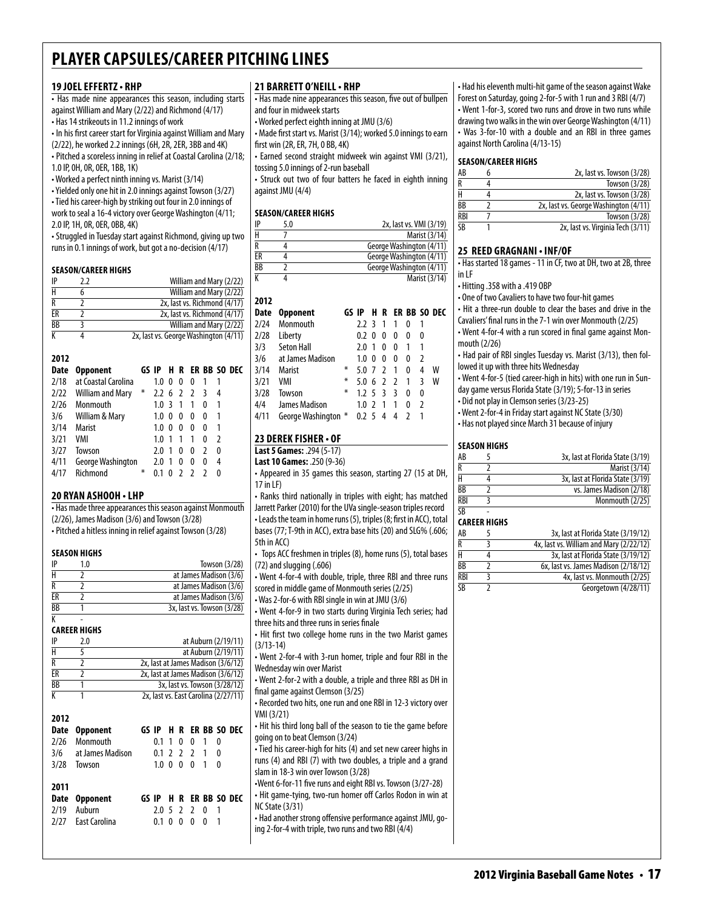# **19 Joel Effertz• RHP**

• Has made nine appearances this season, including starts against William and Mary (2/22) and Richmond (4/17) • Has 14 strikeouts in 11.2 innings of work

• In his first career start for Virginia against William and Mary

(2/22), he worked 2.2 innings (6H, 2R, 2ER, 3BB and 4K)

• Pitched a scoreless inning in relief at Coastal Carolina (2/18; 1.0 IP, 0H, 0R, 0ER, 1BB, 1K)

• Worked a perfect ninth inning vs. Marist (3/14)

• Yielded only one hit in 2.0 innings against Towson (3/27)

• Tied his career-high by striking out four in 2.0 innings of work to seal a 16-4 victory over George Washington (4/11; 2.0 IP, 1H, 0R, 0ER, 0BB, 4K)

• Struggled in Tuesday start against Richmond, giving up two runs in 0.1 innings of work, but got a no-decision (4/17)

#### **Season/career Highs**

| IP | 77 | William and Mary (2/22)               |
|----|----|---------------------------------------|
|    |    | William and Mary (2/22)               |
|    |    | 2x, last vs. Richmond (4/17)          |
| FR |    | 2x, last vs. Richmond (4/17)          |
| BB |    | William and Mary (2/22)               |
|    |    | 2x, last vs. George Washington (4/11) |

# **2012**

| Date | <b>Opponent</b>     | GS IP  |                  |    |                |                |    | <b>H R ER BB SO DEC</b> |
|------|---------------------|--------|------------------|----|----------------|----------------|----|-------------------------|
| 2/18 | at Coastal Carolina |        | 1.0              | 0  | 0              | 0              |    |                         |
| 2/22 | William and Mary    | ⋇      | 2.2 <sub>6</sub> |    | $\overline{2}$ | $\overline{2}$ | ्र | 4                       |
| 2/26 | Monmouth            |        | 1.0              | ्र | 1              | 1              | 0  |                         |
| 3/6  | William & Mary      |        | 1.0              | 0  | 0              | 0              | 0  |                         |
| 3/14 | Marist              |        | 1.0              | 0  | 0              | 0              | 0  |                         |
| 3/21 | VMI                 |        | 1.0              |    | 1              | 1              | 0  | 2                       |
| 3/27 | Towson              |        | 2.0              | 1  | 0              | 0              | 7  | 0                       |
| 4/11 | George Washington   |        | 2.0              | 1  | 0              | 0              | 0  | 4                       |
| 4/17 | Richmond            | $\ast$ |                  |    |                | $\mathcal{D}$  |    | n                       |

### **20 Ryan Ashooh • LHP**

• Has made three appearances this season against Monmouth (2/26), James Madison (3/6) and Towson (3/28) • Pitched a hitless inning in relief against Towson (3/28)

#### **Season Highs**

| IP              | Towson (3/28)              |
|-----------------|----------------------------|
|                 | at James Madison (3/6)     |
|                 | at James Madison (3/6)     |
| FR              | at James Madison (3/6)     |
| $\overline{BB}$ | 3x, last vs. Towson (3/28) |
|                 |                            |

#### K - **Career Highs**

| IP        | 2.0 | at Auburn (2/19/11)                  |
|-----------|-----|--------------------------------------|
| н         |     | at Auburn (2/19/11)                  |
| R         |     | 2x, last at James Madison (3/6/12)   |
| FR        |     | 2x, last at James Madison (3/6/12)   |
| <b>BB</b> |     | 3x, last vs. Towson (3/28/12)        |
|           |     | 2x, last vs. East Carolina (2/27/11) |

| 2012<br>Date<br>2/26<br>3/28 | <b>Opponent</b><br>Monmouth<br>3/6 at James Madison<br>Towson | 0.1<br>1.0 0 0 | $\mathbf{1}$ | 0 | $\mathbf{0}$<br>$0.1$ 2 2 2 1<br>0 <sub>1</sub> | 1 | 0<br>0<br>0 | GS IP H R ER BB SO DEC |
|------------------------------|---------------------------------------------------------------|----------------|--------------|---|-------------------------------------------------|---|-------------|------------------------|
| 2011<br>2/19<br>7/77         | Date Opponent<br>Auburn<br>East Carolina                      | 0.1            | 0            | 0 | 2.05220<br>$\mathbf{0}$                         | 0 | 1<br>1      | GS IP H R ER BB SO DEC |

#### **21 Barrett o'neill• RHP**

• Has made nine appearances this season, five out of bullpen and four in midweek starts

• Worked perfect eighth inning at JMU (3/6)

• Made first start vs. Marist (3/14); worked 5.0 innings to earn first win (2R, ER, 7H, 0 BB, 4K)

• Earned second straight midweek win against VMI (3/21), tossing 5.0 innings of 2-run baseball

• Struck out two of four batters he faced in eighth inning against JMU (4/4)

# **Season/career Highs**

**2012**

| IP | 5.0 | 2x, last vs. VMI (3/19)  |
|----|-----|--------------------------|
| Н  |     | Marist (3/14)            |
| R  |     | George Washington (4/11) |
| ЕR |     | George Washington (4/11) |
| ВB |     | George Washington (4/11) |
| К  |     | Marist (3/14)            |

| ZUIZ |                     |       |                   |    |     |                |              |               |                    |
|------|---------------------|-------|-------------------|----|-----|----------------|--------------|---------------|--------------------|
| Date | <b>Opponent</b>     | GS IP |                   |    |     |                |              |               | <b>HRERBBSODEC</b> |
| 2/24 | Monmouth            |       | 2.2 <sub>3</sub>  |    | 1   | 1              | 0            | 1             |                    |
| 2/28 | Liberty             |       | 0.2 <sub>0</sub>  |    | 0   | 0              | 0            | 0             |                    |
| 3/3  | <b>Seton Hall</b>   |       | 2.0               | -1 | 0   | 0              | 1            | 1             |                    |
| 3/6  | at James Madison    |       | 1.0 <sub>0</sub>  |    | 0   | 0              | 0            | 2             |                    |
| 3/14 | Marist              | ⋇     | $5.0 \t7 \t2$     |    |     | $\mathbf{1}$   | 0            | 4             | w                  |
| 3/21 | VMI                 | ⋇     | $5.0 \t6 \t2 \t2$ |    |     |                | $\mathbf{1}$ | ξ             | W                  |
| 3/28 | Towson              | ∗     | $1.2 \t5 \t3$     |    |     | $\overline{3}$ | $\mathbf{0}$ | 0             |                    |
| 4/4  | James Madison       |       | $1.0\,2$          |    | - 1 | 1              | 0            | $\mathfrak z$ |                    |
| 4/11 | George Washington * |       | 0.2 <sub>5</sub>  |    | 4   | 4              |              |               |                    |
|      |                     |       |                   |    |     |                |              |               |                    |

# **23 Derek fisher • of**

**Last 5 Games:** .294 (5-17)

**Last 10 Games:** .250 (9-36)

• Appeared in 35 games this season, starting 27 (15 at DH, 17 in LF)

• Ranks third nationally in triples with eight; has matched Jarrett Parker (2010) for the UVa single-season triples record • Leads the team in home runs (5), triples (8; first in ACC), total bases (77; T-9th in ACC), extra base hits (20) and SLG% (.606; 5th in ACC)

• Tops ACC freshmen in triples (8), home runs (5), total bases (72) and slugging (.606)

• Went 4-for-4 with double, triple, three RBI and three runs scored in middle game of Monmouth series (2/25)

• Was 2-for-6 with RBI single in win at JMU (3/6) • Went 4-for-9 in two starts during Virginia Tech series; had three hits and three runs in series finale

• Hit first two college home runs in the two Marist games (3/13-14)

• Went 2-for-4 with 3-run homer, triple and four RBI in the Wednesday win over Marist

• Went 2-for-2 with a double, a triple and three RBI as DH in final game against Clemson (3/25)

• Recorded two hits, one run and one RBI in 12-3 victory over VMI (3/21)

• Hit his third long ball of the season to tie the game before going on to beat Clemson (3/24)

• Tied his career-high for hits (4) and set new career highs in runs (4) and RBI (7) with two doubles, a triple and a grand slam in 18-3 win over Towson (3/28) •Went 6-for-11 five runs and eight RBI vs. Towson (3/27-28) • Hit game-tying, two-run homer off Carlos Rodon in win at

NC State (3/31)

• Had another strong offensive performance against JMU, going 2-for-4 with triple, two runs and two RBI (4/4)

• Had his eleventh multi-hit game of the season against Wake Forest on Saturday, going 2-for-5 with 1 run and 3 RBI (4/7) • Went 1-for-3, scored two runs and drove in two runs while drawing two walks in the win over George Washington (4/11) • Was 3-for-10 with a double and an RBI in three games against North Carolina (4/13-15)

#### **Season/career Highs**

| AB                      | 2x, last vs. Towson (3/28)            |
|-------------------------|---------------------------------------|
| $\overline{\mathsf{R}}$ | Towson (3/28)                         |
| н                       | 2x, last vs. Towson (3/28)            |
| ВB                      | 2x, last vs. George Washington (4/11) |
| <b>RBI</b>              | Towson (3/28)                         |
| <b>SR</b>               | 2x, last vs. Virginia Tech (3/11)     |
|                         |                                       |

#### **25 Reed Gragnani • INF/OF**

• Has started 18 games - 11 in CF, two at DH, two at 2B, three in LF

• Hitting .358 with a .419 OBP

• One of two Cavaliers to have two four-hit games

• Hit a three-run double to clear the bases and drive in the Cavaliers' final runs in the 7-1 win over Monmouth (2/25)

• Went 4-for-4 with a run scored in final game against Monmouth (2/26)

• Had pair of RBI singles Tuesday vs. Marist (3/13), then followed it up with three hits Wednesday

• Went 4-for-5 (tied career-high in hits) with one run in Sunday game versus Florida State (3/19); 5-for-13 in series

• Did not play in Clemson series (3/23-25)

• Went 2-for-4 in Friday start against NC State (3/30)

• Has not played since March 31 because of injury

#### **Season Highs**

| AB  | 3x, last at Florida State (3/19) |
|-----|----------------------------------|
|     | Marist (3/14)                    |
|     | 3x, last at Florida State (3/19) |
| ВB  | vs. James Madison (2/18)         |
| RBI | Monmouth (2/25)                  |

#### **Career Highs**

 $\overline{SR}$ 

| AB         | 3x, last at Florida State (3/19/12)     |
|------------|-----------------------------------------|
| R          | 4x, last vs. William and Mary (2/22/12) |
| н          | 3x, last at Florida State (3/19/12)     |
| ВB         | 6x, last vs. James Madison (2/18/12)    |
| <b>RBI</b> | 4x, last vs. Monmouth (2/25)            |
| SB         | Georgetown (4/28/11)                    |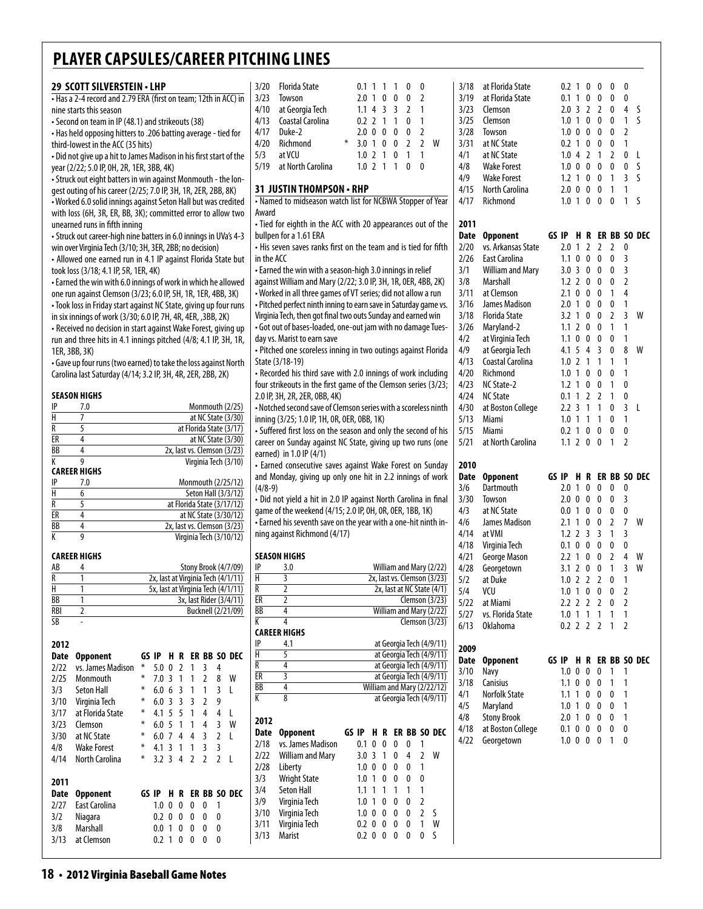|                                                                                                            | 29 SCOTT SILVERSTEIN . LHP                                                                                                        |                                    |                             |                                |                |                |                                               | 3/20                  | <b>Florida State</b>                                                                                                  |                |               | 0.1 1 1 1         |                | 0                 | $\pmb{0}$                      |                                                        |
|------------------------------------------------------------------------------------------------------------|-----------------------------------------------------------------------------------------------------------------------------------|------------------------------------|-----------------------------|--------------------------------|----------------|----------------|-----------------------------------------------|-----------------------|-----------------------------------------------------------------------------------------------------------------------|----------------|---------------|-------------------|----------------|-------------------|--------------------------------|--------------------------------------------------------|
|                                                                                                            | . Has a 2-4 record and 2.79 ERA (first on team; 12th in ACC) in                                                                   |                                    |                             |                                |                |                |                                               | 3/23                  | Towson                                                                                                                |                |               | $2.0 \t1 \t0 \t0$ |                | 0                 | 2                              |                                                        |
|                                                                                                            | nine starts this season                                                                                                           |                                    | 4/10                        | at Georgia Tech                |                |                | 1.1433                                        |                       | $\overline{2}$                                                                                                        | $\mathbf{1}$   |               |                   |                |                   |                                |                                                        |
|                                                                                                            | • Second on team in IP (48.1) and strikeouts (38)                                                                                 |                                    | 4/13                        | Coastal Carolina               |                |                | $0.2$ 2 1 1                                   |                       | 0                                                                                                                     | $\mathbf{1}$   |               |                   |                |                   |                                |                                                        |
|                                                                                                            | • Has held opposing hitters to .206 batting average - tied for                                                                    |                                    | 4/17<br>4/20                | Duke-2                         |                |                | $2.0 \t0 \t0 \t0$                             |                       | $\mathbf 0$                                                                                                           | $\overline{2}$ |               |                   |                |                   |                                |                                                        |
| third-lowest in the ACC (35 hits)                                                                          |                                                                                                                                   |                                    |                             |                                |                |                |                                               |                       | Richmond                                                                                                              | ∗<br>3.0 1 0 0 |               |                   |                | $\overline{2}$    | $\overline{2}$                 | W                                                      |
| . Did not give up a hit to James Madison in his first start of the                                         |                                                                                                                                   |                                    |                             |                                |                |                |                                               |                       | at VCU                                                                                                                |                |               | $1.0$ 2 1 0       |                | 1                 | 1                              |                                                        |
| year (2/22; 5.0 IP, 0H, 2R, 1ER, 3BB, 4K)<br>- Struck out eight batters in win against Monmouth - the lon- |                                                                                                                                   |                                    |                             |                                |                |                |                                               |                       | at North Carolina                                                                                                     |                |               | $1.0 \t2 \t1$     | $\mathbf{1}$   | 0                 | 0                              |                                                        |
|                                                                                                            |                                                                                                                                   |                                    |                             |                                |                |                |                                               |                       | 31 JUSTIN THOMPSON • RHP                                                                                              |                |               |                   |                |                   |                                |                                                        |
|                                                                                                            | gest outing of his career (2/25; 7.0 IP, 3H, 1R, 2ER, 2BB, 8K)<br>• Worked 6.0 solid innings against Seton Hall but was credited  |                                    |                             |                                |                |                |                                               |                       | . Named to midseason watch list for NCBWA Stopper of Year                                                             |                |               |                   |                |                   |                                |                                                        |
|                                                                                                            | with loss (6H, 3R, ER, BB, 3K); committed error to allow two                                                                      |                                    |                             |                                |                |                |                                               | Award                 |                                                                                                                       |                |               |                   |                |                   |                                |                                                        |
|                                                                                                            | unearned runs in fifth inning                                                                                                     |                                    |                             |                                |                |                |                                               |                       | · Tied for eighth in the ACC with 20 appearances out of the                                                           |                |               |                   |                |                   |                                |                                                        |
|                                                                                                            | • Struck out career-high nine batters in 6.0 innings in UVa's 4-3                                                                 |                                    |                             |                                |                |                |                                               |                       | bullpen for a 1.61 ERA                                                                                                |                |               |                   |                |                   |                                |                                                        |
|                                                                                                            | win over Virginia Tech (3/10; 3H, 3ER, 2BB; no decision)                                                                          |                                    |                             |                                |                |                |                                               |                       | • His seven saves ranks first on the team and is tied for fifth                                                       |                |               |                   |                |                   |                                |                                                        |
|                                                                                                            | • Allowed one earned run in 4.1 IP against Florida State but                                                                      |                                    |                             |                                |                |                |                                               | in the ACC            |                                                                                                                       |                |               |                   |                |                   |                                |                                                        |
|                                                                                                            | took loss (3/18; 4.1 IP, 5R, 1ER, 4K)                                                                                             |                                    |                             |                                |                |                |                                               |                       | • Earned the win with a season-high 3.0 innings in relief                                                             |                |               |                   |                |                   |                                |                                                        |
|                                                                                                            | • Earned the win with 6.0 innings of work in which he allowed                                                                     |                                    |                             |                                |                |                |                                               |                       | against William and Mary (2/22; 3.0 IP, 3H, 1R, 0ER, 4BB, 2K)                                                         |                |               |                   |                |                   |                                |                                                        |
|                                                                                                            | one run against Clemson (3/23; 6.0 IP, 5H, 1R, 1ER, 4BB, 3K)                                                                      |                                    |                             |                                |                |                |                                               |                       | • Worked in all three games of VT series; did not allow a run                                                         |                |               |                   |                |                   |                                |                                                        |
|                                                                                                            | • Took loss in Friday start against NC State, giving up four runs                                                                 |                                    |                             |                                |                |                |                                               |                       | - Pitched perfect ninth inning to earn save in Saturday game vs.                                                      |                |               |                   |                |                   |                                |                                                        |
|                                                                                                            | in six innings of work (3/30; 6.0 IP, 7H, 4R, 4ER, ,3BB, 2K)                                                                      |                                    |                             |                                |                |                |                                               |                       | Virginia Tech, then got final two outs Sunday and earned win                                                          |                |               |                   |                |                   |                                |                                                        |
|                                                                                                            | • Received no decision in start against Wake Forest, giving up<br>run and three hits in 4.1 innings pitched (4/8; 4.1 IP, 3H, 1R, |                                    |                             |                                |                |                |                                               |                       | - Got out of bases-loaded, one-out jam with no damage Tues-<br>day vs. Marist to earn save                            |                |               |                   |                |                   |                                |                                                        |
|                                                                                                            | 1ER, 3BB, 3K)                                                                                                                     |                                    |                             |                                |                |                |                                               |                       | · Pitched one scoreless inning in two outings against Florida                                                         |                |               |                   |                |                   |                                |                                                        |
|                                                                                                            | • Gave up four runs (two earned) to take the loss against North                                                                   |                                    |                             |                                |                |                |                                               |                       | State (3/18-19)                                                                                                       |                |               |                   |                |                   |                                |                                                        |
|                                                                                                            | Carolina last Saturday (4/14; 3.2 IP, 3H, 4R, 2ER, 2BB, 2K)                                                                       |                                    |                             |                                |                |                |                                               |                       | • Recorded his third save with 2.0 innings of work including                                                          |                |               |                   |                |                   |                                |                                                        |
|                                                                                                            |                                                                                                                                   |                                    |                             |                                |                |                |                                               |                       | four strikeouts in the first game of the Clemson series (3/23;                                                        |                |               |                   |                |                   |                                |                                                        |
|                                                                                                            | <b>SEASON HIGHS</b>                                                                                                               |                                    |                             |                                |                |                |                                               |                       | 2.0 IP, 3H, 2R, 2ER, 0BB, 4K)                                                                                         |                |               |                   |                |                   |                                |                                                        |
| IP                                                                                                         | 7.0                                                                                                                               |                                    |                             |                                |                |                | Monmouth (2/25)                               |                       | • Notched second save of Clemson series with a scoreless ninth                                                        |                |               |                   |                |                   |                                |                                                        |
| Н                                                                                                          | 7                                                                                                                                 |                                    |                             |                                |                |                | at NC State (3/30)                            |                       | inning (3/25; 1.0 IP, 1H, 0R, 0ER, 0BB, 1K)                                                                           |                |               |                   |                |                   |                                |                                                        |
| R<br>ER                                                                                                    | 5<br>4                                                                                                                            |                                    |                             |                                |                |                | at Florida State (3/17)<br>at NC State (3/30) |                       | • Suffered first loss on the season and only the second of his                                                        |                |               |                   |                |                   |                                |                                                        |
| BB                                                                                                         | 4                                                                                                                                 |                                    | 2x, last vs. Clemson (3/23) |                                |                |                |                                               |                       | career on Sunday against NC State, giving up two runs (one                                                            |                |               |                   |                |                   |                                |                                                        |
| K                                                                                                          | 9                                                                                                                                 |                                    |                             |                                |                |                | Virginia Tech (3/10)                          |                       | earned) in 1.0 IP (4/1)                                                                                               |                |               |                   |                |                   |                                |                                                        |
|                                                                                                            | <b>CAREER HIGHS</b>                                                                                                               |                                    |                             |                                |                |                |                                               |                       | · Earned consecutive saves against Wake Forest on Sunday<br>and Monday, giving up only one hit in 2.2 innings of work |                |               |                   |                |                   |                                |                                                        |
| IP                                                                                                         | 7.0                                                                                                                               |                                    |                             |                                |                |                | Monmouth (2/25/12)                            | $(4/8-9)$             |                                                                                                                       |                |               |                   |                |                   |                                |                                                        |
| H                                                                                                          | 6                                                                                                                                 |                                    |                             |                                |                |                | Seton Hall (3/3/12)                           |                       | • Did not yield a hit in 2.0 IP against North Carolina in final                                                       |                |               |                   |                |                   |                                |                                                        |
| R                                                                                                          | 5<br>4                                                                                                                            |                                    | at Florida State (3/17/12)  |                                |                |                | at NC State (3/30/12)                         |                       | game of the weekend (4/15; 2.0 IP, 0H, 0R, 0ER, 1BB, 1K)                                                              |                |               |                   |                |                   |                                |                                                        |
|                                                                                                            |                                                                                                                                   |                                    | 2x, last vs. Clemson (3/23) |                                |                |                |                                               |                       | - Earned his seventh save on the year with a one-hit ninth in-                                                        |                |               |                   |                |                   |                                |                                                        |
| ER                                                                                                         |                                                                                                                                   |                                    |                             |                                |                |                | Virginia Tech (3/10/12)                       |                       | ning against Richmond (4/17)                                                                                          |                |               |                   |                |                   |                                |                                                        |
| BB                                                                                                         | 4<br>9                                                                                                                            |                                    |                             |                                |                |                |                                               |                       |                                                                                                                       |                |               |                   |                |                   |                                |                                                        |
| К                                                                                                          |                                                                                                                                   |                                    |                             |                                |                |                |                                               |                       |                                                                                                                       |                |               |                   |                |                   |                                |                                                        |
|                                                                                                            | <b>CAREER HIGHS</b>                                                                                                               |                                    |                             |                                |                |                |                                               |                       | <b>SEASON HIGHS</b>                                                                                                   |                |               |                   |                |                   |                                |                                                        |
| AB                                                                                                         | 4                                                                                                                                 |                                    |                             |                                |                |                | Stony Brook (4/7/09)                          | IP                    | 3.0                                                                                                                   |                |               |                   |                |                   |                                | William and Mary (2/22)                                |
| R                                                                                                          | 1                                                                                                                                 | 2x, last at Virginia Tech (4/1/11) |                             |                                |                |                |                                               | $\overline{H}$        | 3                                                                                                                     |                |               |                   |                |                   |                                | 2x, last vs. Clemson (3/23)                            |
| H                                                                                                          | 1                                                                                                                                 | 5x, last at Virginia Tech (4/1/11) |                             |                                |                |                |                                               | R                     | 2                                                                                                                     |                |               |                   |                |                   |                                | 2x, last at NC State (4/1)                             |
| BB<br>RBI                                                                                                  | 1<br>2                                                                                                                            |                                    |                             |                                |                |                | 3x, last Rider (3/4/11)<br>Bucknell (2/21/09) | ER<br>$\overline{BB}$ | 2<br>4                                                                                                                |                |               |                   |                |                   |                                | Clemson $(3/23)$<br>William and Mary (2/22)            |
| <b>SB</b>                                                                                                  | $\overline{a}$                                                                                                                    |                                    |                             |                                |                |                |                                               | K                     | 4                                                                                                                     |                |               |                   |                |                   |                                | Clemson $(3/23)$                                       |
|                                                                                                            |                                                                                                                                   |                                    |                             |                                |                |                |                                               |                       | <b>CAREER HIGHS</b>                                                                                                   |                |               |                   |                |                   |                                |                                                        |
| 2012                                                                                                       |                                                                                                                                   |                                    |                             |                                |                |                |                                               | IP                    | 4.1                                                                                                                   |                |               |                   |                |                   |                                | at Georgia Tech (4/9/11)                               |
| <b>Date</b>                                                                                                | <b>Opponent</b>                                                                                                                   | GS IP                              | H R ER BB SO DEC            |                                |                |                |                                               | Н                     | 5                                                                                                                     |                |               |                   |                |                   |                                | at Georgia Tech (4/9/11)                               |
| 2/22                                                                                                       | vs. James Madison                                                                                                                 | ₩                                  | $5.0 \t0 \t2$               | $\overline{1}$                 | 3              | 4              |                                               | R                     | 4                                                                                                                     |                |               |                   |                |                   |                                | at Georgia Tech (4/9/11)                               |
| 2/25                                                                                                       | Monmouth                                                                                                                          | ⋇                                  | 7.031                       | $\mathbf{1}$                   | 2              | 8              | W                                             | ER<br>BB              | $\overline{\mathbf{3}}$<br>4                                                                                          |                |               |                   |                |                   |                                | at Georgia Tech (4/9/11)                               |
| 3/3                                                                                                        | <b>Seton Hall</b>                                                                                                                 | $\ast$<br>⋇                        | $6.0 \t6 \t3$               | $\overline{1}$                 | 1              | 3              | L                                             | K                     | 8                                                                                                                     |                |               |                   |                |                   |                                | William and Mary (2/22/12)<br>at Georgia Tech (4/9/11) |
| 3/10                                                                                                       | Virginia Tech                                                                                                                     | ∗                                  | 6.033                       | $\overline{3}$                 | 2<br>4         | 9<br>4         |                                               |                       |                                                                                                                       |                |               |                   |                |                   |                                |                                                        |
| 3/17<br>3/23                                                                                               | at Florida State<br>Clemson                                                                                                       | ∗<br>6.05                          | 4.1 5 5<br>$\overline{1}$   | $\overline{1}$<br>$\mathbf{1}$ | 4              | 3              | L<br>W                                        | 2012                  |                                                                                                                       |                |               |                   |                |                   |                                |                                                        |
| 3/30                                                                                                       | at NC State                                                                                                                       | ⋇                                  | $6.0$ 7 4                   | 4                              | 3              | 2              | L                                             | Date                  | <b>Opponent</b>                                                                                                       | GS IP          |               |                   |                |                   |                                | H R ER BB SO DEC                                       |
| 4/8                                                                                                        | <b>Wake Forest</b>                                                                                                                | ⋇<br>4.1 3                         | $\overline{1}$              | 1                              | 3              | 3              |                                               | 2/18                  | vs. James Madison                                                                                                     | 0.1 0 0        |               |                   | 0              | 0                 | 1                              |                                                        |
| 4/14                                                                                                       | North Carolina                                                                                                                    | ⋇                                  | $3.2 \, 3 \, 4$             | $\overline{2}$                 | $\overline{2}$ | $\overline{2}$ | - L                                           | 2/22                  | William and Mary                                                                                                      |                |               | 3.0 3 1           | 0              | 4                 | 2                              | W                                                      |
|                                                                                                            |                                                                                                                                   |                                    |                             |                                |                |                |                                               | 2/28                  | Liberty                                                                                                               |                | $1.0 \t0 \t0$ |                   | 0              | 0                 | 1                              |                                                        |
| 2011                                                                                                       |                                                                                                                                   |                                    |                             |                                |                |                |                                               | 3/3                   | <b>Wright State</b>                                                                                                   |                | 1.0 1 0       |                   | 0              | 0                 | 0                              |                                                        |
| <b>Date</b>                                                                                                | <b>Opponent</b>                                                                                                                   | GS IP                              | H R ER BB SO DEC            |                                |                |                |                                               | 3/4                   | <b>Seton Hall</b>                                                                                                     |                | $1.1 \t1 \t1$ |                   | $\overline{1}$ | 1                 | $\mathbf{1}$                   |                                                        |
| 2/27                                                                                                       | East Carolina                                                                                                                     |                                    | $1.0 \t0 \t0$               | 0                              | 0              | 1              |                                               | 3/9                   | Virginia Tech                                                                                                         |                | $1.0 \t1 \t0$ |                   | 0              | 0                 | $\overline{2}$                 |                                                        |
| 3/2                                                                                                        | Niagara                                                                                                                           |                                    | $0.2 \ 0 \ 0$               | $\mathbf 0$                    | 0              | 0              |                                               | 3/10                  | Virginia Tech                                                                                                         |                | $1.0 \t0 \t0$ |                   | 0<br>0         | 0<br>$\mathbf{0}$ | $\overline{2}$<br>$\mathbf{1}$ | S<br>W                                                 |
| 3/8<br>3/13                                                                                                | Marshall<br>at Clemson                                                                                                            |                                    | 0.0 1 0<br>0.2 1 0 0        | 0                              | 0<br>0         | 0<br>0         |                                               | 3/11<br>3/13          | Virginia Tech<br>Marist                                                                                               | $0.2 \ 0 \ 0$  |               | 0.2 0 0 0         |                | $\mathbf{0}$      | $\mathbf 0$                    | S                                                      |

| 3/18                                                                                                     | at Florida State        | 0.2              | 1              | 0              | 0              | 0              | 0              |              |
|----------------------------------------------------------------------------------------------------------|-------------------------|------------------|----------------|----------------|----------------|----------------|----------------|--------------|
| 3/19                                                                                                     | at Florida State        | 0.1              | 1              | 0              | 0              | 0              | 0              |              |
| 3/23                                                                                                     | Clemson                 | 2.0              | 3              | 2              | 2              | 0              | 4              | S            |
| 3/25                                                                                                     | Clemson                 | 1.0              | 1              | 0              | 0              | 0              | 1              | ς            |
| 3/28                                                                                                     | Towson                  | 1.0              | 0              | 0              | 0              | 0              | 2              |              |
| 3/31                                                                                                     | at NC State             | 0.2              | 1              | 0              | 0              | 0              | 1              |              |
| 4/1                                                                                                      | at NC State             | 1.0              | 4              | 2              | 1              | 2              | 0              | L            |
| 4/8                                                                                                      | <b>Wake Forest</b>      | 1.0              | 0              | 0              | 0              | 0              | 0              | S            |
| 4/9                                                                                                      | <b>Wake Forest</b>      | 1.2              | 1              | 0              | 0              | 1              | 3              | S            |
| 4/15                                                                                                     | <b>North Carolina</b>   | 2.0              | 0              | 0              | 0              | 1              | 1              |              |
| 4/17                                                                                                     | Richmond                | 1.0              | 1              | 0              | 0              | 0              | 1              | S            |
|                                                                                                          |                         |                  |                |                |                |                |                |              |
| 2011                                                                                                     |                         |                  |                |                |                |                |                |              |
| Date                                                                                                     | <b>Opponent</b>         | GS IP            | H              | R              |                |                |                | ER BB SO DEC |
|                                                                                                          |                         |                  |                |                |                |                |                |              |
| 2/20                                                                                                     | vs. Arkansas State      | 2.0              | 1              | 2              | 2              | 2              | 0              |              |
| 2/26                                                                                                     | East Carolina           | 1.1              | 0              | 0              | 0              | 0              | 3              |              |
| 3/1                                                                                                      | <b>William and Mary</b> | 3.0              | 3              | 0              | 0              | 0              | 3              |              |
| 3/8                                                                                                      | Marshall                | 1.2              | $\overline{2}$ | 0              | 0              | 0              | 2              |              |
| 3/11                                                                                                     | at Clemson              | 2.1              | 0              | 0              | 0              | 1              | 4              |              |
| 3/16                                                                                                     | James Madison           | 2.0              | 1              | 0              | 0              | 0              | 1              |              |
| 3/18                                                                                                     | <b>Florida State</b>    | 3.2              | 1              | 0              | 0              | 2              | 3              | W            |
| 3/26                                                                                                     | Maryland-2              | 1.1              | 2              | 0              | 0              | 1              | 1              |              |
| 4/2                                                                                                      | at Virginia Tech        | 1.1              | 0              | 0              | 0              | 0              | 1              |              |
| 4/9                                                                                                      | at Georgia Tech         | 4.1              | 5              | 4              | 3              | 0              | 8              | W            |
| 4/13                                                                                                     | Coastal Carolina        | 1.0              | 2              | 1              | 1              | 1              | 1              |              |
|                                                                                                          | Richmond                | 1.0              | 1              | 0              | 0              | 0              | 1              |              |
| 4/20                                                                                                     |                         |                  |                |                |                |                |                |              |
| 4/23                                                                                                     | NC State-2              | 1.2              | 1              | 0              | 0              | 1              | 0              |              |
| 4/24                                                                                                     | <b>NC State</b>         | 0.1              | 1              | 2              | 2              | 1              | 0              |              |
| 4/30                                                                                                     | at Boston College       | 2.2              | 3              | 1              | 1              | 0              | 3              | L            |
| 5/13                                                                                                     | Miami                   | 1.0              | 1              | 1              | 1              | 0              | 1              |              |
| 5/15                                                                                                     | Miami                   | 0.2              | 1              | 0              | 0              | 0              | 0              |              |
| 5/21                                                                                                     | at North Carolina       | 1.1              | $\overline{2}$ | 0              | 0              | 1              | $\overline{2}$ |              |
|                                                                                                          |                         |                  |                |                |                |                |                |              |
|                                                                                                          |                         |                  |                |                |                |                |                |              |
| 2010                                                                                                     |                         |                  |                |                |                |                |                |              |
| Date                                                                                                     | <b>Opponent</b>         | GS IP            | H              | R              |                | ER BB          |                | SO DEC       |
| 3/6                                                                                                      | Dartmouth               | 2.0              | 1              | 0              | 0              | 0              | 0              |              |
|                                                                                                          | Towson                  | 2.0              | 0              | 0              | 0              | 0              | 3              |              |
|                                                                                                          | at NC State             | 0.0              | 1              | 0              | 0              | 0              | 0              |              |
|                                                                                                          |                         |                  |                |                |                |                |                |              |
|                                                                                                          | James Madison           | 2.1              | 1              | 0              | 0              | $\overline{2}$ | 7              | W            |
| 4/6                                                                                                      | at VMI                  | 1.2              | 2              | 3              | 3              | 1              | 3              |              |
| 4/18                                                                                                     | Virginia Tech           | 0.1              | 0              | 0              | 0              | 0              | 0              |              |
| 4/21                                                                                                     | George Mason            | 2.2              | 1              | 0              | 0              | $\overline{2}$ | 4              | W            |
| 4/28                                                                                                     | Georgetown              | 3.1              | 2              | 0              | 0              | 1              | 3              | W            |
| 5/2                                                                                                      | at Duke                 | 1.0 <sub>2</sub> |                | $\mathbf{2}$   | $\overline{2}$ | 0              | 1              |              |
| 5/4                                                                                                      | VCU                     | $1.0$ 1          |                | 0              | 0              | 0              | 2              |              |
|                                                                                                          | at Miami                | 2.2 <sub>2</sub> |                | $\overline{2}$ | $\overline{2}$ | 0              | $\overline{2}$ |              |
|                                                                                                          | vs. Florida State       | 1.0 <sub>1</sub> |                | 1              | 1              | 1              | 1              |              |
|                                                                                                          | Oklahoma                | 0.2 <sub>2</sub> |                | 2              | 2              | 1              | $\overline{2}$ |              |
|                                                                                                          |                         |                  |                |                |                |                |                |              |
|                                                                                                          |                         |                  |                |                |                |                |                |              |
|                                                                                                          | <b>Opponent</b>         | GS IP            | H.             | R              |                |                |                | ER BB SO DEC |
|                                                                                                          | Navy                    | $1.0\,$          | 0              | 0              | 0              | 1              | 1              |              |
|                                                                                                          | Canisius                | 1.1              | 0              | 0              | 0              | 1              | 1              |              |
|                                                                                                          |                         |                  |                |                |                |                |                |              |
|                                                                                                          | Norfolk State           | 1.1              | 1              | 0              | 0              | 0              | 1              |              |
|                                                                                                          | Maryland                | 1.0              | 1              | 0              | 0              | 0              | 1              |              |
| Date                                                                                                     | <b>Stony Brook</b>      | 2.0              | $\mathbf{1}$   | 0              | 0              | 0              | 1              |              |
|                                                                                                          | at Boston College       | 0.1              | 0              | 0              | 0              | 0              | 0              |              |
| 3/30<br>4/3<br>4/14<br>5/22<br>5/27<br>6/13<br>2009<br>3/10<br>3/18<br>4/1<br>4/5<br>4/8<br>4/18<br>4/22 | Georgetown              | 1.0 <sub>0</sub> |                | 0              | 0              | 1              | 0              |              |
|                                                                                                          |                         |                  |                |                |                |                |                |              |
|                                                                                                          |                         |                  |                |                |                |                |                |              |
|                                                                                                          |                         |                  |                |                |                |                |                |              |
|                                                                                                          |                         |                  |                |                |                |                |                |              |
|                                                                                                          |                         |                  |                |                |                |                |                |              |
|                                                                                                          |                         |                  |                |                |                |                |                |              |
|                                                                                                          |                         |                  |                |                |                |                |                |              |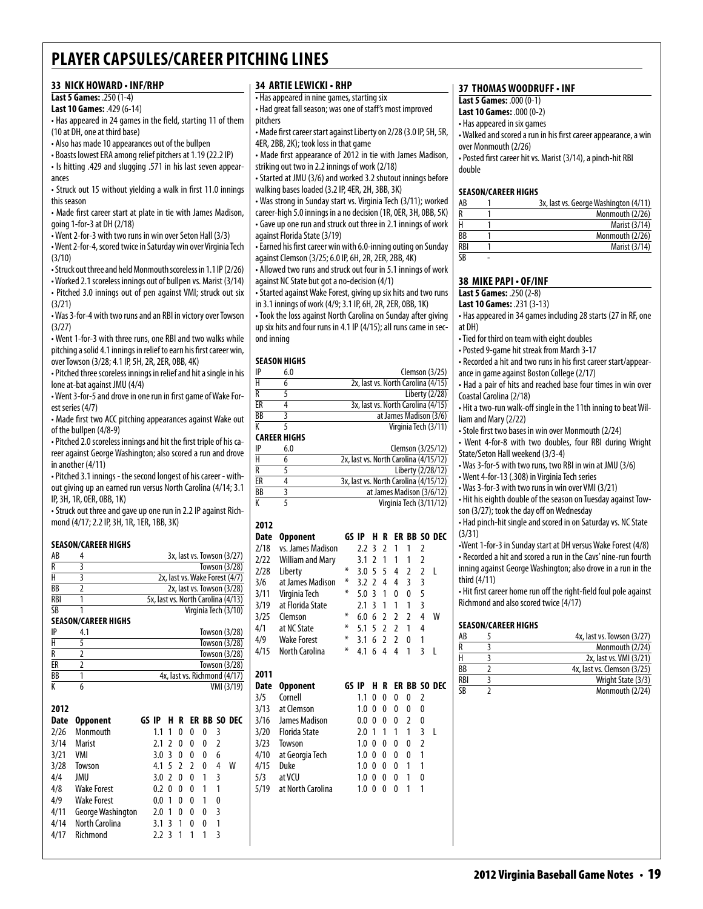# **33 nick howard • inf/rhp**

# **Last 5 Games:** .250 (1-4)

**Last 10 Games:** .429 (6-14)

• Has appeared in 24 games in the field, starting 11 of them (10 at DH, one at third base)

• Also has made 10 appearances out of the bullpen

• Boasts lowest ERA among relief pitchers at 1.19 (22.2 IP)

• Is hitting .429 and slugging .571 in his last seven appearances

• Struck out 15 without yielding a walk in first 11.0 innings this season

• Made first career start at plate in tie with James Madison, going 1-for-3 at DH (2/18)

• Went 2-for-3 with two runs in win over Seton Hall (3/3) • Went 2-for-4, scored twice in Saturday win over Virginia Tech

(3/10) • Struck out three and held Monmouth scoreless in 1.1 IP (2/26)

• Worked 2.1 scoreless innings out of bullpen vs. Marist (3/14) • Pitched 3.0 innings out of pen against VMI; struck out six (3/21)

• Was 3-for-4 with two runs and an RBI in victory over Towson  $(3/27)$ 

• Went 1-for-3 with three runs, one RBI and two walks while pitching a solid 4.1 innings in relief to earn his first career win, over Towson (3/28; 4.1 IP, 5H, 2R, 2ER, 0BB, 4K)

• Pitched three scoreless innings in relief and hit a single in his lone at-bat against JMU (4/4)

• Went 3-for-5 and drove in one run in first game of Wake Forest series (4/7)

• Made first two ACC pitching appearances against Wake out of the bullpen (4/8-9)

• Pitched 2.0 scoreless innings and hit the first triple of his career against George Washington; also scored a run and drove in another (4/11)

• Pitched 3.1 innings - the second longest of his career - without giving up an earned run versus North Carolina (4/14; 3.1 IP, 3H, 1R, 0ER, 0BB, 1K)

• Struck out three and gave up one run in 2.2 IP against Richmond (4/17; 2.2 IP, 3H, 1R, 1ER, 1BB, 3K)

### **Season/career Highs**

**2012**

| AB        |               | 3x, last vs. Towson (3/27)         |
|-----------|---------------|------------------------------------|
| R         | 3             | Towson (3/28)                      |
| H         | 3             | 2x, last vs. Wake Forest (4/7)     |
| <b>BB</b> | $\mathfrak z$ | 2x, last vs. Towson (3/28)         |
| RBI       | 1             | 5x, last vs. North Carolina (4/13) |
| <b>SB</b> | 1             | Virginia Tech (3/10)               |
|           |               | <b>SEASON/CAREER HIGHS</b>         |
| IP        | 4.1           | Towson (3/28)                      |
| Н         | 5             | Towson (3/28)                      |
| Ŕ         | 2             | Towson (3/28)                      |
| ER        | 2             | Towson (3/28)                      |
| ВB        |               | 4x, last vs. Richmond (4/17)       |
|           | 6             | VMI (3/19)                         |

| 20 I Z |                    |       |                  |                          |                          |               |   |   |              |
|--------|--------------------|-------|------------------|--------------------------|--------------------------|---------------|---|---|--------------|
| Date   | <b>Opponent</b>    | GS IP |                  | н                        | R                        |               |   |   | ER BB SO DEC |
| 2/26   | Monmouth           |       | 1.1              | 1                        | 0                        | 0             | 0 | 3 |              |
| 3/14   | <b>Marist</b>      |       | 2.1              | $\overline{\phantom{a}}$ | 0                        | 0             | 0 | 2 |              |
| 3/21   | VMI                |       | 3.0 <sup>3</sup> |                          | 0                        | 0             | 0 | 6 |              |
| 3/28   | Towson             |       | 4.1 5            |                          | $\overline{\phantom{a}}$ | $\mathfrak z$ | 0 | 4 | w            |
| 4/4    | JMU                |       | 3.07             |                          | 0                        | 0             | 1 | 3 |              |
| 4/8    | <b>Wake Forest</b> |       | 0.2              | $\Omega$                 | 0                        | 0             | 1 | 1 |              |
| 4/9    | <b>Wake Forest</b> |       | 0.0              | 1                        | 0                        | 0             | 1 | 0 |              |
| 4/11   | George Washington  |       | 2.0              | 1                        | 0                        | 0             | 0 | 3 |              |
| 4/14   | North Carolina     |       | 3.1              | ्र                       | 1                        | 0             | 0 | 1 |              |
| 4/17   | Richmond           |       | $2.2 -$          | र                        |                          |               |   | 3 |              |

# **34 artielewicki • rhp**

• Has appeared in nine games, starting six

• Had great fall season; was one of staff's most improved pitchers

• Made first career start against Liberty on 2/28 (3.0 IP, 5H, 5R, 4ER, 2BB, 2K); took loss in that game

• Made first appearance of 2012 in tie with James Madison, striking out two in 2.2 innings of work (2/18)

• Started at JMU (3/6) and worked 3.2 shutout innings before walking bases loaded (3.2 IP, 4ER, 2H, 3BB, 3K)

• Was strong in Sunday start vs. Virginia Tech (3/11); worked career-high 5.0 innings in a no decision (1R, 0ER, 3H, 0BB, 5K) • Gave up one run and struck out three in 2.1 innings of work against Florida State (3/19)

• Earned his first career win with 6.0-inning outing on Sunday against Clemson (3/25; 6.0 IP, 6H, 2R, 2ER, 2BB, 4K)

• Allowed two runs and struck out four in 5.1 innings of work against NC State but got a no-decision (4/1)

• Started against Wake Forest, giving up six hits and two runs in 3.1 innings of work (4/9; 3.1 IP, 6H, 2R, 2ER, 0BB, 1K)

• Took the loss against North Carolina on Sunday after giving up six hits and four runs in 4.1 IP (4/15); all runs came in second inning

# **season Highs**

| IP | 6.0                 | Clemson $(3/25)$                      |
|----|---------------------|---------------------------------------|
| Н  | 6                   | 2x, last vs. North Carolina (4/15)    |
| R  | 5                   | Liberty (2/28)                        |
| ER | 4                   | 3x, last vs. North Carolina (4/15)    |
| BB |                     | at James Madison (3/6)                |
| К  |                     | Virginia Tech (3/11)                  |
|    | <b>CAREER HIGHS</b> |                                       |
| IP | 6.0                 | Clemson (3/25/12)                     |
| H  | 6                   | 2x, last vs. North Carolina (4/15/12) |
| R  |                     | Liberty (2/28/12)                     |

| R  | Liberty (2/28/12)                     |
|----|---------------------------------------|
| ЕR | 3x, last vs. North Carolina (4/15/12) |
| ВB | at James Madison (3/6/12)             |
| К  | Virginia Tech (3/11/12)               |

| 2012 |                         |       |     |               |                |                |                |                |                     |
|------|-------------------------|-------|-----|---------------|----------------|----------------|----------------|----------------|---------------------|
| Date | Opponent                | GS IP |     | н             | R              | ER             |                |                | <b>BB SO DEC</b>    |
| 2/18 | vs. James Madison       |       | 2.2 | 3             | 2              | 1              | 1              | 2              |                     |
| 2/22 | <b>William and Mary</b> |       | 3.1 | 2             | 1              | 1              | 1              | $\overline{2}$ |                     |
| 2/28 | Liberty                 | ∗     | 3.0 | 5             | 5              | 4              | $\mathfrak z$  | $\overline{2}$ | L                   |
| 3/6  | at James Madison        | ∗     | 3.2 | $\mathfrak z$ | 4              | 4              | 3              | 3              |                     |
| 3/11 | Virginia Tech           | ∗     | 5.0 | 3             | 1              | 0              | 0              | 5              |                     |
| 3/19 | at Florida State        |       | 2.1 | 3             | 1              | 1              | 1              | 3              |                     |
| 3/25 | Clemson                 | ∗     | 6.0 | 6             | $\mathfrak z$  | 2              | $\overline{2}$ | 4              | W                   |
| 4/1  | at NC State             | ⋇     | 5.1 | 5             | $\overline{2}$ | $\overline{2}$ | 1              | 4              |                     |
| 4/9  | <b>Wake Forest</b>      | ∗     | 3.1 | 6             | $\mathfrak z$  | $\overline{2}$ | 0              | 1              |                     |
| 4/15 | North Carolina          | ⋇     | 4.1 | 6             | 4              | 4              | 1              | 3              | L                   |
|      |                         |       |     |               |                |                |                |                |                     |
|      |                         |       |     |               |                |                |                |                |                     |
| 2011 |                         |       |     |               |                |                |                |                |                     |
| Date | <b>Opponent</b>         | GS IP |     | н             | R              |                |                |                | <b>ER BB SO DEC</b> |
| 3/5  | Cornell                 |       | 1.1 | 0             | 0              | 0              | 0              | $\overline{2}$ |                     |
| 3/13 | at Clemson              |       | 1.0 | 0             | 0              | 0              | 0              | 0              |                     |
| 3/16 | James Madison           |       | 0.0 | 0             | 0              | 0              | 2              | 0              |                     |
| 3/20 | <b>Florida State</b>    |       | 2.0 | 1             | 1              | 1              | 1              | 3              | L                   |
| 3/23 | Towson                  |       | 1.0 | 0             | 0              | 0              | 0              | 2              |                     |
| 4/10 | at Georgia Tech         |       | 1.0 | 0             | 0              | 0              | 0              | 1              |                     |
| 4/15 | Duke                    |       | 1.0 | 0             | 0              | 0              | 1              | 1              |                     |
| 5/3  | at VCU                  |       | 1.0 | 0             | 0              | 0              | 1              | 0              |                     |
| 5/19 | at North Carolina       |       | 1.0 | 0             | O              | O              | 1              | 1              |                     |
|      |                         |       |     |               |                |                |                |                |                     |

# **37 thomas woodruff • inf**

**Last 5 Games:** .000 (0-1)

**Last 10 Games:** .000 (0-2)

• Has appeared in six games • Walked and scored a run in his first career appearance, a win over Monmouth (2/26) • Posted first career hit vs. Marist (3/14), a pinch-hit RBI

double

#### **Season/career Highs**

| AB  | 3x, last vs. George Washington (4/11) |
|-----|---------------------------------------|
| R   | Monmouth (2/26)                       |
| Н   | Marist (3/14)                         |
| ВB  | Monmouth (2/26)                       |
| RBI | Marist (3/14)                         |
| SB  |                                       |

# **38 mike papi • OF/inf**

**Last 5 Games:** .250 (2-8)

**Last 10 Games:** .231 (3-13)

• Has appeared in 34 games including 28 starts (27 in RF, one at DH)

- Tied for third on team with eight doubles
- Posted 9-game hit streak from March 3-17

• Recorded a hit and two runs in his first career start/appearance in game against Boston College (2/17)

• Had a pair of hits and reached base four times in win over Coastal Carolina (2/18)

• Hit a two-run walk-off single in the 11th inning to beat William and Mary (2/22)

• Stole first two bases in win over Monmouth (2/24)

• Went 4-for-8 with two doubles, four RBI during Wright State/Seton Hall weekend (3/3-4)

• Was 3-for-5 with two runs, two RBI in win at JMU (3/6)

• Went 4-for-13 (.308) in Virginia Tech series

• Was 3-for-3 with two runs in win over VMI (3/21)

• Hit his eighth double of the season on Tuesday against Towson (3/27); took the day off on Wednesday

• Had pinch-hit single and scored in on Saturday vs. NC State (3/31)

•Went 1-for-3 in Sunday start at DH versus Wake Forest (4/8) • Recorded a hit and scored a run in the Cavs' nine-run fourth inning against George Washington; also drove in a run in the third (4/11)

• Hit first career home run off the right-field foul pole against Richmond and also scored twice (4/17)

# **Season/career Highs**

| AB              | 4x, last vs. Towson (3/27)  |
|-----------------|-----------------------------|
| R               | Monmouth (2/24)             |
| н               | 2x, last vs. VMI (3/21)     |
| $\overline{BB}$ | 4x, last vs. Clemson (3/25) |
| <b>RBI</b>      | Wright State (3/3)          |
| $\overline{SR}$ | Monmouth (2/24)             |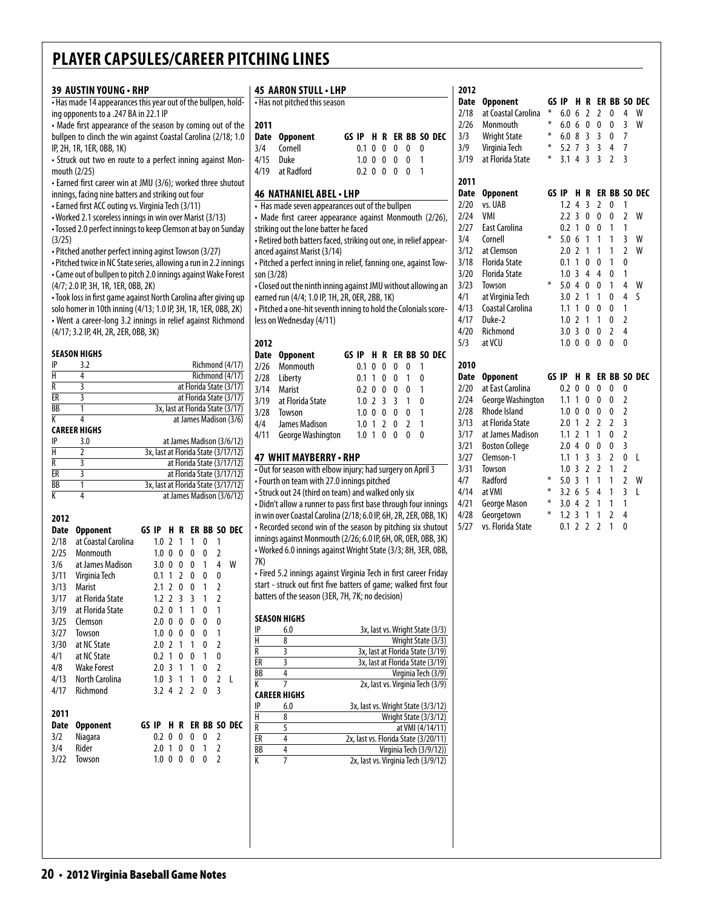|                | 39 AUSTIN YOUNG · RHP                                                                               |       |                      |   |                |              |                     |                                                          |                      | 45 AARON STULL . LHP                                              |                   |  |             |                                     |              |                                                                 |
|----------------|-----------------------------------------------------------------------------------------------------|-------|----------------------|---|----------------|--------------|---------------------|----------------------------------------------------------|----------------------|-------------------------------------------------------------------|-------------------|--|-------------|-------------------------------------|--------------|-----------------------------------------------------------------|
|                | - Has made 14 appearances this year out of the bullpen, hold-                                       |       |                      |   |                |              |                     |                                                          |                      | • Has not pitched this season                                     |                   |  |             |                                     |              |                                                                 |
|                | ing opponents to a .247 BA in 22.1 IP<br>• Made first appearance of the season by coming out of the |       |                      |   |                |              |                     |                                                          | 2011                 |                                                                   |                   |  |             |                                     |              |                                                                 |
|                | bullpen to clinch the win against Coastal Carolina (2/18; 1.0                                       |       |                      |   |                |              |                     |                                                          | Date                 | <b>Opponent</b>                                                   |                   |  |             |                                     |              | GS IP H R ER BB SO DEC                                          |
|                | IP, 2H, 1R, 1ER, 0BB, 1K)                                                                           |       |                      |   |                |              |                     |                                                          | 3/4                  | Cornell                                                           | $0.1 \t0 \t0 \t0$ |  |             | 0                                   | $\mathbf{0}$ |                                                                 |
|                | • Struck out two en route to a perfect inning against Mon-                                          |       |                      |   |                |              |                     |                                                          | 4/15                 | Duke                                                              | $1.0 \t0 \t0 \t0$ |  |             | $\mathbf{0}$                        | $\mathbf{1}$ |                                                                 |
|                | mouth (2/25)                                                                                        |       |                      |   |                |              |                     |                                                          | 4/19                 | at Radford                                                        |                   |  | 0.2 0 0 0 0 |                                     | $\mathbf{1}$ |                                                                 |
|                | • Earned first career win at JMU (3/6); worked three shutout                                        |       |                      |   |                |              |                     |                                                          |                      |                                                                   |                   |  |             |                                     |              |                                                                 |
|                | innings, facing nine batters and striking out four                                                  |       |                      |   |                |              |                     |                                                          |                      | 46 NATHANIEL ABEL . LHP                                           |                   |  |             |                                     |              |                                                                 |
|                | • Earned first ACC outing vs. Virginia Tech (3/11)                                                  |       |                      |   |                |              |                     |                                                          |                      | • Has made seven appearances out of the bullpen                   |                   |  |             |                                     |              |                                                                 |
|                | • Worked 2.1 scoreless innings in win over Marist (3/13)                                            |       |                      |   |                |              |                     |                                                          |                      | • Made first career appearance against Monmouth (2/26),           |                   |  |             |                                     |              |                                                                 |
|                | • Tossed 2.0 perfect innings to keep Clemson at bay on Sunday                                       |       |                      |   |                |              |                     |                                                          |                      | striking out the lone batter he faced                             |                   |  |             |                                     |              |                                                                 |
| (3/25)         |                                                                                                     |       |                      |   |                |              |                     |                                                          |                      | - Retired both batters faced, striking out one, in relief appear- |                   |  |             |                                     |              |                                                                 |
|                | · Pitched another perfect inning aginst Towson (3/27)                                               |       |                      |   |                |              |                     |                                                          |                      | anced against Marist (3/14)                                       |                   |  |             |                                     |              |                                                                 |
|                | • Pitched twice in NC State series, allowing a run in 2.2 innings                                   |       |                      |   |                |              |                     |                                                          |                      | - Pitched a perfect inning in relief, fanning one, against Tow-   |                   |  |             |                                     |              |                                                                 |
|                | • Came out of bullpen to pitch 2.0 innings against Wake Forest                                      |       |                      |   |                |              |                     |                                                          | son (3/28)           |                                                                   |                   |  |             |                                     |              |                                                                 |
|                | (4/7; 2.0 IP, 3H, 1R, 1ER, 0BB, 2K)                                                                 |       |                      |   |                |              |                     |                                                          |                      | • Closed out the ninth inning against JMU without allowing an     |                   |  |             |                                     |              |                                                                 |
|                | • Took loss in first game against North Carolina after giving up                                    |       |                      |   |                |              |                     |                                                          |                      | earned run (4/4; 1.0 IP, 1H, 2R, 0ER, 2BB, 1K)                    |                   |  |             |                                     |              |                                                                 |
|                | solo homer in 10th inning (4/13; 1.0 IP, 3H, 1R, 1ER, 0BB, 2K)                                      |       |                      |   |                |              |                     |                                                          |                      | - Pitched a one-hit seventh inning to hold the Colonials score-   |                   |  |             |                                     |              |                                                                 |
|                | • Went a career-long 3.2 innings in relief against Richmond                                         |       |                      |   |                |              |                     |                                                          |                      | less on Wednesday (4/11)                                          |                   |  |             |                                     |              |                                                                 |
|                | (4/17; 3.2 IP, 4H, 2R, 2ER, 0BB, 3K)                                                                |       |                      |   |                |              |                     |                                                          | 2012                 |                                                                   |                   |  |             |                                     |              |                                                                 |
|                | SEASON HIGHS                                                                                        |       |                      |   |                |              |                     |                                                          |                      |                                                                   |                   |  |             |                                     |              | GS IP H R ER BB SO DEC                                          |
| IP             | 3.2                                                                                                 |       |                      |   |                |              |                     | Richmond (4/17)                                          | 2/26                 | Date Opponent<br>Monmouth                                         | 0.1 0 0 0         |  |             | 0                                   | $\mathbf{1}$ |                                                                 |
| Н              | 4                                                                                                   |       |                      |   |                |              |                     | Richmond (4/17)                                          | 2/28                 | Liberty                                                           | 0.1 1 0 0         |  |             | $\mathbf{1}$                        | 0            |                                                                 |
| $\overline{R}$ | $\overline{\mathbf{3}}$                                                                             |       |                      |   |                |              |                     | at Florida State (3/17)                                  | 3/14                 | <b>Marist</b>                                                     | 0.2 0 0 0         |  |             | 0                                   | $\mathbf{1}$ |                                                                 |
| ER             | 3                                                                                                   |       |                      |   |                |              |                     | at Florida State (3/17)                                  | 3/19                 | at Florida State                                                  | $1.0$ 2 3 3       |  |             | 1                                   | 0            |                                                                 |
| ВB             | 1                                                                                                   |       |                      |   |                |              |                     | 3x, last at Florida State (3/17)                         | 3/28                 | Towson                                                            | 1.0 0 0 0         |  |             | 0                                   | $\mathbf{1}$ |                                                                 |
| K              | 4                                                                                                   |       |                      |   |                |              |                     | at James Madison (3/6)                                   | 4/4                  | James Madison                                                     | $1.0$ 1 2 0       |  |             | $\overline{2}$                      | 1            |                                                                 |
|                | <b>CAREER HIGHS</b>                                                                                 |       |                      |   |                |              |                     |                                                          | 4/11                 | George Washington                                                 | 1.0 1 0 0         |  |             | $\mathbf{0}$                        | 0            |                                                                 |
| IP             | 3.0                                                                                                 |       |                      |   |                |              |                     | at James Madison (3/6/12)                                |                      |                                                                   |                   |  |             |                                     |              |                                                                 |
| $\overline{H}$ | 2                                                                                                   |       |                      |   |                |              |                     | 3x, last at Florida State (3/17/12)                      |                      | 47 WHIT MAYBERRY - RHP                                            |                   |  |             |                                     |              |                                                                 |
| R<br>ER        | 3<br>3                                                                                              |       |                      |   |                |              |                     | at Florida State (3/17/12)<br>at Florida State (3/17/12) |                      | . Out for season with elbow injury; had surgery on April 3        |                   |  |             |                                     |              |                                                                 |
| <b>BB</b>      | 1                                                                                                   |       |                      |   |                |              |                     | 3x, last at Florida State (3/17/12)                      |                      | • Fourth on team with 27.0 innings pitched                        |                   |  |             |                                     |              |                                                                 |
| K              | $\overline{4}$                                                                                      |       |                      |   |                |              |                     | at James Madison (3/6/12)                                |                      | • Struck out 24 (third on team) and walked only six               |                   |  |             |                                     |              |                                                                 |
|                |                                                                                                     |       |                      |   |                |              |                     |                                                          |                      | • Didn't allow a runner to pass first base through four innings   |                   |  |             |                                     |              |                                                                 |
| 2012           |                                                                                                     |       |                      |   |                |              |                     |                                                          |                      | in win over Coastal Carolina (2/18; 6.0 IP, 6H, 2R, 2ER, 0BB, 1K) |                   |  |             |                                     |              |                                                                 |
| Date           | <b>Opponent</b>                                                                                     | GS IP |                      |   |                |              |                     | H R ER BB SO DEC                                         |                      | • Recorded second win of the season by pitching six shutout       |                   |  |             |                                     |              |                                                                 |
| 2/18           | at Coastal Carolina                                                                                 |       | $1.0$ 2 1            |   | $\overline{1}$ | $\mathbf{0}$ | 1                   |                                                          |                      | innings against Monmouth (2/26; 6.0 IP, 6H, 0R, 0ER, 0BB, 3K)     |                   |  |             |                                     |              |                                                                 |
| 2/25           | Monmouth                                                                                            |       | $1.0 \t0 \t0$        |   | $\mathbf 0$    | 0            | 2                   |                                                          |                      | • Worked 6.0 innings against Wright State (3/3; 8H, 3ER, 0BB,     |                   |  |             |                                     |              |                                                                 |
| 3/6            | at James Madison                                                                                    |       | $3.0 \t0 \t0$        |   | 0              | $\mathbf{1}$ | 4                   | W                                                        | 7K)                  |                                                                   |                   |  |             |                                     |              |                                                                 |
| 3/11           | Virginia Tech                                                                                       |       | 0.1 1 2 0            |   |                | 0            | $\pmb{0}$           |                                                          |                      | • Fired 5.2 innings against Virginia Tech in first career Friday  |                   |  |             |                                     |              |                                                                 |
| 3/13           | <b>Marist</b>                                                                                       |       | $2.1 \t2 \t0$        |   | $\mathbf{0}$   | 1            | $\overline{2}$      |                                                          |                      | start - struck out first five batters of game; walked first four  |                   |  |             |                                     |              |                                                                 |
| 3/17           | at Florida State                                                                                    |       | 1.2 2 3 3            |   |                | 1            | $\overline{2}$      |                                                          |                      | batters of the season (3ER, 7H, 7K; no decision)                  |                   |  |             |                                     |              |                                                                 |
| 3/19           | at Florida State                                                                                    |       | $0.2 \ 0 \ 1$        |   | 1              | 0            | 1                   |                                                          |                      | <b>SEASON HIGHS</b>                                               |                   |  |             |                                     |              |                                                                 |
| 3/25           | Clemson                                                                                             |       | $2.0 \t0 \t0$        |   | 0              | 0            | $\pmb{0}$           |                                                          | IP                   | 6.0                                                               |                   |  |             |                                     |              | 3x, last vs. Wright State (3/3)                                 |
| 3/27           | Towson                                                                                              |       | 1.0 0 0 0            |   |                | 0            | $\mathbf{1}$        |                                                          | Н                    | 8                                                                 |                   |  |             |                                     |              | Wright State (3/3)                                              |
| 3/30           | at NC State                                                                                         |       | $2.0$ 2 1            |   | $\overline{1}$ | 0            | $\sqrt{2}$          |                                                          | R                    | 3                                                                 |                   |  |             |                                     |              | 3x, last at Florida State (3/19)                                |
| 4/1            | at NC State                                                                                         |       | 0.2 <sub>1</sub>     | 0 | 0              | 1            | 0                   |                                                          | ER                   | $\overline{\mathbf{3}}$                                           |                   |  |             |                                     |              | 3x, last at Florida State (3/19)                                |
| 4/8            | <b>Wake Forest</b>                                                                                  |       | 2.031                |   | $\mathbf{1}$   | 0            | $\overline{2}$      |                                                          | <b>BB</b>            | 4                                                                 |                   |  |             |                                     |              | Virginia Tech (3/9)                                             |
| 4/13<br>4/17   | North Carolina<br>Richmond                                                                          |       | 1.031<br>$3.2$ 4 2 2 |   | $\mathbf{1}$   | 0            | $\overline{2}$<br>3 | $\mathsf{L}$                                             | К                    | 7                                                                 |                   |  |             |                                     |              | 2x, last vs. Virginia Tech (3/9)                                |
|                |                                                                                                     |       |                      |   |                | 0            |                     |                                                          |                      | <b>CAREER HIGHS</b>                                               |                   |  |             |                                     |              |                                                                 |
| 2011           |                                                                                                     |       |                      |   |                |              |                     |                                                          | IP                   | 6.0                                                               |                   |  |             |                                     |              | 3x, last vs. Wright State (3/3/12)                              |
| Date           | <b>Opponent</b>                                                                                     |       |                      |   |                |              |                     | GS IP H R ER BB SO DEC                                   | $\overline{H}$       | 8                                                                 |                   |  |             |                                     |              | Wright State (3/3/12)                                           |
| 3/2            | Niagara                                                                                             |       | $0.2 \ 0 \ 0$        |   | $\mathbf{0}$   | 0            | 2                   |                                                          | $\overline{R}$<br>ER | 5                                                                 |                   |  |             |                                     |              | at VMI (4/14/11)                                                |
| 3/4            | Rider                                                                                               |       | $2.0 \t1 \t0 \t0$    |   |                | $\mathbf{1}$ | $\overline{2}$      |                                                          | BB                   | $\overline{4}$<br>4                                               |                   |  |             |                                     |              | 2x, last vs. Florida State (3/20/11)<br>Virginia Tech (3/9/12)) |
|                | Towson                                                                                              |       | $1.0 \t0 \t0 \t0$    |   |                | 0            | $\overline{2}$      |                                                          |                      |                                                                   |                   |  |             |                                     |              |                                                                 |
|                |                                                                                                     |       |                      |   |                |              |                     |                                                          |                      |                                                                   |                   |  |             |                                     |              |                                                                 |
| 3/22           |                                                                                                     |       |                      |   |                |              |                     |                                                          | K                    | $\overline{7}$                                                    |                   |  |             | 2x, last vs. Virginia Tech (3/9/12) |              |                                                                 |

| 2012        |                                 |        |       |                          |                |                         |                          |                         |                     |
|-------------|---------------------------------|--------|-------|--------------------------|----------------|-------------------------|--------------------------|-------------------------|---------------------|
| <b>Date</b> | <b>Opponent</b>                 |        | GS IP | H                        | R              |                         |                          |                         | <b>ER BB SO DEC</b> |
| 2/18        | at Coastal Carolina             | ¥      | 6.0   | 6                        | $\overline{a}$ | $\overline{2}$          | 0                        | 4                       | W                   |
| 2/26        | Monmouth                        | ¥      | 6.0   | 6                        | 0              | 0                       | 0                        | $\overline{3}$          | W                   |
| 3/3         | <b>Wright State</b>             | ∗      | 6.0   | 8                        | 3              | 3                       | 0                        | 7                       |                     |
| 3/9         | Virginia Tech                   | ∗      | 5.2   | 7                        | $\overline{3}$ | $\overline{3}$          | 4                        | 7                       |                     |
| 3/19        | at Florida State                | ¥      | 3.1   | 4                        | $\overline{3}$ | $\overline{\mathsf{S}}$ | $\overline{\phantom{a}}$ | $\overline{\mathsf{B}}$ |                     |
| 2011        |                                 |        |       |                          |                |                         |                          |                         |                     |
| <b>Date</b> | <b>Opponent</b>                 | GS IP  |       | н                        | R              |                         |                          |                         | <b>ER BB SO DEC</b> |
| 2/20        | vs. UAB                         |        | 1.2   | $\overline{\mathbf{4}}$  | $\overline{3}$ | $\overline{2}$          | 0                        | 1                       |                     |
| 2/24        | VMI                             |        | 2.2   | $\overline{3}$           | 0              | 0                       | 0                        | $\overline{2}$          | W                   |
| 2/27        | <b>East Carolina</b>            |        | 0.2   | 1                        | 0              | 0                       | 1                        | 1                       |                     |
| 3/4         | Cornell                         | ⋇      | 5.0   | 6                        | 1              | 1                       | 1                        | 3                       | W                   |
| 3/12        | at Clemson                      |        | 2.0   | $\mathfrak{p}$           | $\mathbf{1}$   | 1                       | 1                        | $\overline{2}$          | W                   |
| 3/18        | <b>Florida State</b>            |        | 0.1   | 1                        | $\mathbf{0}$   | $\overline{0}$          | 1                        | $\mathbf{0}$            |                     |
| 3/20        | <b>Florida State</b>            |        | 1.0   | 3                        | 4              | 4                       | 0                        | 1                       |                     |
| 3/23        | Towson                          | ⋇      | 5.0   | 4                        | 0              | 0                       | 1                        | 4                       | W                   |
| 4/1         | at Virginia Tech                |        | 3.0   | $\overline{\phantom{a}}$ | 1              | 1                       | 0                        | $\overline{4}$          | ς                   |
| 4/13        | Coastal Carolina                |        | 1.1   | 1                        | 0              | 0                       | 0                        | $\mathbf{1}$            |                     |
| 4/17        | Duke-2                          |        | 1.0   | $\overline{2}$           | 1              | 1                       | 0                        | $\overline{2}$          |                     |
| 4/20        | Richmond                        |        | 3.0   | $\overline{3}$           | $\mathbf{0}$   | $\overline{0}$          | $\overline{2}$           | 4                       |                     |
|             | at VCU                          |        | 1.0   | $\mathbf{0}$             | $\mathbf{0}$   | $\mathbf{0}$            | 0                        | $\mathbf{0}$            |                     |
| 5/3         |                                 |        |       |                          |                |                         |                          |                         |                     |
| 2010        |                                 |        |       |                          |                |                         |                          |                         |                     |
| <b>Date</b> | <b>Opponent</b>                 |        | GS IP | H                        | R              |                         |                          |                         | <b>ER BB SO DEC</b> |
| 2/20        | at East Carolina                |        | 0.2   | $\mathbf{0}$             | $\mathbf{0}$   | $\mathbf{0}$            | $\mathbf{0}$             | 0                       |                     |
| 2/24        | George Washington               |        | 1.1   | 1                        | $\overline{0}$ | $\mathbf{0}$            | $\overline{0}$           | $\overline{2}$          |                     |
| 2/28        | <b>Rhode Island</b>             |        | 1.0   | $\mathbf{0}$             | 0              | 0                       | 0                        | $\overline{2}$          |                     |
| 3/13        | at Florida State                |        | 2.0   | 1                        | $\overline{2}$ | $\overline{2}$          | $\overline{2}$           | 3                       |                     |
| 3/17        | at James Madison                |        | 1.1   | $\overline{2}$           | 1              | 1                       | 0                        | $\overline{2}$          |                     |
| 3/21        | <b>Boston College</b>           |        | 2.0   | 4                        | $\overline{0}$ | 0                       | 0                        | $\overline{\mathbf{3}}$ |                     |
| 3/27        | Clemson-1                       |        | 1.1   | 1                        | 3              | 3                       | $\overline{a}$           | 0                       | L                   |
| 3/31        | Towson                          |        | 1.0   | $\overline{3}$           | $\overline{2}$ | $\overline{2}$          | 1                        | $\overline{2}$          |                     |
| 4/7         | Radford                         | ∗      | 5.0   | $\overline{3}$           | 1              | 1                       | 1                        | $\overline{2}$          | W                   |
| 4/14        | at VMI                          | $\ast$ | 3.2   | 6                        | 5              | 4                       | 1                        | $\overline{3}$          | L                   |
| 4/21        | George Mason                    | ∗      | 3.0   | 4                        | $\overline{2}$ | 1                       | 1                        | 1                       |                     |
| 4/28        | Georgetown<br>vs. Florida State | ∗      | 1.2   | 3                        | $\mathbf{1}$   | 1                       | $\overline{2}$           | $\overline{4}$          |                     |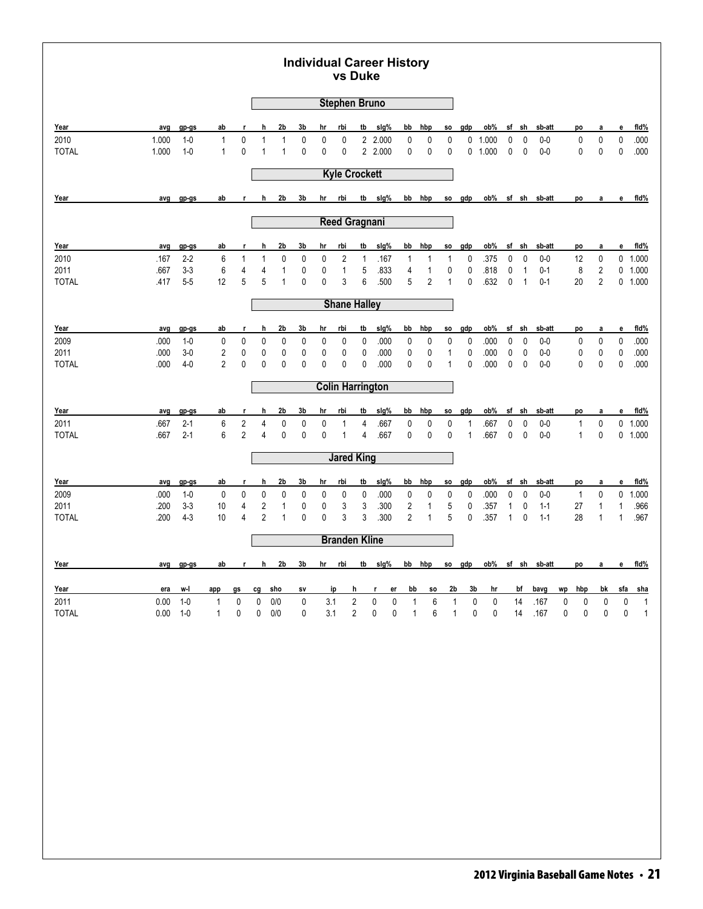| <b>Stephen Bruno</b><br>2b<br>3b<br>rbi<br>tb<br>slg%<br>bb<br>hbp<br>ob%<br>Year<br>hr<br>gdp<br>sf<br>sh<br>sb-att<br>ab<br>h<br>e<br>avg<br>gp-gs<br>r<br>so<br>po<br>а<br>$\pmb{0}$<br>2 2.000<br>0<br>$\pmb{0}$<br>2010<br>1.000<br>$1-0$<br>$\mathbf{1}$<br>$\mathbf{1}$<br>1<br>0<br>0<br>$\mathbf 0$<br>0<br>0<br>0<br>0<br>1.000<br>0<br>0<br>$0-0$<br>0<br><b>TOTAL</b><br>1.000<br>$1-0$<br>$\mathbf{1}$<br>$\mathbf{0}$<br>$\mathbf{1}$<br>0<br>0<br>0<br>2 2.000<br>0<br>0<br>0<br>0<br>0<br>$0-0$<br>0<br>0<br>0<br>$\mathbf{1}$<br>0<br>1.000<br><b>Kyle Crockett</b><br>2b<br>3b<br>sig%<br>ob%<br>Year<br>h<br>rbi<br>tb<br>bb<br>hbp<br>gdp<br>sf sh sb-att<br>avg<br>$gp-gs$<br>ab<br>$\mathbf{r}$<br>hr<br>SO.<br>po<br>e<br>а<br><b>Reed Gragnani</b><br>2b<br>3b<br>rbi<br>tb<br>sig%<br>bb<br>hbp<br>ob%<br>sf<br>sh<br>Year<br>gdp<br>sb-att<br>gp-gs<br>ab<br>h<br>hr<br>SO.<br>е<br>avg<br>r<br>po<br>a<br>2010<br>$2 - 2$<br>0<br>0<br>2<br>.167<br>.375<br>0<br>$\mathbf 0$<br>0<br>.167<br>6<br>$\mathbf{1}$<br>1<br>0<br>1<br>$\mathbf{1}$<br>$\mathbf{1}$<br>0<br>$0-0$<br>12<br>1<br>6<br>$3-3$<br>4<br>$\mathbf{1}$<br>5<br>$\sqrt{2}$<br>2011<br>1<br>0<br>.833<br>4<br>$\mathbf{1}$<br>0<br>0<br>.818<br>0<br>$\mathbf{1}$<br>$0 - 1$<br>8<br>.667<br>4<br>0<br>5<br>0<br>3<br>6<br>$\overline{2}$<br>$\overline{2}$<br>$5-5$<br>12<br>5<br>0<br>.500<br>5<br>0<br>.632<br>0<br><b>TOTAL</b><br>.417<br>$\mathbf{1}$<br>$\mathbf{1}$<br>$\mathbf{1}$<br>$0 - 1$<br>20<br><b>Shane Halley</b><br>2b<br>slg%<br>ob%<br>sf sh<br>Year<br>h<br>3b<br>rbi<br>tb<br>bb<br>hbp<br>gdp<br>sb-att<br>avg<br>gp-gs<br>ab<br>hr<br>SO.<br>е<br>r<br>po<br>a<br>2009<br>0<br>0<br>0<br>0<br>.000<br>0<br>$\pmb{0}$<br>0<br>.000<br>0<br>$\mathbf 0$<br>$0-0$<br>0<br>0<br>.000<br>$1 - 0$<br>0<br>0<br>0<br>0<br>0<br>0<br>$3 - 0$<br>$\overline{2}$<br>0<br>0<br>0<br>.000<br>0<br>0<br>$\mathbf{1}$<br>0<br>0<br>$\mathbf 0$<br>0<br>2011<br>.000<br>0<br>0<br>0<br>0<br>.000<br>$0-0$<br>0<br>0<br>$\overline{2}$<br>0<br>0<br>0<br>0<br>0<br>.000<br>$4 - 0$<br>0<br>0<br>0<br>.000<br>0<br>0<br>0<br>.000<br>0<br>$\mathbf 0$<br>$0 - 0$<br>0<br>0<br><b>TOTAL</b><br>$\mathbf{1}$<br><b>Colin Harrington</b><br>2b<br>3b<br>tb<br>sig%<br>bb<br>hbp<br>ob%<br>sf<br>sh<br>Year<br>hr<br>rbi<br>gdp<br>sb-att<br>e<br>avg<br>gp-gs<br>ab<br>h<br>SO.<br>po<br>r<br>a<br>2011<br>$2 - 1$<br>6<br>2<br>0<br>0<br>4<br>.667<br>0<br>$\pmb{0}$<br>0<br>$\mathbf 0$<br>$0-0$<br>0<br>.667<br>4<br>0<br>$\mathbf{1}$<br>0<br>.667<br>1<br>1<br>$\overline{2}$<br>$2 - 1$<br>6<br>0<br>0<br>0<br>.667<br>0<br>0<br>0<br>$\mathbf{1}$<br>0<br>0<br>$0 - 0$<br>0<br><b>TOTAL</b><br>.667<br>1<br>4<br>.667<br>1<br>4<br><b>Jared King</b><br>2b<br>3b<br>tb<br>sig%<br>ob%<br>Year<br>rbi<br>bb<br>hbp<br>gdp<br>sf sh<br>sb-att<br>$gp-gs$<br>ab<br>h<br>hr<br>SO.<br>e<br>avg<br>r<br>po<br>a<br>2009<br>.000<br>$\mathbf 0$<br>0<br>0<br>0<br>0<br>0<br>0<br>.000<br>$\pmb{0}$<br>0<br>$\pmb{0}$<br>.000<br>0<br>$\mathbf 0$<br>0<br>$1 - 0$<br>0<br>0<br>$0-0$<br>$\mathbf{1}$<br>$3 - 3$<br>4<br>$\overline{2}$<br>3<br>.300<br>$\overline{\mathbf{c}}$<br>5<br>2011<br>.200<br>10<br>$\mathbf{1}$<br>0<br>0<br>3<br>1<br>0<br>.357<br>$\mathbf{1}$<br>0<br>$1 - 1$<br>27<br>$\mathbf{1}$<br>1<br>$\overline{2}$<br>3<br>3<br>$\overline{2}$<br>$4 - 3$<br>$\overline{4}$<br>0<br>0<br>.300<br>$\mathbf{1}$<br>5<br>28<br><b>TOTAL</b><br>.200<br>10<br>1<br>0<br>.357<br>$\mathbf{1}$<br>0<br>$1 - 1$<br>1<br>1<br><b>Branden Kline</b><br>tb slg%<br>h<br>2 <sub>b</sub><br>3 <sub>b</sub><br>hr rbi<br>bb hbp<br>so gdp<br>ob% sf sh sb-att<br>Year<br>r<br>avg gp-gs<br>ab<br>po<br>a<br>2 <sub>b</sub><br>Year<br>w-l<br>cg sho<br>h<br>bb<br>3 <sub>b</sub><br>hr<br>bf<br>bavg<br>hbp<br>bk<br>era<br>app<br>gs<br>ip<br>r.<br>er<br><b>SO</b><br>wp<br>SV |  |  |  |  | vs Duke | <b>Individual Career History</b> |  |  |  |  |  |        |                              |
|-------------------------------------------------------------------------------------------------------------------------------------------------------------------------------------------------------------------------------------------------------------------------------------------------------------------------------------------------------------------------------------------------------------------------------------------------------------------------------------------------------------------------------------------------------------------------------------------------------------------------------------------------------------------------------------------------------------------------------------------------------------------------------------------------------------------------------------------------------------------------------------------------------------------------------------------------------------------------------------------------------------------------------------------------------------------------------------------------------------------------------------------------------------------------------------------------------------------------------------------------------------------------------------------------------------------------------------------------------------------------------------------------------------------------------------------------------------------------------------------------------------------------------------------------------------------------------------------------------------------------------------------------------------------------------------------------------------------------------------------------------------------------------------------------------------------------------------------------------------------------------------------------------------------------------------------------------------------------------------------------------------------------------------------------------------------------------------------------------------------------------------------------------------------------------------------------------------------------------------------------------------------------------------------------------------------------------------------------------------------------------------------------------------------------------------------------------------------------------------------------------------------------------------------------------------------------------------------------------------------------------------------------------------------------------------------------------------------------------------------------------------------------------------------------------------------------------------------------------------------------------------------------------------------------------------------------------------------------------------------------------------------------------------------------------------------------------------------------------------------------------------------------------------------------------------------------------------------------------------------------------------------------------------------------------------------------------------------------------------------------------------------------------------------------------------------------------------------------------------------------------------------------------------------------------------------------------------------------------------------------------------------------------------------------------------------------------------------------------------------------------------------------------------------------------------------------------------------------------------------------------------------|--|--|--|--|---------|----------------------------------|--|--|--|--|--|--------|------------------------------|
|                                                                                                                                                                                                                                                                                                                                                                                                                                                                                                                                                                                                                                                                                                                                                                                                                                                                                                                                                                                                                                                                                                                                                                                                                                                                                                                                                                                                                                                                                                                                                                                                                                                                                                                                                                                                                                                                                                                                                                                                                                                                                                                                                                                                                                                                                                                                                                                                                                                                                                                                                                                                                                                                                                                                                                                                                                                                                                                                                                                                                                                                                                                                                                                                                                                                                                                                                                                                                                                                                                                                                                                                                                                                                                                                                                                                                                                                                           |  |  |  |  |         |                                  |  |  |  |  |  |        |                              |
|                                                                                                                                                                                                                                                                                                                                                                                                                                                                                                                                                                                                                                                                                                                                                                                                                                                                                                                                                                                                                                                                                                                                                                                                                                                                                                                                                                                                                                                                                                                                                                                                                                                                                                                                                                                                                                                                                                                                                                                                                                                                                                                                                                                                                                                                                                                                                                                                                                                                                                                                                                                                                                                                                                                                                                                                                                                                                                                                                                                                                                                                                                                                                                                                                                                                                                                                                                                                                                                                                                                                                                                                                                                                                                                                                                                                                                                                                           |  |  |  |  |         |                                  |  |  |  |  |  |        | fid%                         |
|                                                                                                                                                                                                                                                                                                                                                                                                                                                                                                                                                                                                                                                                                                                                                                                                                                                                                                                                                                                                                                                                                                                                                                                                                                                                                                                                                                                                                                                                                                                                                                                                                                                                                                                                                                                                                                                                                                                                                                                                                                                                                                                                                                                                                                                                                                                                                                                                                                                                                                                                                                                                                                                                                                                                                                                                                                                                                                                                                                                                                                                                                                                                                                                                                                                                                                                                                                                                                                                                                                                                                                                                                                                                                                                                                                                                                                                                                           |  |  |  |  |         |                                  |  |  |  |  |  |        | .000                         |
|                                                                                                                                                                                                                                                                                                                                                                                                                                                                                                                                                                                                                                                                                                                                                                                                                                                                                                                                                                                                                                                                                                                                                                                                                                                                                                                                                                                                                                                                                                                                                                                                                                                                                                                                                                                                                                                                                                                                                                                                                                                                                                                                                                                                                                                                                                                                                                                                                                                                                                                                                                                                                                                                                                                                                                                                                                                                                                                                                                                                                                                                                                                                                                                                                                                                                                                                                                                                                                                                                                                                                                                                                                                                                                                                                                                                                                                                                           |  |  |  |  |         |                                  |  |  |  |  |  |        | .000                         |
|                                                                                                                                                                                                                                                                                                                                                                                                                                                                                                                                                                                                                                                                                                                                                                                                                                                                                                                                                                                                                                                                                                                                                                                                                                                                                                                                                                                                                                                                                                                                                                                                                                                                                                                                                                                                                                                                                                                                                                                                                                                                                                                                                                                                                                                                                                                                                                                                                                                                                                                                                                                                                                                                                                                                                                                                                                                                                                                                                                                                                                                                                                                                                                                                                                                                                                                                                                                                                                                                                                                                                                                                                                                                                                                                                                                                                                                                                           |  |  |  |  |         |                                  |  |  |  |  |  |        |                              |
|                                                                                                                                                                                                                                                                                                                                                                                                                                                                                                                                                                                                                                                                                                                                                                                                                                                                                                                                                                                                                                                                                                                                                                                                                                                                                                                                                                                                                                                                                                                                                                                                                                                                                                                                                                                                                                                                                                                                                                                                                                                                                                                                                                                                                                                                                                                                                                                                                                                                                                                                                                                                                                                                                                                                                                                                                                                                                                                                                                                                                                                                                                                                                                                                                                                                                                                                                                                                                                                                                                                                                                                                                                                                                                                                                                                                                                                                                           |  |  |  |  |         |                                  |  |  |  |  |  |        | fid%                         |
|                                                                                                                                                                                                                                                                                                                                                                                                                                                                                                                                                                                                                                                                                                                                                                                                                                                                                                                                                                                                                                                                                                                                                                                                                                                                                                                                                                                                                                                                                                                                                                                                                                                                                                                                                                                                                                                                                                                                                                                                                                                                                                                                                                                                                                                                                                                                                                                                                                                                                                                                                                                                                                                                                                                                                                                                                                                                                                                                                                                                                                                                                                                                                                                                                                                                                                                                                                                                                                                                                                                                                                                                                                                                                                                                                                                                                                                                                           |  |  |  |  |         |                                  |  |  |  |  |  |        |                              |
|                                                                                                                                                                                                                                                                                                                                                                                                                                                                                                                                                                                                                                                                                                                                                                                                                                                                                                                                                                                                                                                                                                                                                                                                                                                                                                                                                                                                                                                                                                                                                                                                                                                                                                                                                                                                                                                                                                                                                                                                                                                                                                                                                                                                                                                                                                                                                                                                                                                                                                                                                                                                                                                                                                                                                                                                                                                                                                                                                                                                                                                                                                                                                                                                                                                                                                                                                                                                                                                                                                                                                                                                                                                                                                                                                                                                                                                                                           |  |  |  |  |         |                                  |  |  |  |  |  |        | fid%                         |
|                                                                                                                                                                                                                                                                                                                                                                                                                                                                                                                                                                                                                                                                                                                                                                                                                                                                                                                                                                                                                                                                                                                                                                                                                                                                                                                                                                                                                                                                                                                                                                                                                                                                                                                                                                                                                                                                                                                                                                                                                                                                                                                                                                                                                                                                                                                                                                                                                                                                                                                                                                                                                                                                                                                                                                                                                                                                                                                                                                                                                                                                                                                                                                                                                                                                                                                                                                                                                                                                                                                                                                                                                                                                                                                                                                                                                                                                                           |  |  |  |  |         |                                  |  |  |  |  |  |        | 0 1.000                      |
|                                                                                                                                                                                                                                                                                                                                                                                                                                                                                                                                                                                                                                                                                                                                                                                                                                                                                                                                                                                                                                                                                                                                                                                                                                                                                                                                                                                                                                                                                                                                                                                                                                                                                                                                                                                                                                                                                                                                                                                                                                                                                                                                                                                                                                                                                                                                                                                                                                                                                                                                                                                                                                                                                                                                                                                                                                                                                                                                                                                                                                                                                                                                                                                                                                                                                                                                                                                                                                                                                                                                                                                                                                                                                                                                                                                                                                                                                           |  |  |  |  |         |                                  |  |  |  |  |  |        | $0$ 1.000                    |
|                                                                                                                                                                                                                                                                                                                                                                                                                                                                                                                                                                                                                                                                                                                                                                                                                                                                                                                                                                                                                                                                                                                                                                                                                                                                                                                                                                                                                                                                                                                                                                                                                                                                                                                                                                                                                                                                                                                                                                                                                                                                                                                                                                                                                                                                                                                                                                                                                                                                                                                                                                                                                                                                                                                                                                                                                                                                                                                                                                                                                                                                                                                                                                                                                                                                                                                                                                                                                                                                                                                                                                                                                                                                                                                                                                                                                                                                                           |  |  |  |  |         |                                  |  |  |  |  |  |        | 0 1.000                      |
|                                                                                                                                                                                                                                                                                                                                                                                                                                                                                                                                                                                                                                                                                                                                                                                                                                                                                                                                                                                                                                                                                                                                                                                                                                                                                                                                                                                                                                                                                                                                                                                                                                                                                                                                                                                                                                                                                                                                                                                                                                                                                                                                                                                                                                                                                                                                                                                                                                                                                                                                                                                                                                                                                                                                                                                                                                                                                                                                                                                                                                                                                                                                                                                                                                                                                                                                                                                                                                                                                                                                                                                                                                                                                                                                                                                                                                                                                           |  |  |  |  |         |                                  |  |  |  |  |  |        |                              |
|                                                                                                                                                                                                                                                                                                                                                                                                                                                                                                                                                                                                                                                                                                                                                                                                                                                                                                                                                                                                                                                                                                                                                                                                                                                                                                                                                                                                                                                                                                                                                                                                                                                                                                                                                                                                                                                                                                                                                                                                                                                                                                                                                                                                                                                                                                                                                                                                                                                                                                                                                                                                                                                                                                                                                                                                                                                                                                                                                                                                                                                                                                                                                                                                                                                                                                                                                                                                                                                                                                                                                                                                                                                                                                                                                                                                                                                                                           |  |  |  |  |         |                                  |  |  |  |  |  |        | fid%                         |
|                                                                                                                                                                                                                                                                                                                                                                                                                                                                                                                                                                                                                                                                                                                                                                                                                                                                                                                                                                                                                                                                                                                                                                                                                                                                                                                                                                                                                                                                                                                                                                                                                                                                                                                                                                                                                                                                                                                                                                                                                                                                                                                                                                                                                                                                                                                                                                                                                                                                                                                                                                                                                                                                                                                                                                                                                                                                                                                                                                                                                                                                                                                                                                                                                                                                                                                                                                                                                                                                                                                                                                                                                                                                                                                                                                                                                                                                                           |  |  |  |  |         |                                  |  |  |  |  |  |        | .000                         |
|                                                                                                                                                                                                                                                                                                                                                                                                                                                                                                                                                                                                                                                                                                                                                                                                                                                                                                                                                                                                                                                                                                                                                                                                                                                                                                                                                                                                                                                                                                                                                                                                                                                                                                                                                                                                                                                                                                                                                                                                                                                                                                                                                                                                                                                                                                                                                                                                                                                                                                                                                                                                                                                                                                                                                                                                                                                                                                                                                                                                                                                                                                                                                                                                                                                                                                                                                                                                                                                                                                                                                                                                                                                                                                                                                                                                                                                                                           |  |  |  |  |         |                                  |  |  |  |  |  |        | .000                         |
|                                                                                                                                                                                                                                                                                                                                                                                                                                                                                                                                                                                                                                                                                                                                                                                                                                                                                                                                                                                                                                                                                                                                                                                                                                                                                                                                                                                                                                                                                                                                                                                                                                                                                                                                                                                                                                                                                                                                                                                                                                                                                                                                                                                                                                                                                                                                                                                                                                                                                                                                                                                                                                                                                                                                                                                                                                                                                                                                                                                                                                                                                                                                                                                                                                                                                                                                                                                                                                                                                                                                                                                                                                                                                                                                                                                                                                                                                           |  |  |  |  |         |                                  |  |  |  |  |  |        | .000                         |
|                                                                                                                                                                                                                                                                                                                                                                                                                                                                                                                                                                                                                                                                                                                                                                                                                                                                                                                                                                                                                                                                                                                                                                                                                                                                                                                                                                                                                                                                                                                                                                                                                                                                                                                                                                                                                                                                                                                                                                                                                                                                                                                                                                                                                                                                                                                                                                                                                                                                                                                                                                                                                                                                                                                                                                                                                                                                                                                                                                                                                                                                                                                                                                                                                                                                                                                                                                                                                                                                                                                                                                                                                                                                                                                                                                                                                                                                                           |  |  |  |  |         |                                  |  |  |  |  |  |        |                              |
|                                                                                                                                                                                                                                                                                                                                                                                                                                                                                                                                                                                                                                                                                                                                                                                                                                                                                                                                                                                                                                                                                                                                                                                                                                                                                                                                                                                                                                                                                                                                                                                                                                                                                                                                                                                                                                                                                                                                                                                                                                                                                                                                                                                                                                                                                                                                                                                                                                                                                                                                                                                                                                                                                                                                                                                                                                                                                                                                                                                                                                                                                                                                                                                                                                                                                                                                                                                                                                                                                                                                                                                                                                                                                                                                                                                                                                                                                           |  |  |  |  |         |                                  |  |  |  |  |  |        | fld%                         |
|                                                                                                                                                                                                                                                                                                                                                                                                                                                                                                                                                                                                                                                                                                                                                                                                                                                                                                                                                                                                                                                                                                                                                                                                                                                                                                                                                                                                                                                                                                                                                                                                                                                                                                                                                                                                                                                                                                                                                                                                                                                                                                                                                                                                                                                                                                                                                                                                                                                                                                                                                                                                                                                                                                                                                                                                                                                                                                                                                                                                                                                                                                                                                                                                                                                                                                                                                                                                                                                                                                                                                                                                                                                                                                                                                                                                                                                                                           |  |  |  |  |         |                                  |  |  |  |  |  |        | 0 1.000                      |
|                                                                                                                                                                                                                                                                                                                                                                                                                                                                                                                                                                                                                                                                                                                                                                                                                                                                                                                                                                                                                                                                                                                                                                                                                                                                                                                                                                                                                                                                                                                                                                                                                                                                                                                                                                                                                                                                                                                                                                                                                                                                                                                                                                                                                                                                                                                                                                                                                                                                                                                                                                                                                                                                                                                                                                                                                                                                                                                                                                                                                                                                                                                                                                                                                                                                                                                                                                                                                                                                                                                                                                                                                                                                                                                                                                                                                                                                                           |  |  |  |  |         |                                  |  |  |  |  |  |        | 0 1.000                      |
|                                                                                                                                                                                                                                                                                                                                                                                                                                                                                                                                                                                                                                                                                                                                                                                                                                                                                                                                                                                                                                                                                                                                                                                                                                                                                                                                                                                                                                                                                                                                                                                                                                                                                                                                                                                                                                                                                                                                                                                                                                                                                                                                                                                                                                                                                                                                                                                                                                                                                                                                                                                                                                                                                                                                                                                                                                                                                                                                                                                                                                                                                                                                                                                                                                                                                                                                                                                                                                                                                                                                                                                                                                                                                                                                                                                                                                                                                           |  |  |  |  |         |                                  |  |  |  |  |  |        |                              |
|                                                                                                                                                                                                                                                                                                                                                                                                                                                                                                                                                                                                                                                                                                                                                                                                                                                                                                                                                                                                                                                                                                                                                                                                                                                                                                                                                                                                                                                                                                                                                                                                                                                                                                                                                                                                                                                                                                                                                                                                                                                                                                                                                                                                                                                                                                                                                                                                                                                                                                                                                                                                                                                                                                                                                                                                                                                                                                                                                                                                                                                                                                                                                                                                                                                                                                                                                                                                                                                                                                                                                                                                                                                                                                                                                                                                                                                                                           |  |  |  |  |         |                                  |  |  |  |  |  |        | fld%                         |
|                                                                                                                                                                                                                                                                                                                                                                                                                                                                                                                                                                                                                                                                                                                                                                                                                                                                                                                                                                                                                                                                                                                                                                                                                                                                                                                                                                                                                                                                                                                                                                                                                                                                                                                                                                                                                                                                                                                                                                                                                                                                                                                                                                                                                                                                                                                                                                                                                                                                                                                                                                                                                                                                                                                                                                                                                                                                                                                                                                                                                                                                                                                                                                                                                                                                                                                                                                                                                                                                                                                                                                                                                                                                                                                                                                                                                                                                                           |  |  |  |  |         |                                  |  |  |  |  |  |        | $0$ 1.000                    |
|                                                                                                                                                                                                                                                                                                                                                                                                                                                                                                                                                                                                                                                                                                                                                                                                                                                                                                                                                                                                                                                                                                                                                                                                                                                                                                                                                                                                                                                                                                                                                                                                                                                                                                                                                                                                                                                                                                                                                                                                                                                                                                                                                                                                                                                                                                                                                                                                                                                                                                                                                                                                                                                                                                                                                                                                                                                                                                                                                                                                                                                                                                                                                                                                                                                                                                                                                                                                                                                                                                                                                                                                                                                                                                                                                                                                                                                                                           |  |  |  |  |         |                                  |  |  |  |  |  |        | .966<br>.967                 |
|                                                                                                                                                                                                                                                                                                                                                                                                                                                                                                                                                                                                                                                                                                                                                                                                                                                                                                                                                                                                                                                                                                                                                                                                                                                                                                                                                                                                                                                                                                                                                                                                                                                                                                                                                                                                                                                                                                                                                                                                                                                                                                                                                                                                                                                                                                                                                                                                                                                                                                                                                                                                                                                                                                                                                                                                                                                                                                                                                                                                                                                                                                                                                                                                                                                                                                                                                                                                                                                                                                                                                                                                                                                                                                                                                                                                                                                                                           |  |  |  |  |         |                                  |  |  |  |  |  |        |                              |
|                                                                                                                                                                                                                                                                                                                                                                                                                                                                                                                                                                                                                                                                                                                                                                                                                                                                                                                                                                                                                                                                                                                                                                                                                                                                                                                                                                                                                                                                                                                                                                                                                                                                                                                                                                                                                                                                                                                                                                                                                                                                                                                                                                                                                                                                                                                                                                                                                                                                                                                                                                                                                                                                                                                                                                                                                                                                                                                                                                                                                                                                                                                                                                                                                                                                                                                                                                                                                                                                                                                                                                                                                                                                                                                                                                                                                                                                                           |  |  |  |  |         |                                  |  |  |  |  |  |        |                              |
|                                                                                                                                                                                                                                                                                                                                                                                                                                                                                                                                                                                                                                                                                                                                                                                                                                                                                                                                                                                                                                                                                                                                                                                                                                                                                                                                                                                                                                                                                                                                                                                                                                                                                                                                                                                                                                                                                                                                                                                                                                                                                                                                                                                                                                                                                                                                                                                                                                                                                                                                                                                                                                                                                                                                                                                                                                                                                                                                                                                                                                                                                                                                                                                                                                                                                                                                                                                                                                                                                                                                                                                                                                                                                                                                                                                                                                                                                           |  |  |  |  |         |                                  |  |  |  |  |  | e      | fid%                         |
|                                                                                                                                                                                                                                                                                                                                                                                                                                                                                                                                                                                                                                                                                                                                                                                                                                                                                                                                                                                                                                                                                                                                                                                                                                                                                                                                                                                                                                                                                                                                                                                                                                                                                                                                                                                                                                                                                                                                                                                                                                                                                                                                                                                                                                                                                                                                                                                                                                                                                                                                                                                                                                                                                                                                                                                                                                                                                                                                                                                                                                                                                                                                                                                                                                                                                                                                                                                                                                                                                                                                                                                                                                                                                                                                                                                                                                                                                           |  |  |  |  |         |                                  |  |  |  |  |  | sfa    | <u>sha</u>                   |
| $\sqrt{2}$<br>$\pmb{0}$<br>$\pmb{0}$<br>6<br>14<br>$1-0$<br>0<br>$\mathbf 0$<br>$0/0$<br>$\pmb{0}$<br>3.1<br>$\pmb{0}$<br>0<br>.167<br>$\pmb{0}$<br>$\pmb{0}$<br>0<br>2011<br>0.00<br>$\mathbf{1}$<br>1<br>1<br>$\sqrt{2}$<br><b>TOTAL</b><br>0.00<br>$1-0$<br>$\mathbf{1}$<br>0<br>0<br>$0/0$<br>0<br>3.1<br>$\pmb{0}$<br>0<br>$\mathbf{1}$<br>6<br>$\mathbf{1}$<br>0<br>$\pmb{0}$<br>14<br>.167<br>$\pmb{0}$<br>$\pmb{0}$<br>0                                                                                                                                                                                                                                                                                                                                                                                                                                                                                                                                                                                                                                                                                                                                                                                                                                                                                                                                                                                                                                                                                                                                                                                                                                                                                                                                                                                                                                                                                                                                                                                                                                                                                                                                                                                                                                                                                                                                                                                                                                                                                                                                                                                                                                                                                                                                                                                                                                                                                                                                                                                                                                                                                                                                                                                                                                                                                                                                                                                                                                                                                                                                                                                                                                                                                                                                                                                                                                                          |  |  |  |  |         |                                  |  |  |  |  |  | 0<br>0 | $\mathbf{1}$<br>$\mathbf{1}$ |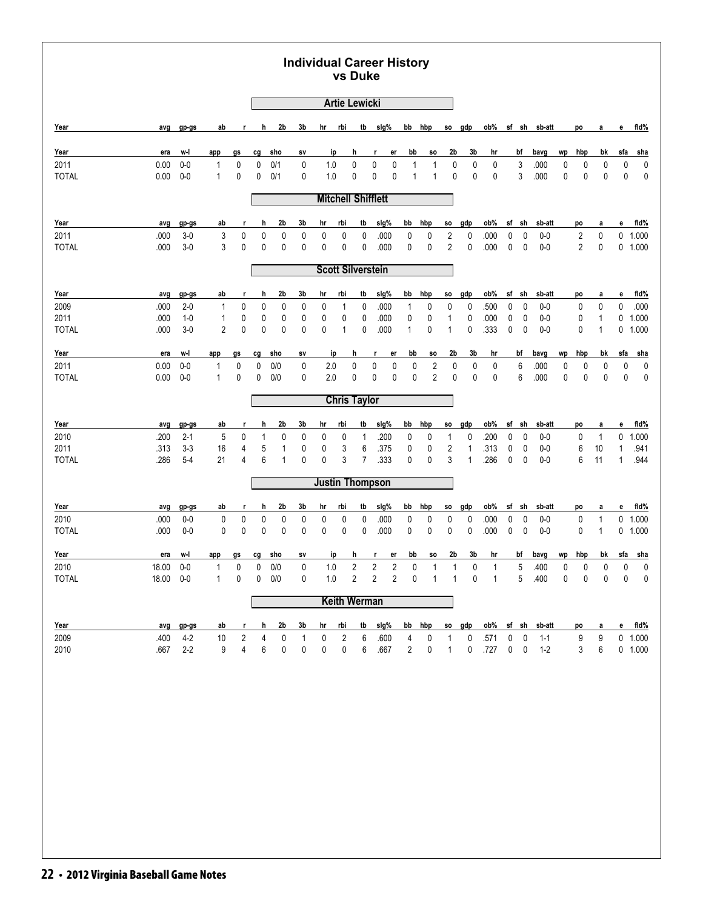# **Individual Career History vs Duke**

|              |       |         |                |                |             |                |              |                        |                | <b>Artie Lewicki</b>      |                     |                |                |                         |           |      |             |                |               |    |                |              |              |            |
|--------------|-------|---------|----------------|----------------|-------------|----------------|--------------|------------------------|----------------|---------------------------|---------------------|----------------|----------------|-------------------------|-----------|------|-------------|----------------|---------------|----|----------------|--------------|--------------|------------|
| Year         | avg   | gp-gs   | ab             | r              | h           | 2b             | 3b           | hr                     | rbi            | tb                        | slg%                |                | bb hbp         | <b>SO</b>               | gdp       | ob%  |             | sf sh          | sb-att        |    | po             | а            | e            | fid%       |
| Year         | era   | w-l     | app            | gs             | cg          | sho            | sv           | ip                     |                | h                         | r<br>er             | bb             | SO.            | 2b                      | 3b        | hr   |             | bf             | bavg          | wp | hbp            | bk           | sfa          | sha        |
| 2011         | 0.00  | $0-0$   | 1              | 0              | 0           | 0/1            | 0            | 1.0                    |                | 0                         | 0<br>0              | $\mathbf{1}$   | $\mathbf{1}$   | $\mathbf 0$             | $\pmb{0}$ | 0    |             | 3              | .000          | 0  | 0              | 0            | 0            | $\pmb{0}$  |
| <b>TOTAL</b> | 0.00  | $0-0$   | $\mathbf{1}$   | 0              | 0           | 0/1            | 0            | 1.0                    |                | 0                         | 0<br>0              | $\overline{1}$ | $\mathbf{1}$   | 0                       | 0         | 0    |             | 3              | .000          | 0  | 0              | 0            | 0            | $\pmb{0}$  |
|              |       |         |                |                |             |                |              |                        |                | <b>Mitchell Shifflett</b> |                     |                |                |                         |           |      |             |                |               |    |                |              |              |            |
| Year         | avg   | gp-gs   | ab             | r              | h           | 2 <sub>b</sub> | 3b           | hr                     | <u>rbi</u>     | tb                        | sig%                | bb             | hbp            | <b>SO</b>               | gdp       | ob%  | sf          | sh             | sb-att        |    | po             | a            | е            | fid%       |
| 2011         | .000  | $3-0$   | $\mathsf 3$    | 0              | $\mathbf 0$ | $\mathbf 0$    | 0            | 0                      | 0              | 0                         | .000                | 0              | 0              | $\overline{\mathbf{c}}$ | 0         | .000 | 0           | 0              | $0-0$         |    | $\sqrt{2}$     | $\pmb{0}$    |              | $0$ 1.000  |
| <b>TOTAL</b> | .000  | $3-0$   | 3              | 0              | 0           | 0              | 0            | 0                      | 0              | 0                         | .000                | 0              | 0              | $\overline{2}$          | 0         | .000 | 0           | 0              | $0-0$         |    | $\overline{2}$ | 0            |              | 0 1.000    |
|              |       |         |                |                |             |                |              |                        |                | <b>Scott Silverstein</b>  |                     |                |                |                         |           |      |             |                |               |    |                |              |              |            |
| Year         | avg   | gp-gs   | ab             | r              | h           | 2b             | 3b           | hr                     | rbi            | tb                        | slg%                | bb             | hbp            | <b>SO</b>               | gdp       | ob%  |             | sf sh          | sb-att        |    | po             | а            | e            | fid%       |
| 2009         | .000  | $2 - 0$ | $\mathbf 1$    | 0              | 0           | 0              | 0            | 0                      | 1              | 0                         | .000                | 1              | 0              | 0                       | 0         | .500 | 0           | 0              | $0-0$         |    | 0              | 0            | 0            | .000       |
| 2011         | .000  | $1-0$   | $\mathbf{1}$   | 0              | 0           | $\pmb{0}$      | 0            | 0                      | 0              | 0                         | .000                | $\pmb{0}$      | 0              | $\mathbf{1}$            | 0         | .000 | 0           | $\mathbf 0$    | $0-0$         |    | 0              | $\mathbf{1}$ | 0            | 1.000      |
| <b>TOTAL</b> | .000  | $3-0$   | $\overline{2}$ | $\mathbf 0$    | 0           | $\mathbf 0$    | 0            | 0                      | 1              | 0                         | .000                | $\mathbf{1}$   | 0              | 1                       | 0         | .333 | 0           | 0              | $0-0$         |    | 0              | $\mathbf{1}$ | 0            | 1.000      |
| Year         | era   | w-l     | app            | gs             | cg          | sho            | sv           |                        | ip             | h                         | er<br>r             | bb             | SO.            | 2b                      | 3b        | hr   |             | bf             | bavg          | wp | hbp            | bk           | sfa          | <u>sha</u> |
| 2011         | 0.00  | $0-0$   | 1              | 0              | 0           | 0/0            | 0            | 2.0                    |                | 0                         | 0<br>0              | $\mathbf 0$    | $\overline{2}$ | $\pmb{0}$               | 0         | 0    |             | 6              | .000          | 0  | 0              | 0            | 0            | $\pmb{0}$  |
| <b>TOTAL</b> | 0.00  | $0-0$   | $\mathbf{1}$   | 0              | 0           | 0/0            | 0            | 2.0                    |                | 0                         | 0<br>0              | 0              | $\overline{2}$ | $\mathbf 0$             | 0         | 0    |             | 6              | .000          | 0  | 0              | 0            | 0            | $\pmb{0}$  |
|              |       |         |                |                |             |                |              |                        |                | <b>Chris Taylor</b>       |                     |                |                |                         |           |      |             |                |               |    |                |              |              |            |
| Year         | avg   | gp-gs   | ab             | r              | h           | 2b             | 3b           | hr                     | rbi            | tb                        | slg%                | bb             | hbp            | <b>SO</b>               | gdp       | ob%  | sf          | sh             | sb-att        |    | po             | а            | е            | fid%       |
| 2010         | .200  | $2 - 1$ | 5              | 0              | 1           | $\mathbf 0$    | $\mathbf{0}$ | 0                      | 0              | $\mathbf{1}$              | .200                | 0              | 0              | 1                       | 0         | .200 | 0           | $\mathbf{0}$   | $0-0$         |    | $\mathbf 0$    | $\mathbf{1}$ | 0            | 1.000      |
| 2011         | .313  | $3 - 3$ | 16             | 4              | 5           | 1              | 0            | 0                      | 3              | 6                         | .375                | 0              | 0              | 2                       | 1         | .313 | 0           | 0              | $0-0$         |    | 6              | 10           | 1            | .941       |
| <b>TOTAL</b> | .286  | $5 - 4$ | 21             | 4              | 6           | $\mathbf{1}$   | 0            | 0                      | 3              | $\overline{7}$            | .333                | 0              | 0              | 3                       | 1         | .286 | 0           | 0              | $0-0$         |    | 6              | 11           | $\mathbf{1}$ | .944       |
|              |       |         |                |                |             |                |              | <b>Justin Thompson</b> |                |                           |                     |                |                |                         |           |      |             |                |               |    |                |              |              |            |
| Year         | avg   | gp-gs   | ab             | r              | h           | 2b             | 3b           | hr                     | rbi            | tb                        | slg%                | bb             | hbp            | <b>SO</b>               | gdp       | ob%  | sf          | sh             | sb-att        |    | po             | а            | е            | fid%       |
| 2010         | .000  | $0-0$   | 0              | 0              | $\pmb{0}$   | 0              | 0            | 0                      | 0              | 0                         | .000                | 0              | 0              | 0                       | 0         | .000 | 0           | 0              | $0-0$         |    | 0              | $\mathbf{1}$ | 0            | 1.000      |
| <b>TOTAL</b> | .000  | $0-0$   | 0              | $\mathbf 0$    | 0           | $\mathbf 0$    | 0            | $\mathbf 0$            | 0              | 0                         | .000                | 0              | 0              | 0                       | 0         | .000 | 0           | 0              | $0-0$         |    | 0              | $\mathbf{1}$ | 0            | 1.000      |
| Year         | era   | w-l     | app            | gs             | cg          | sho            | sv           | ip                     |                | h                         | r<br>er             | bb             | SO.            | 2b                      | 3b        | hr   |             | bf             | bavg          | wp | hbp            | bk           | sfa          | <u>sha</u> |
| 2010         | 18.00 | $0-0$   | 1              | 0              | 0           | 0/0            | 0            | 1.0                    |                | 2                         | 2<br>$\overline{c}$ | 0              | $\mathbf{1}$   | 1                       | 0         | 1    |             | 5              | .400          | 0  | 0              | 0            | 0            | 0          |
| <b>TOTAL</b> | 18.00 | $0-0$   | 1              | 0              | 0           | 0/0            | 0            | 1.0                    |                | $\overline{2}$            | $\overline{2}$<br>2 | 0              | $\mathbf{1}$   | $\mathbf{1}$            | 0         | 1    |             | 5              | .400          | 0  | 0              | 0            | 0            | $\pmb{0}$  |
|              |       |         |                |                |             |                |              |                        |                | <b>Keith Werman</b>       |                     |                |                |                         |           |      |             |                |               |    |                |              |              |            |
| Year         | avg   | $gp-gs$ | ab             | r              | h           | 2b             | 3b           | hr                     | <u>rbi</u>     | tb                        | slg%                |                | bb hbp         | <b>SO</b>               | gdp       | ob%  |             | <u>sf sh</u>   | <u>sb-att</u> |    | po             | a            | e            | fid%       |
| 2009         | .400  | $4 - 2$ | 10             | $\overline{c}$ | 4           | 0              | 1            | $\pmb{0}$              | $\overline{c}$ | 6                         | .600                | 4              | 0              | 1                       | 0         | .571 |             | $0\quad 0$     | $1 - 1$       |    | 9              | 9            |              | 0 1.000    |
| 2010         | .667  | $2 - 2$ | 9              | 4              | 6           | $\pmb{0}$      | 0            | 0                      | 0              | 6                         | .667                | 2              | 0              | $\mathbf{1}$            | 0         | .727 | $\mathbf 0$ | $\overline{0}$ | $1 - 2$       |    | 3              | 6            |              | 0 1.000    |